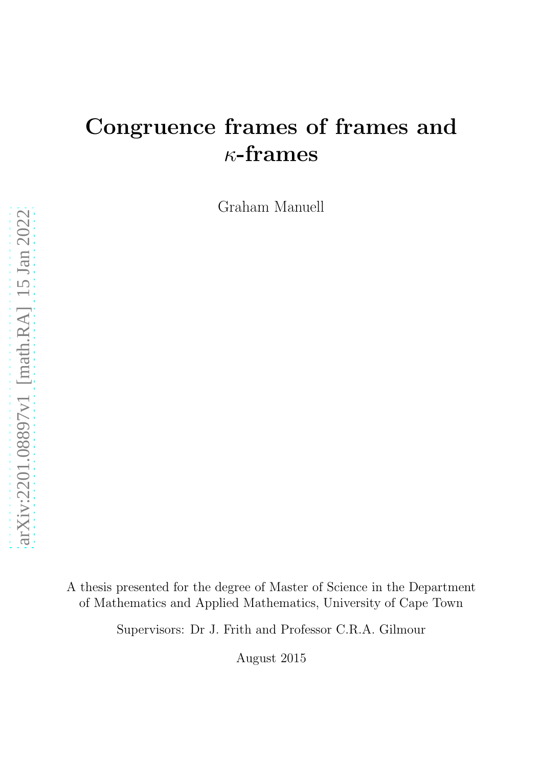# Congruence frames of frames and  $\kappa$ -frames

Graham Manuell

A thesis presented for the degree of Master of Science in the Department of Mathematics and Applied Mathematics, University of Cape Town

Supervisors: Dr J. Frith and Professor C.R.A. Gilmour

August 2015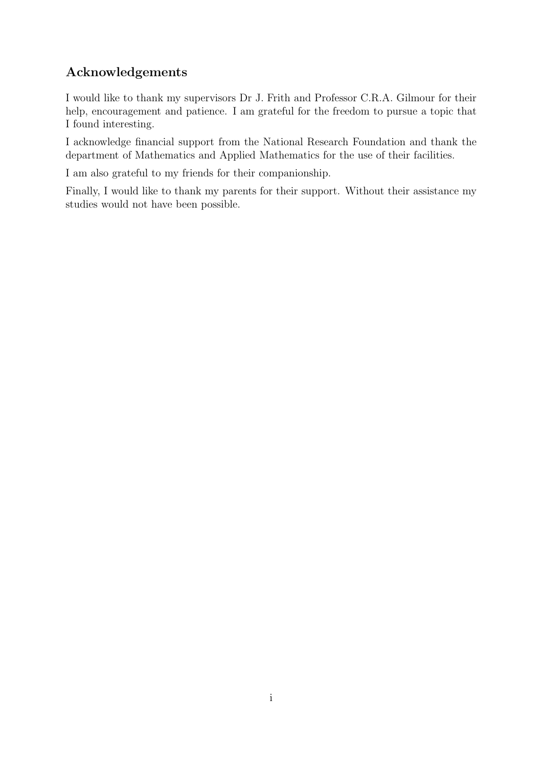# Acknowledgements

I would like to thank my supervisors Dr J. Frith and Professor C.R.A. Gilmour for their help, encouragement and patience. I am grateful for the freedom to pursue a topic that I found interesting.

I acknowledge financial support from the National Research Foundation and thank the department of Mathematics and Applied Mathematics for the use of their facilities.

I am also grateful to my friends for their companionship.

Finally, I would like to thank my parents for their support. Without their assistance my studies would not have been possible.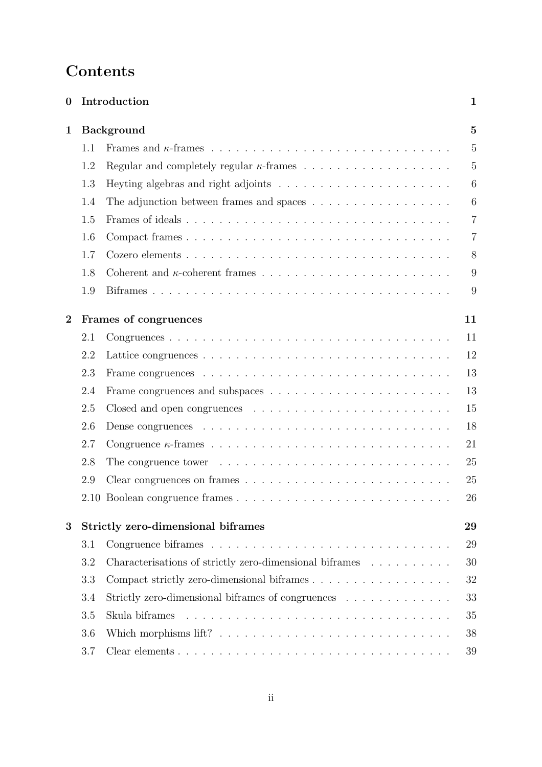# Contents

| $\bf{0}$       |                                          | Introduction                                                                             | $\mathbf{1}$   |  |  |
|----------------|------------------------------------------|------------------------------------------------------------------------------------------|----------------|--|--|
| 1              | <b>Background</b>                        |                                                                                          |                |  |  |
|                | 1.1                                      |                                                                                          | $\overline{5}$ |  |  |
|                | 1.2                                      |                                                                                          | $\overline{5}$ |  |  |
|                | 1.3                                      |                                                                                          | 6              |  |  |
|                | 1.4                                      | The adjunction between frames and spaces $\dots \dots \dots \dots \dots \dots$           | 6              |  |  |
|                | 1.5                                      |                                                                                          | $\overline{7}$ |  |  |
|                | 1.6                                      |                                                                                          | $\overline{7}$ |  |  |
|                | 1.7                                      |                                                                                          | 8              |  |  |
|                | 1.8                                      |                                                                                          | 9              |  |  |
|                | 1.9                                      |                                                                                          | 9              |  |  |
| $\overline{2}$ | Frames of congruences<br>11              |                                                                                          |                |  |  |
|                | 2.1                                      |                                                                                          | 11             |  |  |
|                | 2.2                                      |                                                                                          | 12             |  |  |
|                | 2.3                                      |                                                                                          | 13             |  |  |
|                | 2.4                                      |                                                                                          | 13             |  |  |
|                | 2.5                                      |                                                                                          | 15             |  |  |
|                | 2.6                                      |                                                                                          | 18             |  |  |
|                | 2.7                                      |                                                                                          | 21             |  |  |
|                | 2.8                                      | The congruence tower $\dots \dots \dots \dots \dots \dots \dots \dots \dots \dots \dots$ | 25             |  |  |
|                | 2.9                                      |                                                                                          | 25             |  |  |
|                |                                          |                                                                                          | 26             |  |  |
| 3              | Strictly zero-dimensional biframes<br>29 |                                                                                          |                |  |  |
|                | 3.1                                      |                                                                                          | 29             |  |  |
|                | 3.2                                      | Characterisations of strictly zero-dimensional biframes                                  | 30             |  |  |
|                | 3.3                                      | Compact strictly zero-dimensional biframes                                               | 32             |  |  |
|                | 3.4                                      | Strictly zero-dimensional biframes of congruences                                        | 33             |  |  |
|                | 3.5                                      | Skula biframes                                                                           | 35             |  |  |
|                | 3.6                                      |                                                                                          | 38             |  |  |
|                | $3.7\,$                                  |                                                                                          | 39             |  |  |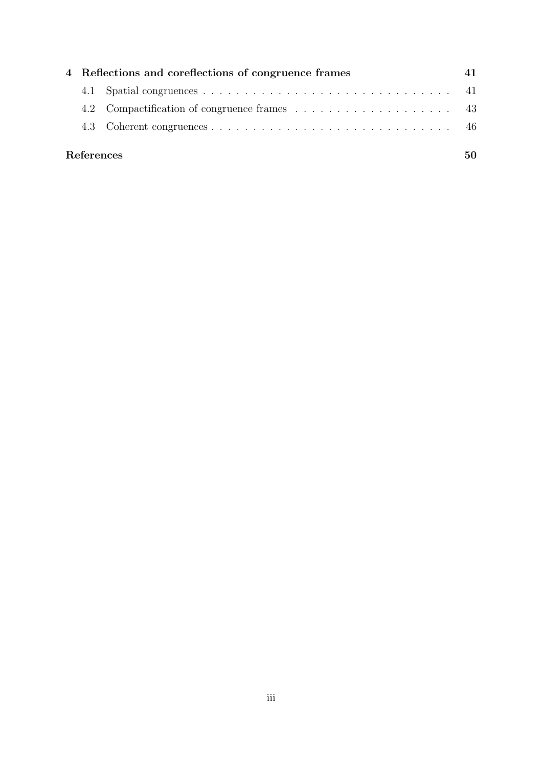|            | 4 Reflections and coreflections of congruence frames |  |  |  |
|------------|------------------------------------------------------|--|--|--|
|            |                                                      |  |  |  |
|            |                                                      |  |  |  |
|            |                                                      |  |  |  |
| References |                                                      |  |  |  |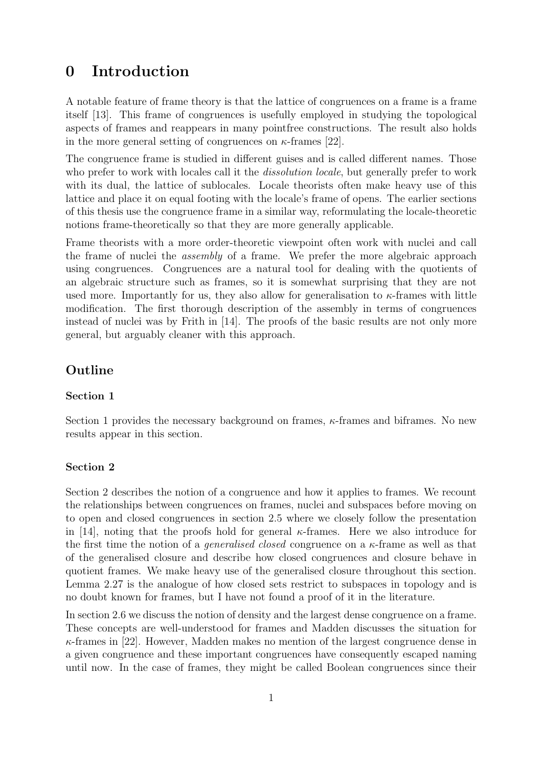# <span id="page-4-0"></span>0 Introduction

A notable feature of frame theory is that the lattice of congruences on a frame is a frame itself [\[13\]](#page-53-1). This frame of congruences is usefully employed in studying the topological aspects of frames and reappears in many pointfree constructions. The result also holds in the more general setting of congruences on  $\kappa$ -frames [\[22\]](#page-54-0).

The congruence frame is studied in different guises and is called different names. Those who prefer to work with locales call it the *dissolution locale*, but generally prefer to work with its dual, the lattice of sublocales. Locale theorists often make heavy use of this lattice and place it on equal footing with the locale's frame of opens. The earlier sections of this thesis use the congruence frame in a similar way, reformulating the locale-theoretic notions frame-theoretically so that they are more generally applicable.

Frame theorists with a more order-theoretic viewpoint often work with nuclei and call the frame of nuclei the assembly of a frame. We prefer the more algebraic approach using congruences. Congruences are a natural tool for dealing with the quotients of an algebraic structure such as frames, so it is somewhat surprising that they are not used more. Importantly for us, they also allow for generalisation to  $\kappa$ -frames with little modification. The first thorough description of the assembly in terms of congruences instead of nuclei was by Frith in [\[14\]](#page-53-2). The proofs of the basic results are not only more general, but arguably cleaner with this approach.

## Outline

#### Section 1

Section [1](#page-8-0) provides the necessary background on frames,  $\kappa$ -frames and biframes. No new results appear in this section.

#### Section 2

Section [2](#page-14-0) describes the notion of a congruence and how it applies to frames. We recount the relationships between congruences on frames, nuclei and subspaces before moving on to open and closed congruences in section [2.5](#page-18-0) where we closely follow the presentation in [\[14\]](#page-53-2), noting that the proofs hold for general  $\kappa$ -frames. Here we also introduce for the first time the notion of a *generalised closed* congruence on a  $\kappa$ -frame as well as that of the generalised closure and describe how closed congruences and closure behave in quotient frames. We make heavy use of the generalised closure throughout this section. Lemma [2.27](#page-21-1) is the analogue of how closed sets restrict to subspaces in topology and is no doubt known for frames, but I have not found a proof of it in the literature.

In section [2.6](#page-21-0) we discuss the notion of density and the largest dense congruence on a frame. These concepts are well-understood for frames and Madden discusses the situation for  $\kappa$ -frames in [\[22\]](#page-54-0). However, Madden makes no mention of the largest congruence dense in a given congruence and these important congruences have consequently escaped naming until now. In the case of frames, they might be called Boolean congruences since their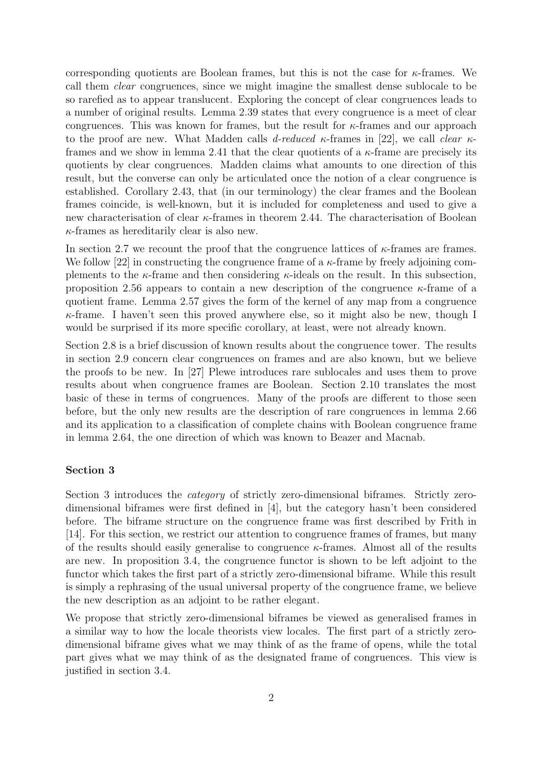corresponding quotients are Boolean frames, but this is not the case for  $\kappa$ -frames. We call them clear congruences, since we might imagine the smallest dense sublocale to be so rarefied as to appear translucent. Exploring the concept of clear congruences leads to a number of original results. Lemma [2.39](#page-22-0) states that every congruence is a meet of clear congruences. This was known for frames, but the result for  $\kappa$ -frames and our approach to the proof are new. What Madden calls d-reduced  $\kappa$ -frames in [\[22\]](#page-54-0), we call clear  $\kappa$ -frames and we show in lemma [2.41](#page-22-1) that the clear quotients of a  $\kappa$ -frame are precisely its quotients by clear congruences. Madden claims what amounts to one direction of this result, but the converse can only be articulated once the notion of a clear congruence is established. Corollary [2.43,](#page-23-0) that (in our terminology) the clear frames and the Boolean frames coincide, is well-known, but it is included for completeness and used to give a new characterisation of clear κ-frames in theorem [2.44.](#page-23-1) The characterisation of Boolean  $\kappa$ -frames as hereditarily clear is also new.

In section [2.7](#page-24-0) we recount the proof that the congruence lattices of  $\kappa$ -frames are frames. We follow [\[22\]](#page-54-0) in constructing the congruence frame of a  $\kappa$ -frame by freely adjoining complements to the  $\kappa$ -frame and then considering  $\kappa$ -ideals on the result. In this subsection, proposition [2.56](#page-27-0) appears to contain a new description of the congruence  $\kappa$ -frame of a quotient frame. Lemma [2.57](#page-27-1) gives the form of the kernel of any map from a congruence  $\kappa$ -frame. I haven't seen this proved anywhere else, so it might also be new, though I would be surprised if its more specific corollary, at least, were not already known.

Section [2.8](#page-28-0) is a brief discussion of known results about the congruence tower. The results in section [2.9](#page-28-1) concern clear congruences on frames and are also known, but we believe the proofs to be new. In [\[27\]](#page-54-1) Plewe introduces rare sublocales and uses them to prove results about when congruence frames are Boolean. Section [2.10](#page-29-0) translates the most basic of these in terms of congruences. Many of the proofs are different to those seen before, but the only new results are the description of rare congruences in lemma [2.66](#page-29-1) and its application to a classification of complete chains with Boolean congruence frame in lemma [2.64,](#page-29-2) the one direction of which was known to Beazer and Macnab.

#### Section 3

Section [3](#page-32-0) introduces the *category* of strictly zero-dimensional biframes. Strictly zerodimensional biframes were first defined in [\[4\]](#page-53-3), but the category hasn't been considered before. The biframe structure on the congruence frame was first described by Frith in [\[14\]](#page-53-2). For this section, we restrict our attention to congruence frames of frames, but many of the results should easily generalise to congruence  $\kappa$ -frames. Almost all of the results are new. In proposition [3.4,](#page-32-2) the congruence functor is shown to be left adjoint to the functor which takes the first part of a strictly zero-dimensional biframe. While this result is simply a rephrasing of the usual universal property of the congruence frame, we believe the new description as an adjoint to be rather elegant.

We propose that strictly zero-dimensional biframes be viewed as generalised frames in a similar way to how the locale theorists view locales. The first part of a strictly zerodimensional biframe gives what we may think of as the frame of opens, while the total part gives what we may think of as the designated frame of congruences. This view is justified in section [3.4.](#page-36-0)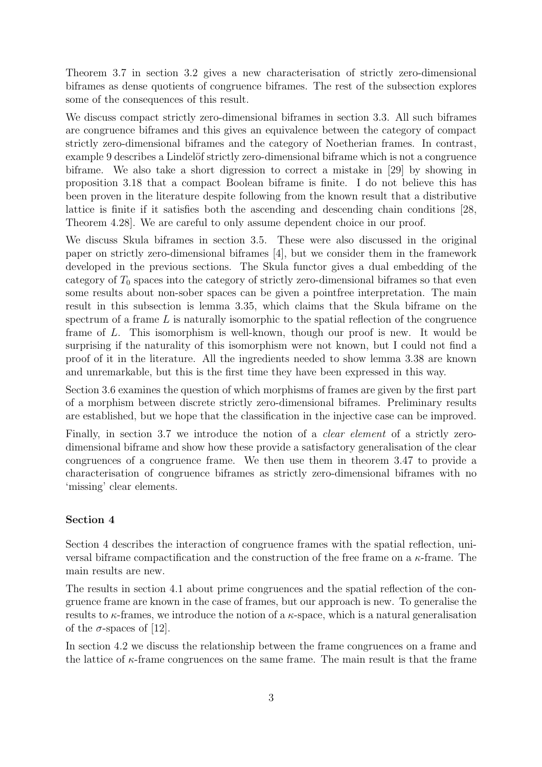Theorem [3.7](#page-33-1) in section [3.2](#page-33-0) gives a new characterisation of strictly zero-dimensional biframes as dense quotients of congruence biframes. The rest of the subsection explores some of the consequences of this result.

We discuss compact strictly zero-dimensional biframes in section [3.3.](#page-35-0) All such biframes are congruence biframes and this gives an equivalence between the category of compact strictly zero-dimensional biframes and the category of Noetherian frames. In contrast, example [9](#page-36-1) describes a Lindelöf strictly zero-dimensional biframe which is not a congruence biframe. We also take a short digression to correct a mistake in [\[29\]](#page-54-2) by showing in proposition [3.18](#page-36-2) that a compact Boolean biframe is finite. I do not believe this has been proven in the literature despite following from the known result that a distributive lattice is finite if it satisfies both the ascending and descending chain conditions [\[28,](#page-54-3) Theorem 4.28]. We are careful to only assume dependent choice in our proof.

We discuss Skula biframes in section [3.5.](#page-38-0) These were also discussed in the original paper on strictly zero-dimensional biframes [\[4\]](#page-53-3), but we consider them in the framework developed in the previous sections. The Skula functor gives a dual embedding of the category of  $T_0$  spaces into the category of strictly zero-dimensional biframes so that even some results about non-sober spaces can be given a pointfree interpretation. The main result in this subsection is lemma [3.35,](#page-39-0) which claims that the Skula biframe on the spectrum of a frame  $L$  is naturally isomorphic to the spatial reflection of the congruence frame of L. This isomorphism is well-known, though our proof is new. It would be surprising if the naturality of this isomorphism were not known, but I could not find a proof of it in the literature. All the ingredients needed to show lemma [3.38](#page-40-0) are known and unremarkable, but this is the first time they have been expressed in this way.

Section [3.6](#page-41-0) examines the question of which morphisms of frames are given by the first part of a morphism between discrete strictly zero-dimensional biframes. Preliminary results are established, but we hope that the classification in the injective case can be improved.

Finally, in section [3.7](#page-42-0) we introduce the notion of a *clear element* of a strictly zerodimensional biframe and show how these provide a satisfactory generalisation of the clear congruences of a congruence frame. We then use them in theorem [3.47](#page-43-0) to provide a characterisation of congruence biframes as strictly zero-dimensional biframes with no 'missing' clear elements.

#### Section 4

Section [4](#page-44-0) describes the interaction of congruence frames with the spatial reflection, universal biframe compactification and the construction of the free frame on a  $\kappa$ -frame. The main results are new.

The results in section [4.1](#page-44-1) about prime congruences and the spatial reflection of the congruence frame are known in the case of frames, but our approach is new. To generalise the results to  $\kappa$ -frames, we introduce the notion of a  $\kappa$ -space, which is a natural generalisation of the  $\sigma$ -spaces of [\[12\]](#page-53-4).

In section [4.2](#page-46-0) we discuss the relationship between the frame congruences on a frame and the lattice of  $\kappa$ -frame congruences on the same frame. The main result is that the frame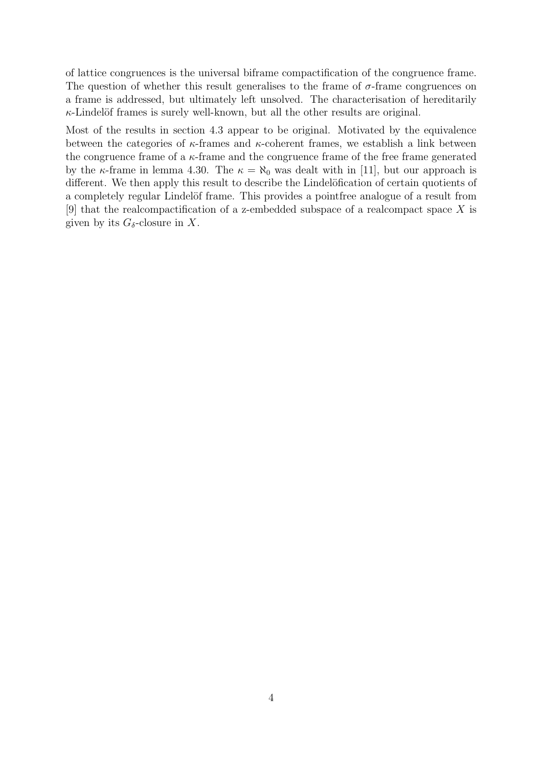of lattice congruences is the universal biframe compactification of the congruence frame. The question of whether this result generalises to the frame of  $\sigma$ -frame congruences on a frame is addressed, but ultimately left unsolved. The characterisation of hereditarily  $\kappa$ -Lindelöf frames is surely well-known, but all the other results are original.

Most of the results in section [4.3](#page-49-0) appear to be original. Motivated by the equivalence between the categories of  $\kappa$ -frames and  $\kappa$ -coherent frames, we establish a link between the congruence frame of a  $\kappa$ -frame and the congruence frame of the free frame generated by the  $\kappa$ -frame in lemma [4.30.](#page-49-1) The  $\kappa = \aleph_0$  was dealt with in [\[11\]](#page-53-5), but our approach is different. We then apply this result to describe the Lindelöfication of certain quotients of a completely regular Lindelöf frame. This provides a point free analogue of a result from [\[9\]](#page-53-6) that the realcompactification of a z-embedded subspace of a realcompact space X is given by its  $G_{\delta}$ -closure in X.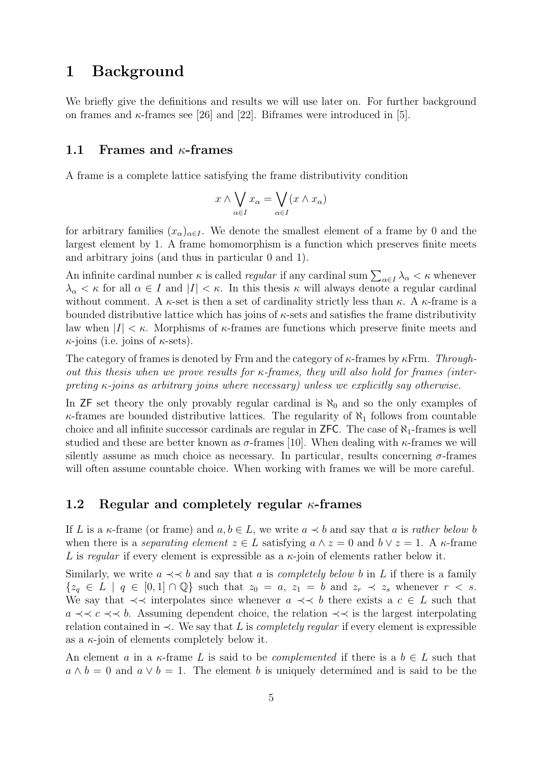# <span id="page-8-0"></span>1 Background

We briefly give the definitions and results we will use later on. For further background on frames and  $\kappa$ -frames see [\[26\]](#page-54-4) and [\[22\]](#page-54-0). Biframes were introduced in [\[5\]](#page-53-7).

#### <span id="page-8-1"></span>1.1 Frames and  $\kappa$ -frames

A frame is a complete lattice satisfying the frame distributivity condition

$$
x \wedge \bigvee_{\alpha \in I} x_{\alpha} = \bigvee_{\alpha \in I} (x \wedge x_{\alpha})
$$

for arbitrary families  $(x_{\alpha})_{\alpha \in I}$ . We denote the smallest element of a frame by 0 and the largest element by 1. A frame homomorphism is a function which preserves finite meets and arbitrary joins (and thus in particular 0 and 1).

An infinite cardinal number  $\kappa$  is called *regular* if any cardinal sum  $\sum_{\alpha \in I} \lambda_{\alpha} < \kappa$  whenever  $\lambda_{\alpha} < \kappa$  for all  $\alpha \in I$  and  $|I| < \kappa$ . In this thesis  $\kappa$  will always denote a regular cardinal without comment. A  $\kappa$ -set is then a set of cardinality strictly less than  $\kappa$ . A  $\kappa$ -frame is a bounded distributive lattice which has joins of  $\kappa$ -sets and satisfies the frame distributivity law when  $|I| < \kappa$ . Morphisms of  $\kappa$ -frames are functions which preserve finite meets and  $\kappa$ -joins (i.e. joins of  $\kappa$ -sets).

The category of frames is denoted by Frm and the category of  $\kappa$ -frames by  $\kappa$ Frm. Throughout this thesis when we prove results for  $\kappa$ -frames, they will also hold for frames (interpreting  $\kappa$ -joins as arbitrary joins where necessary) unless we explicitly say otherwise.

In ZF set theory the only provably regular cardinal is  $\aleph_0$  and so the only examples of  $\kappa$ -frames are bounded distributive lattices. The regularity of  $\aleph_1$  follows from countable choice and all infinite successor cardinals are regular in  $ZFC$ . The case of  $\aleph_1$ -frames is well studied and these are better known as  $\sigma$ -frames [\[10\]](#page-53-8). When dealing with  $\kappa$ -frames we will silently assume as much choice as necessary. In particular, results concerning  $\sigma$ -frames will often assume countable choice. When working with frames we will be more careful.

#### <span id="page-8-2"></span>1.2 Regular and completely regular  $\kappa$ -frames

If L is a  $\kappa$ -frame (or frame) and  $a, b \in L$ , we write  $a \prec b$  and say that a is rather below b when there is a *separating element*  $z \in L$  satisfying  $a \wedge z = 0$  and  $b \vee z = 1$ . A  $\kappa$ -frame L is regular if every element is expressible as a  $\kappa$ -join of elements rather below it.

Similarly, we write  $a \prec \prec b$  and say that a is *completely below b* in L if there is a family  ${z_q \in L \mid q \in [0,1] \cap \mathbb{Q}}$  such that  $z_0 = a, z_1 = b$  and  $z_r \prec z_s$  whenever  $r \prec s$ . We say that  $\prec\prec$  interpolates since whenever  $a \prec\prec b$  there exists a  $c \in L$  such that a  $\prec$   $\prec$  c  $\prec$  b. Assuming dependent choice, the relation  $\prec$  is the largest interpolating relation contained in  $\prec$ . We say that L is *completely regular* if every element is expressible as a  $\kappa$ -join of elements completely below it.

An element a in a  $\kappa$ -frame L is said to be *complemented* if there is a  $b \in L$  such that  $a \wedge b = 0$  and  $a \vee b = 1$ . The element b is uniquely determined and is said to be the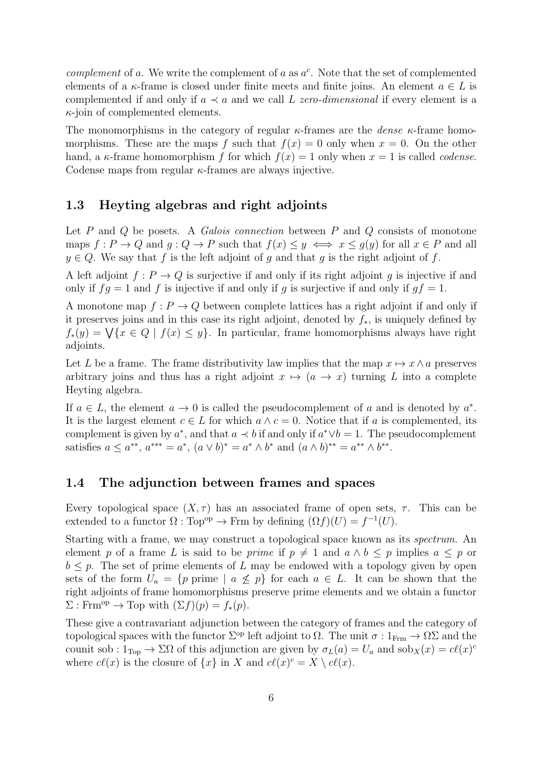complement of a. We write the complement of a as  $a^c$ . Note that the set of complemented elements of a  $\kappa$ -frame is closed under finite meets and finite joins. An element  $a \in L$  is complemented if and only if  $a \prec a$  and we call L zero-dimensional if every element is a  $\kappa$ -join of complemented elements.

The monomorphisms in the category of regular  $\kappa$ -frames are the *dense*  $\kappa$ -frame homomorphisms. These are the maps f such that  $f(x) = 0$  only when  $x = 0$ . On the other hand, a  $\kappa$ -frame homomorphism f for which  $f(x) = 1$  only when  $x = 1$  is called *codense*. Codense maps from regular  $\kappa$ -frames are always injective.

## <span id="page-9-0"></span>1.3 Heyting algebras and right adjoints

Let  $P$  and  $Q$  be posets. A *Galois connection* between  $P$  and  $Q$  consists of monotone maps  $f: P \to Q$  and  $g: Q \to P$  such that  $f(x) \leq y \iff x \leq g(y)$  for all  $x \in P$  and all  $y \in Q$ . We say that f is the left adjoint of g and that g is the right adjoint of f.

A left adjoint  $f: P \to Q$  is surjective if and only if its right adjoint q is injective if and only if  $fq = 1$  and f is injective if and only if q is surjective if and only if  $qf = 1$ .

A monotone map  $f: P \to Q$  between complete lattices has a right adjoint if and only if it preserves joins and in this case its right adjoint, denoted by f∗, is uniquely defined by  $f_*(y) = \bigvee \{x \in Q \mid f(x) \leq y\}.$  In particular, frame homomorphisms always have right adjoints.

Let L be a frame. The frame distributivity law implies that the map  $x \mapsto x \wedge a$  preserves arbitrary joins and thus has a right adjoint  $x \mapsto (a \rightarrow x)$  turning L into a complete Heyting algebra.

If  $a \in L$ , the element  $a \to 0$  is called the pseudocomplement of a and is denoted by  $a^*$ . It is the largest element  $c \in L$  for which  $a \wedge c = 0$ . Notice that if a is complemented, its complement is given by  $a^*$ , and that  $a \prec b$  if and only if  $a^* \lor b = 1$ . The pseudocomplement satisfies  $a \le a^{**}, a^{***} = a^*, (a \vee b)^* = a^* \wedge b^*$  and  $(a \wedge b)^{**} = a^{**} \wedge b^{**}.$ 

#### <span id="page-9-1"></span>1.4 The adjunction between frames and spaces

Every topological space  $(X, \tau)$  has an associated frame of open sets,  $\tau$ . This can be extended to a functor  $\Omega : \text{Top}^{\text{op}} \to \text{Frm}$  by defining  $(\Omega f)(U) = f^{-1}(U)$ .

Starting with a frame, we may construct a topological space known as its spectrum. An element p of a frame L is said to be prime if  $p \neq 1$  and  $a \wedge b \leq p$  implies  $a \leq p$  or  $b \leq p$ . The set of prime elements of L may be endowed with a topology given by open sets of the form  $U_a = \{p \text{ prime } | a \not\leq p\}$  for each  $a \in L$ . It can be shown that the right adjoints of frame homomorphisms preserve prime elements and we obtain a functor  $\Sigma$ : Frm<sup>op</sup>  $\rightarrow$  Top with  $(\Sigma f)(p) = f_*(p)$ .

These give a contravariant adjunction between the category of frames and the category of topological spaces with the functor  $\Sigma^{\rm op}$  left adjoint to  $\Omega$ . The unit  $\sigma: 1_{\text{Frm}} \to \Omega \Sigma$  and the counit sob :  $1_{Top} \to \Sigma\Omega$  of this adjunction are given by  $\sigma_L(a) = U_a$  and  $sob_X(x) = cl(x)^c$ where  $c\ell(x)$  is the closure of  $\{x\}$  in X and  $c\ell(x)^c = X \setminus c\ell(x)$ .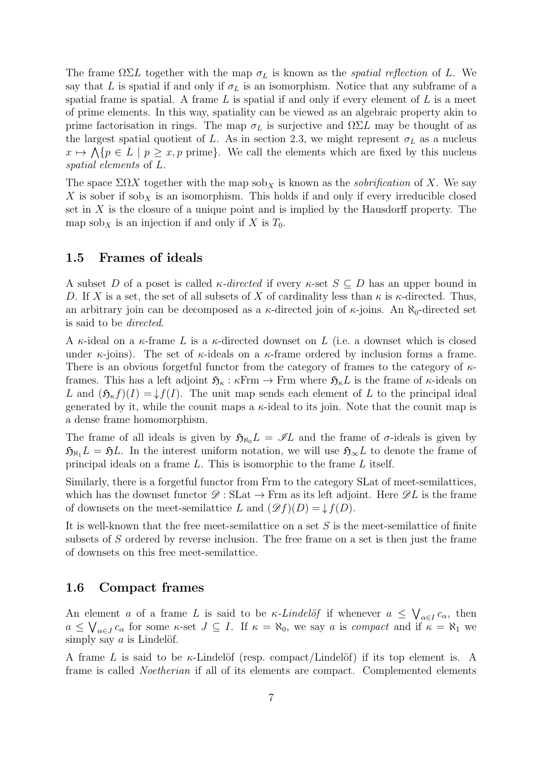The frame  $\Omega \Sigma L$  together with the map  $\sigma_L$  is known as the *spatial reflection* of L. We say that L is spatial if and only if  $\sigma_L$  is an isomorphism. Notice that any subframe of a spatial frame is spatial. A frame  $L$  is spatial if and only if every element of  $L$  is a meet of prime elements. In this way, spatiality can be viewed as an algebraic property akin to prime factorisation in rings. The map  $\sigma_L$  is surjective and  $\Omega \Sigma L$  may be thought of as the largest spatial quotient of L. As in section [2.3,](#page-16-0) we might represent  $\sigma_L$  as a nucleus  $x \mapsto \bigwedge \{p \in L \mid p \geq x, p \text{ prime}\}.$  We call the elements which are fixed by this nucleus spatial elements of L.

The space  $\Sigma \Omega X$  together with the map sob<sub>X</sub> is known as the *sobrification* of X. We say X is sober if  $sob_X$  is an isomorphism. This holds if and only if every irreducible closed set in  $X$  is the closure of a unique point and is implied by the Hausdorff property. The map  $\operatorname{sob}_X$  is an injection if and only if X is  $T_0$ .

#### <span id="page-10-0"></span>1.5 Frames of ideals

A subset D of a poset is called  $\kappa$ -directed if every  $\kappa$ -set  $S \subseteq D$  has an upper bound in D. If X is a set, the set of all subsets of X of cardinality less than  $\kappa$  is  $\kappa$ -directed. Thus, an arbitrary join can be decomposed as a  $\kappa$ -directed join of  $\kappa$ -joins. An  $\aleph_0$ -directed set is said to be directed.

A  $\kappa$ -ideal on a  $\kappa$ -frame L is a  $\kappa$ -directed downset on L (i.e. a downset which is closed under  $\kappa$ -joins). The set of  $\kappa$ -ideals on a  $\kappa$ -frame ordered by inclusion forms a frame. There is an obvious forgetful functor from the category of frames to the category of  $\kappa$ frames. This has a left adjoint  $\mathfrak{H}_{\kappa} : \kappa$ Frm  $\rightarrow$  Frm where  $\mathfrak{H}_{\kappa}L$  is the frame of  $\kappa$ -ideals on L and  $(\mathfrak{H}_{\kappa}f)(I) = \downarrow f(I)$ . The unit map sends each element of L to the principal ideal generated by it, while the counit maps a  $\kappa$ -ideal to its join. Note that the counit map is a dense frame homomorphism.

The frame of all ideals is given by  $\mathfrak{H}_{\aleph_0}L = \mathscr{I}L$  and the frame of  $\sigma$ -ideals is given by  $\mathfrak{H}_{\aleph_1}L = \mathfrak{H}L$ . In the interest uniform notation, we will use  $\mathfrak{H}_{\infty}L$  to denote the frame of principal ideals on a frame L. This is isomorphic to the frame L itself.

Similarly, there is a forgetful functor from Frm to the category SLat of meet-semilattices, which has the downset functor  $\mathscr{D}: \text{SLat} \to \text{Frm}$  as its left adjoint. Here  $\mathscr{D}L$  is the frame of downsets on the meet-semilattice L and  $(\mathscr{D}f)(D) = \downarrow f(D)$ .

It is well-known that the free meet-semilattice on a set  $S$  is the meet-semilattice of finite subsets of S ordered by reverse inclusion. The free frame on a set is then just the frame of downsets on this free meet-semilattice.

#### <span id="page-10-1"></span>1.6 Compact frames

An element a of a frame L is said to be  $\kappa$ -Lindelöf if whenever  $a \leq \bigvee_{\alpha \in I} c_{\alpha}$ , then  $a \leq \bigvee_{\alpha \in J} c_{\alpha}$  for some  $\kappa$ -set  $J \subseteq I$ . If  $\kappa = \aleph_0$ , we say a is compact and if  $\kappa = \aleph_1$  we simply say  $a$  is Lindelöf.

A frame L is said to be  $\kappa$ -Lindelöf (resp. compact/Lindelöf) if its top element is. A frame is called Noetherian if all of its elements are compact. Complemented elements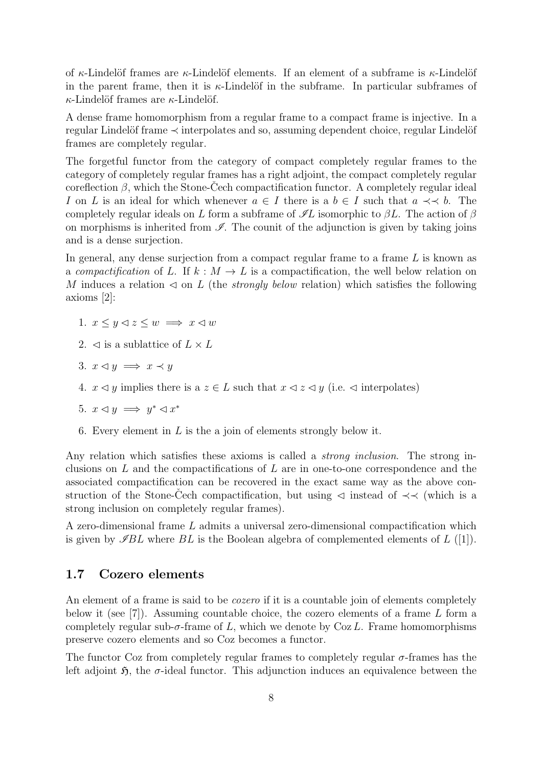of  $\kappa$ -Lindelöf frames are  $\kappa$ -Lindelöf elements. If an element of a subframe is  $\kappa$ -Lindelöf in the parent frame, then it is  $\kappa$ -Lindelöf in the subframe. In particular subframes of  $\kappa$ -Lindelöf frames are  $\kappa$ -Lindelöf.

A dense frame homomorphism from a regular frame to a compact frame is injective. In a regular Lindelöf frame  $\prec$  interpolates and so, assuming dependent choice, regular Lindelöf frames are completely regular.

The forgetful functor from the category of compact completely regular frames to the category of completely regular frames has a right adjoint, the compact completely regular coreflection  $\beta$ , which the Stone-Cech compactification functor. A completely regular ideal I on L is an ideal for which whenever  $a \in I$  there is a  $b \in I$  such that  $a \prec b$ . The completely regular ideals on L form a subframe of  $\mathscr{I}L$  isomorphic to  $\beta L$ . The action of  $\beta$ on morphisms is inherited from  $\mathscr{I}$ . The counit of the adjunction is given by taking joins and is a dense surjection.

In general, any dense surjection from a compact regular frame to a frame  $L$  is known as a compactification of L. If  $k : M \to L$  is a compactification, the well below relation on M induces a relation  $\triangleleft$  on L (the *strongly below* relation) which satisfies the following axioms [\[2\]](#page-53-9):

- 1.  $x \leq y \leq z \leq w \implies x \leq w$
- 2.  $\triangleleft$  is a sublattice of  $L \times L$
- 3.  $x \triangleleft y \implies x \prec y$
- 4.  $x \leq y$  implies there is a  $z \in L$  such that  $x \leq z \leq y$  (i.e.  $\leq$  interpolates)
- 5.  $x \triangleleft y \implies y^* \triangleleft x^*$
- 6. Every element in  $L$  is the a join of elements strongly below it.

Any relation which satisfies these axioms is called a *strong inclusion*. The strong inclusions on  $L$  and the compactifications of  $L$  are in one-to-one correspondence and the associated compactification can be recovered in the exact same way as the above construction of the Stone-Čech compactification, but using  $\triangleleft$  instead of  $\prec\prec$  (which is a strong inclusion on completely regular frames).

A zero-dimensional frame L admits a universal zero-dimensional compactification which is given by  $\mathscr{I}BL$  where  $BL$  is the Boolean algebra of complemented elements of  $L$  ([\[1\]](#page-53-10)).

#### <span id="page-11-0"></span>1.7 Cozero elements

An element of a frame is said to be *cozero* if it is a countable join of elements completely below it (see [\[7\]](#page-53-11)). Assuming countable choice, the cozero elements of a frame  $L$  form a completely regular sub- $\sigma$ -frame of L, which we denote by Coz L. Frame homomorphisms preserve cozero elements and so Coz becomes a functor.

The functor Coz from completely regular frames to completely regular  $\sigma$ -frames has the left adjoint  $\mathfrak{H}$ , the  $\sigma$ -ideal functor. This adjunction induces an equivalence between the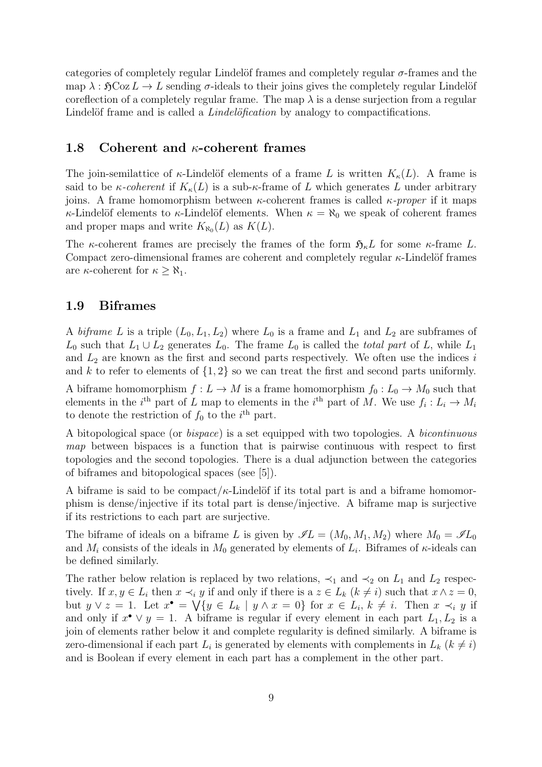categories of completely regular Lindelöf frames and completely regular  $\sigma$ -frames and the map  $\lambda : \mathfrak{H}C_0 \circ Z L \to L$  sending  $\sigma$ -ideals to their joins gives the completely regular Lindelöf coreflection of a completely regular frame. The map  $\lambda$  is a dense surjection from a regular Lindelöf frame and is called a *Lindelöfication* by analogy to compactifications.

#### <span id="page-12-0"></span>1.8 Coherent and  $\kappa$ -coherent frames

The join-semilattice of  $\kappa$ -Lindelöf elements of a frame L is written  $K_{\kappa}(L)$ . A frame is said to be *κ-coherent* if  $K_{\kappa}(L)$  is a sub-*κ*-frame of L which generates L under arbitrary joins. A frame homomorphism between  $\kappa$ -coherent frames is called  $\kappa$ -proper if it maps κ-Lindelöf elements to κ-Lindelöf elements. When  $\kappa = \aleph_0$  we speak of coherent frames and proper maps and write  $K_{\aleph_0}(L)$  as  $K(L)$ .

The  $\kappa$ -coherent frames are precisely the frames of the form  $\mathfrak{H}_{\kappa}L$  for some  $\kappa$ -frame L. Compact zero-dimensional frames are coherent and completely regular  $\kappa$ -Lindelöf frames are  $\kappa$ -coherent for  $\kappa \geq \aleph_1$ .

#### <span id="page-12-1"></span>1.9 Biframes

A biframe L is a triple  $(L_0, L_1, L_2)$  where  $L_0$  is a frame and  $L_1$  and  $L_2$  are subframes of  $L_0$  such that  $L_1 \cup L_2$  generates  $L_0$ . The frame  $L_0$  is called the *total part* of L, while  $L_1$ and  $L_2$  are known as the first and second parts respectively. We often use the indices i and k to refer to elements of  $\{1, 2\}$  so we can treat the first and second parts uniformly.

A biframe homomorphism  $f: L \to M$  is a frame homomorphism  $f_0: L_0 \to M_0$  such that elements in the  $i^{\text{th}}$  part of L map to elements in the  $i^{\text{th}}$  part of M. We use  $f_i: L_i \to M_i$ to denote the restriction of  $f_0$  to the  $i<sup>th</sup>$  part.

A bitopological space (or bispace) is a set equipped with two topologies. A bicontinuous map between bispaces is a function that is pairwise continuous with respect to first topologies and the second topologies. There is a dual adjunction between the categories of biframes and bitopological spaces (see [\[5\]](#page-53-7)).

A biframe is said to be compact/ $\kappa$ -Lindelöf if its total part is and a biframe homomorphism is dense/injective if its total part is dense/injective. A biframe map is surjective if its restrictions to each part are surjective.

The biframe of ideals on a biframe L is given by  $\mathscr{I}L = (M_0, M_1, M_2)$  where  $M_0 = \mathscr{I}L_0$ and  $M_i$  consists of the ideals in  $M_0$  generated by elements of  $L_i$ . Biframes of  $\kappa$ -ideals can be defined similarly.

The rather below relation is replaced by two relations,  $\prec_1$  and  $\prec_2$  on  $L_1$  and  $L_2$  respectively. If  $x, y \in L_i$  then  $x \prec_i y$  if and only if there is  $a \ z \in L_k$   $(k \neq i)$  such that  $x \wedge z = 0$ , but  $y \vee z = 1$ . Let  $x^{\bullet} = \bigvee \{y \in L_k \mid y \wedge x = 0\}$  for  $x \in L_i, k \neq i$ . Then  $x \prec_i y$  if and only if  $x^{\bullet} \vee y = 1$ . A biframe is regular if every element in each part  $L_1, L_2$  is a join of elements rather below it and complete regularity is defined similarly. A biframe is zero-dimensional if each part  $L_i$  is generated by elements with complements in  $L_k$  ( $k \neq i$ ) and is Boolean if every element in each part has a complement in the other part.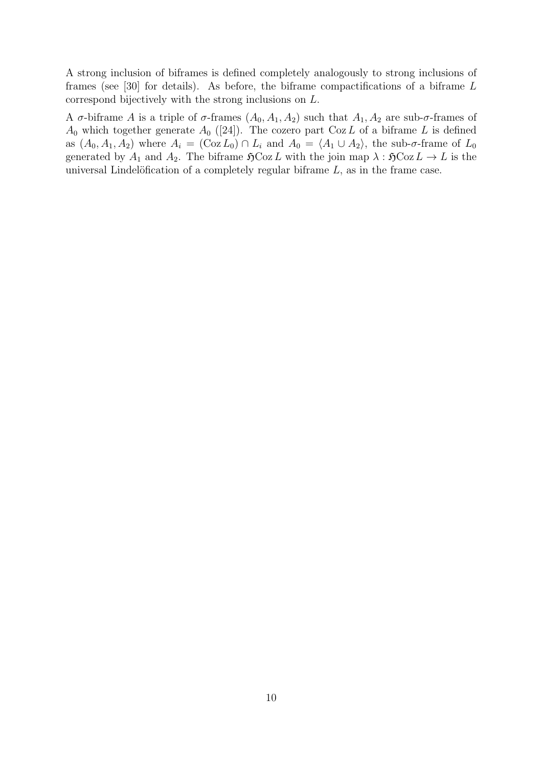A strong inclusion of biframes is defined completely analogously to strong inclusions of frames (see [\[30\]](#page-54-5) for details). As before, the biframe compactifications of a biframe  $L$ correspond bijectively with the strong inclusions on L.

A  $\sigma$ -biframe A is a triple of  $\sigma$ -frames  $(A_0, A_1, A_2)$  such that  $A_1, A_2$  are sub- $\sigma$ -frames of  $A_0$  which together generate  $A_0$  ([\[24\]](#page-54-6)). The cozero part Coz L of a biframe L is defined as  $(A_0, A_1, A_2)$  where  $A_i = (\text{Coz } L_0) \cap L_i$  and  $A_0 = \langle A_1 \cup A_2 \rangle$ , the sub- $\sigma$ -frame of  $L_0$ generated by  $A_1$  and  $A_2$ . The biframe  $\mathfrak{H}Coz L$  with the join map  $\lambda : \mathfrak{H}Coz L \to L$  is the universal Lindelöfication of a completely regular biframe  $L$ , as in the frame case.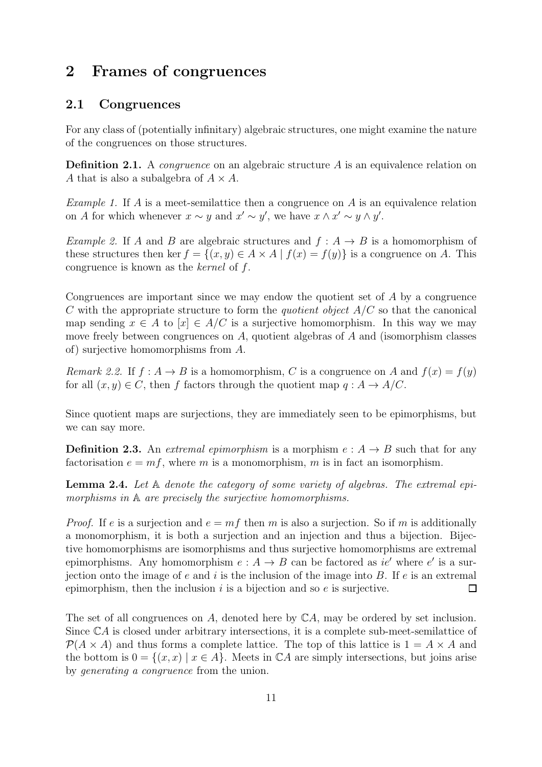# <span id="page-14-1"></span><span id="page-14-0"></span>2 Frames of congruences

## 2.1 Congruences

For any class of (potentially infinitary) algebraic structures, one might examine the nature of the congruences on those structures.

**Definition 2.1.** A *congruence* on an algebraic structure  $A$  is an equivalence relation on A that is also a subalgebra of  $A \times A$ .

*Example 1.* If A is a meet-semilattice then a congruence on A is an equivalence relation on A for which whenever  $x \sim y$  and  $x' \sim y'$ , we have  $x \wedge x' \sim y \wedge y'$ .

Example 2. If A and B are algebraic structures and  $f : A \rightarrow B$  is a homomorphism of these structures then ker  $f = \{(x, y) \in A \times A \mid f(x) = f(y)\}\$ is a congruence on A. This congruence is known as the kernel of f.

Congruences are important since we may endow the quotient set of A by a congruence C with the appropriate structure to form the *quotient object*  $A/C$  so that the canonical map sending  $x \in A$  to  $[x] \in A/C$  is a surjective homomorphism. In this way we may move freely between congruences on  $A$ , quotient algebras of  $A$  and (isomorphism classes of) surjective homomorphisms from A.

<span id="page-14-2"></span>Remark 2.2. If  $f : A \to B$  is a homomorphism, C is a congruence on A and  $f(x) = f(y)$ for all  $(x, y) \in C$ , then f factors through the quotient map  $q : A \to A/C$ .

Since quotient maps are surjections, they are immediately seen to be epimorphisms, but we can say more.

**Definition 2.3.** An extremal epimorphism is a morphism  $e : A \rightarrow B$  such that for any factorisation  $e = mf$ , where m is a monomorphism, m is in fact an isomorphism.

<span id="page-14-3"></span>**Lemma 2.4.** Let  $A$  denote the category of some variety of algebras. The extremal epimorphisms in  $\mathbb A$  are precisely the surjective homomorphisms.

*Proof.* If e is a surjection and  $e = mf$  then m is also a surjection. So if m is additionally a monomorphism, it is both a surjection and an injection and thus a bijection. Bijective homomorphisms are isomorphisms and thus surjective homomorphisms are extremal epimorphisms. Any homomorphism  $e: A \to B$  can be factored as ie' where e' is a surjection onto the image of  $e$  and  $i$  is the inclusion of the image into  $B$ . If  $e$  is an extremal epimorphism, then the inclusion  $i$  is a bijection and so  $e$  is surjective.  $\Box$ 

The set of all congruences on A, denoted here by  $\mathbb{C}A$ , may be ordered by set inclusion. Since CA is closed under arbitrary intersections, it is a complete sub-meet-semilattice of  $\mathcal{P}(A \times A)$  and thus forms a complete lattice. The top of this lattice is  $1 = A \times A$  and the bottom is  $0 = \{(x, x) | x \in A\}$ . Meets in  $\mathbb{C}A$  are simply intersections, but joins arise by generating a congruence from the union.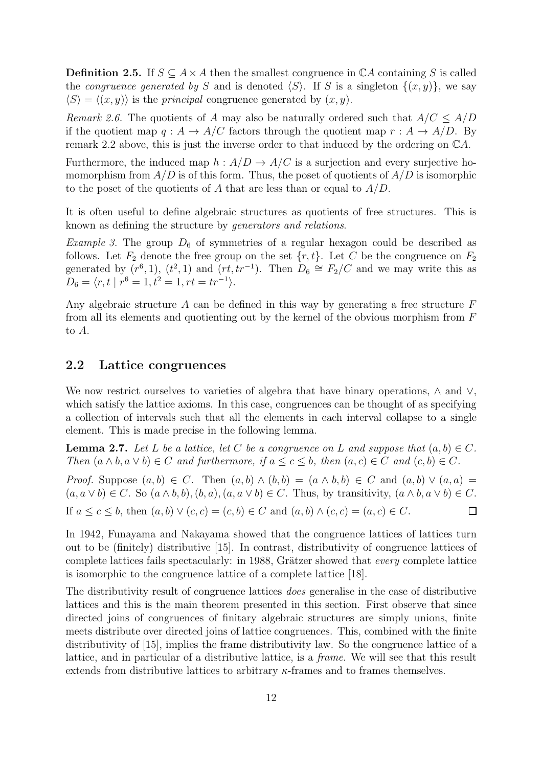**Definition 2.5.** If  $S \subseteq A \times A$  then the smallest congruence in  $\mathbb{C}A$  containing S is called the *congruence generated by* S and is denoted  $\langle S \rangle$ . If S is a singleton  $\{(x, y)\}\$ , we say  $\langle S \rangle = \langle (x, y) \rangle$  is the *principal* congruence generated by  $(x, y)$ .

<span id="page-15-2"></span>Remark 2.6. The quotients of A may also be naturally ordered such that  $A/C \leq A/D$ if the quotient map  $q : A \to A/C$  factors through the quotient map  $r : A \to A/D$ . By remark [2.2](#page-14-2) above, this is just the inverse order to that induced by the ordering on CA.

Furthermore, the induced map  $h: A/D \to A/C$  is a surjection and every surjective homomorphism from  $A/D$  is of this form. Thus, the poset of quotients of  $A/D$  is isomorphic to the poset of the quotients of A that are less than or equal to  $A/D$ .

It is often useful to define algebraic structures as quotients of free structures. This is known as defining the structure by generators and relations.

*Example 3.* The group  $D_6$  of symmetries of a regular hexagon could be described as follows. Let  $F_2$  denote the free group on the set  $\{r, t\}$ . Let C be the congruence on  $F_2$ generated by  $(r^6, 1)$ ,  $(t^2, 1)$  and  $(rt, tr^{-1})$ . Then  $D_6 \cong F_2/C$  and we may write this as  $D_6 = \langle r, t \mid r^6 = 1, t^2 = 1, rt = tr^{-1} \rangle.$ 

Any algebraic structure  $A$  can be defined in this way by generating a free structure  $F$ from all its elements and quotienting out by the kernel of the obvious morphism from  $F$ to A.

## <span id="page-15-0"></span>2.2 Lattice congruences

We now restrict ourselves to varieties of algebra that have binary operations,  $\wedge$  and  $\vee$ , which satisfy the lattice axioms. In this case, congruences can be thought of as specifying a collection of intervals such that all the elements in each interval collapse to a single element. This is made precise in the following lemma.

<span id="page-15-1"></span>**Lemma 2.7.** Let L be a lattice, let C be a congruence on L and suppose that  $(a, b) \in C$ . Then  $(a \wedge b, a \vee b) \in C$  and furthermore, if  $a \leq c \leq b$ , then  $(a, c) \in C$  and  $(c, b) \in C$ .

*Proof.* Suppose  $(a, b) \in C$ . Then  $(a, b) \wedge (b, b) = (a \wedge b, b) \in C$  and  $(a, b) \vee (a, a) =$  $(a, a \vee b) \in C$ . So  $(a \wedge b, b), (b, a), (a, a \vee b) \in C$ . Thus, by transitivity,  $(a \wedge b, a \vee b) \in C$ . If  $a \leq c \leq b$ , then  $(a, b) \vee (c, c) = (c, b) \in C$  and  $(a, b) \wedge (c, c) = (a, c) \in C$ .  $\Box$ 

In 1942, Funayama and Nakayama showed that the congruence lattices of lattices turn out to be (finitely) distributive [\[15\]](#page-53-12). In contrast, distributivity of congruence lattices of complete lattices fails spectacularly: in 1988, Grätzer showed that *every* complete lattice is isomorphic to the congruence lattice of a complete lattice [\[18\]](#page-54-7).

The distributivity result of congruence lattices does generalise in the case of distributive lattices and this is the main theorem presented in this section. First observe that since directed joins of congruences of finitary algebraic structures are simply unions, finite meets distribute over directed joins of lattice congruences. This, combined with the finite distributivity of [\[15\]](#page-53-12), implies the frame distributivity law. So the congruence lattice of a lattice, and in particular of a distributive lattice, is a frame. We will see that this result extends from distributive lattices to arbitrary κ-frames and to frames themselves.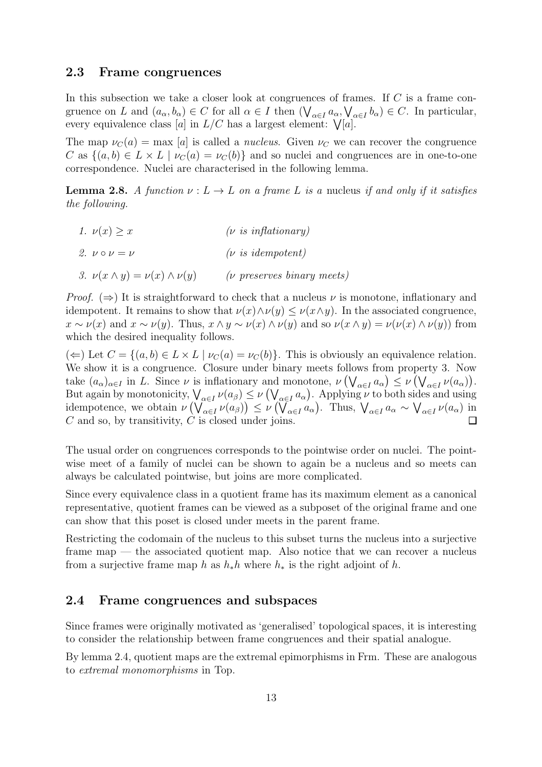#### <span id="page-16-0"></span>2.3 Frame congruences

In this subsection we take a closer look at congruences of frames. If  $C$  is a frame congruence on L and  $(a_{\alpha}, b_{\alpha}) \in C$  for all  $\alpha \in I$  then  $(\bigvee_{\alpha \in I} a_{\alpha}, \bigvee_{\alpha \in I} b_{\alpha}) \in C$ . In particular, every equivalence class [a] in  $L/C$  has a largest element:  $\mathcal{V}[a]$ .

The map  $\nu_C(a) = \max [a]$  is called a *nucleus*. Given  $\nu_C$  we can recover the congruence C as  $\{(a, b) \in L \times L \mid \nu_C(a) = \nu_C(b)\}\$ and so nuclei and congruences are in one-to-one correspondence. Nuclei are characterised in the following lemma.

**Lemma 2.8.** A function  $\nu : L \to L$  on a frame L is a nucleus if and only if it satisfies the following.

<span id="page-16-2"></span>1.  $\nu(x) > x$  (*v* is inflationary) 2.  $v \circ v = v$  (*v* is idempotent) 3.  $\nu(x \wedge y) = \nu(x) \wedge \nu(y)$  (*v* preserves binary meets)

*Proof.* ( $\Rightarrow$ ) It is straightforward to check that a nucleus  $\nu$  is monotone, inflationary and idempotent. It remains to show that  $\nu(x) \wedge \nu(y) \leq \nu(x \wedge y)$ . In the associated congruence,  $x \sim \nu(x)$  and  $x \sim \nu(y)$ . Thus,  $x \wedge y \sim \nu(x) \wedge \nu(y)$  and so  $\nu(x \wedge y) = \nu(\nu(x) \wedge \nu(y))$  from which the desired inequality follows.

 $(\Leftarrow)$  Let  $C = \{(a, b) \in L \times L \mid \nu_C(a) = \nu_C(b)\}.$  This is obviously an equivalence relation. We show it is a congruence. Closure under binary meets follows from property [3.](#page-16-2) Now take  $(a_{\alpha})_{\alpha \in I}$  in L. Since  $\nu$  is inflationary and monotone,  $\nu(\bigvee_{\alpha \in I} a_{\alpha}) \leq \nu(\bigvee_{\alpha \in I} \nu(a_{\alpha}))$ . But again by monotonicity,  $\bigvee_{\alpha \in I} \nu(a_\beta) \leq \nu\left(\bigvee_{\alpha \in I} a_\alpha\right)$ . Applying  $\nu$  to both sides and using idempotence, we obtain  $\nu\left(\bigvee_{\alpha\in I}\nu(a_{\beta})\right)\leq \nu\left(\bigvee_{\alpha\in I}a_{\alpha}\right)$ . Thus,  $\bigvee_{\alpha\in I}a_{\alpha} \sim \bigvee_{\alpha\in I}\nu(a_{\alpha})$  in  $C$  and so, by transitivity,  $C$  is closed under joins. П

The usual order on congruences corresponds to the pointwise order on nuclei. The pointwise meet of a family of nuclei can be shown to again be a nucleus and so meets can always be calculated pointwise, but joins are more complicated.

Since every equivalence class in a quotient frame has its maximum element as a canonical representative, quotient frames can be viewed as a subposet of the original frame and one can show that this poset is closed under meets in the parent frame.

Restricting the codomain of the nucleus to this subset turns the nucleus into a surjective frame map — the associated quotient map. Also notice that we can recover a nucleus from a surjective frame map h as  $h_*h$  where  $h_*$  is the right adjoint of h.

#### <span id="page-16-1"></span>2.4 Frame congruences and subspaces

Since frames were originally motivated as 'generalised' topological spaces, it is interesting to consider the relationship between frame congruences and their spatial analogue.

By lemma [2.4,](#page-14-3) quotient maps are the extremal epimorphisms in Frm. These are analogous to extremal monomorphisms in Top.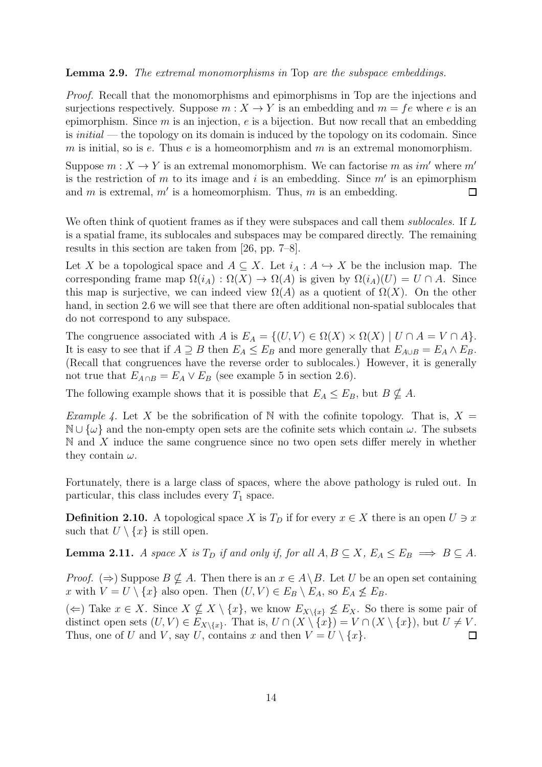#### Lemma 2.9. The extremal monomorphisms in Top are the subspace embeddings.

Proof. Recall that the monomorphisms and epimorphisms in Top are the injections and surjections respectively. Suppose  $m: X \to Y$  is an embedding and  $m = fe$  where e is an epimorphism. Since  $m$  is an injection,  $e$  is a bijection. But now recall that an embedding is *initial* — the topology on its domain is induced by the topology on its codomain. Since m is initial, so is  $e$ . Thus  $e$  is a homeomorphism and  $m$  is an extremal monomorphism.

Suppose  $m: X \to Y$  is an extremal monomorphism. We can factorise m as im' where m' is the restriction of  $m$  to its image and  $i$  is an embedding. Since  $m'$  is an epimorphism and  $m$  is extremal,  $m'$  is a homeomorphism. Thus,  $m$  is an embedding.  $\Box$ 

We often think of quotient frames as if they were subspaces and call them *sublocales*. If L is a spatial frame, its sublocales and subspaces may be compared directly. The remaining results in this section are taken from [\[26,](#page-54-4) pp. 7–8].

Let X be a topological space and  $A \subseteq X$ . Let  $i_A : A \hookrightarrow X$  be the inclusion map. The corresponding frame map  $\Omega(i_A) : \Omega(X) \to \Omega(A)$  is given by  $\Omega(i_A)(U) = U \cap A$ . Since this map is surjective, we can indeed view  $\Omega(A)$  as a quotient of  $\Omega(X)$ . On the other hand, in section [2.6](#page-21-0) we will see that there are often additional non-spatial sublocales that do not correspond to any subspace.

The congruence associated with A is  $E_A = \{(U, V) \in \Omega(X) \times \Omega(X) \mid U \cap A = V \cap A\}.$ It is easy to see that if  $A \supseteq B$  then  $E_A \leq E_B$  and more generally that  $E_{A\cup B} = E_A \wedge E_B$ . (Recall that congruences have the reverse order to sublocales.) However, it is generally not true that  $E_{A \cap B} = E_A \vee E_B$  (see example [5](#page-22-2) in section [2.6\)](#page-21-0).

The following example shows that it is possible that  $E_A \leq E_B$ , but  $B \nsubseteq A$ .

*Example 4.* Let X be the sobrification of N with the cofinite topology. That is,  $X =$  $\mathbb{N} \cup \{\omega\}$  and the non-empty open sets are the cofinite sets which contain  $\omega$ . The subsets  $\mathbb N$  and X induce the same congruence since no two open sets differ merely in whether they contain  $\omega$ .

<span id="page-17-0"></span>Fortunately, there is a large class of spaces, where the above pathology is ruled out. In particular, this class includes every  $T_1$  space.

**Definition 2.10.** A topological space X is  $T<sub>D</sub>$  if for every  $x \in X$  there is an open  $U \ni x$ such that  $U \setminus \{x\}$  is still open.

**Lemma 2.11.** A space X is  $T_D$  if and only if, for all  $A, B \subseteq X$ ,  $E_A \le E_B \implies B \subseteq A$ .

*Proof.* ( $\Rightarrow$ ) Suppose  $B \nsubseteq A$ . Then there is an  $x \in A \setminus B$ . Let U be an open set containing x with  $V = U \setminus \{x\}$  also open. Then  $(U, V) \in E_B \setminus E_A$ , so  $E_A \not\le E_B$ .

(←) Take  $x \in X$ . Since  $X \nsubseteq X \setminus \{x\}$ , we know  $E_{X\setminus\{x\}} \nsubseteq E_X$ . So there is some pair of distinct open sets  $(U, V) \in E_{X \setminus \{x\}}$ . That is,  $U \cap (X \setminus \{x\}) = V \cap (X \setminus \{x\})$ , but  $U \neq V$ . Thus, one of U and V, say U, contains x and then  $V = U \setminus \{x\}.$  $\Box$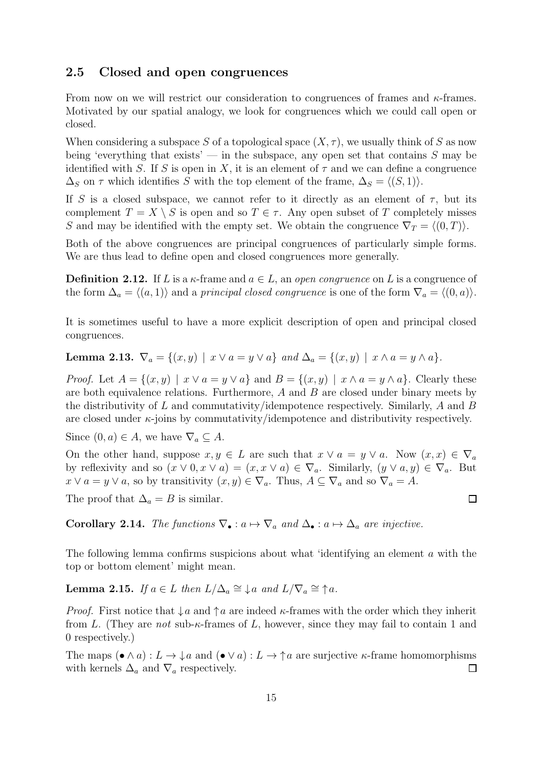#### <span id="page-18-0"></span>2.5 Closed and open congruences

From now on we will restrict our consideration to congruences of frames and  $\kappa$ -frames. Motivated by our spatial analogy, we look for congruences which we could call open or closed.

When considering a subspace S of a topological space  $(X, \tau)$ , we usually think of S as now being 'everything that exists' — in the subspace, any open set that contains  $S$  may be identified with S. If S is open in X, it is an element of  $\tau$  and we can define a congruence  $\Delta_S$  on  $\tau$  which identifies S with the top element of the frame,  $\Delta_S = \langle (S, 1) \rangle$ .

If S is a closed subspace, we cannot refer to it directly as an element of  $\tau$ , but its complement  $T = X \setminus S$  is open and so  $T \in \tau$ . Any open subset of T completely misses S and may be identified with the empty set. We obtain the congruence  $\nabla_T = \langle (0, T) \rangle$ .

Both of the above congruences are principal congruences of particularly simple forms. We are thus lead to define open and closed congruences more generally.

**Definition 2.12.** If L is a  $\kappa$ -frame and  $a \in L$ , an *open congruence* on L is a congruence of the form  $\Delta_a = \langle (a, 1) \rangle$  and a principal closed congruence is one of the form  $\nabla_a = \langle (0, a) \rangle$ .

<span id="page-18-1"></span>It is sometimes useful to have a more explicit description of open and principal closed congruences.

Lemma 2.13.  $\nabla_a = \{(x, y) \mid x \lor a = y \lor a\}$  and  $\Delta_a = \{(x, y) \mid x \land a = y \land a\}$ .

*Proof.* Let  $A = \{(x, y) \mid x \lor a = y \lor a\}$  and  $B = \{(x, y) \mid x \land a = y \land a\}$ . Clearly these are both equivalence relations. Furthermore, A and B are closed under binary meets by the distributivity of L and commutativity/idempotence respectively. Similarly, A and B are closed under  $\kappa$ -joins by commutativity/idempotence and distributivity respectively.

Since  $(0, a) \in A$ , we have  $\nabla_a \subseteq A$ .

On the other hand, suppose  $x, y \in L$  are such that  $x \vee a = y \vee a$ . Now  $(x, x) \in \nabla_a$ by reflexivity and so  $(x \vee 0, x \vee a) = (x, x \vee a) \in \nabla_a$ . Similarly,  $(y \vee a, y) \in \nabla_a$ . But  $x \vee a = y \vee a$ , so by transitivity  $(x, y) \in \nabla_a$ . Thus,  $A \subseteq \nabla_a$  and so  $\nabla_a = A$ .

The proof that  $\Delta_a = B$  is similar.

Corollary 2.14. The functions  $\nabla_{\bullet} : a \mapsto \nabla_a$  and  $\Delta_{\bullet} : a \mapsto \Delta_a$  are injective.

<span id="page-18-2"></span>The following lemma confirms suspicions about what 'identifying an element a with the top or bottom element' might mean.

**Lemma 2.15.** If  $a \in L$  then  $L/\Delta_a \cong \mathcal{L}a$  and  $L/\nabla_a \cong \uparrow a$ .

*Proof.* First notice that  $\downarrow a$  and  $\uparrow a$  are indeed  $\kappa$ -frames with the order which they inherit from L. (They are not sub- $\kappa$ -frames of L, however, since they may fail to contain 1 and 0 respectively.)

The maps  $(\bullet \wedge a): L \to \downarrow a$  and  $(\bullet \vee a): L \to \uparrow a$  are surjective  $\kappa$ -frame homomorphisms with kernels  $\Delta_a$  and  $\nabla_a$  respectively.  $\Box$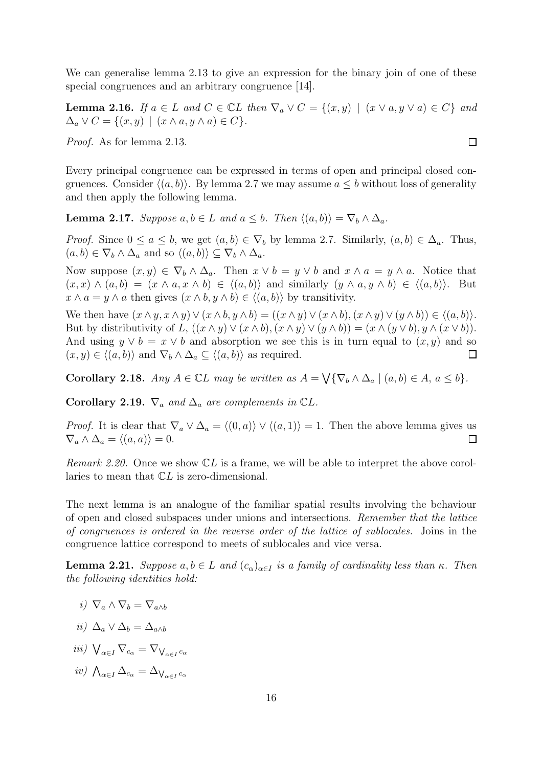<span id="page-19-1"></span>We can generalise lemma [2.13](#page-18-1) to give an expression for the binary join of one of these special congruences and an arbitrary congruence [\[14\]](#page-53-2).

**Lemma 2.16.** If  $a \in L$  and  $C \in \mathbb{C}$  then  $\nabla_a \vee C = \{(x, y) \mid (x \vee a, y \vee a) \in C\}$  and  $\Delta_a \vee C = \{ (x, y) \mid (x \wedge a, y \wedge a) \in C \}.$ 

Proof. As for lemma [2.13.](#page-18-1)

Every principal congruence can be expressed in terms of open and principal closed congruences. Consider  $\langle (a, b) \rangle$ . By lemma [2.7](#page-15-1) we may assume  $a \leq b$  without loss of generality and then apply the following lemma.

**Lemma 2.17.** Suppose  $a, b \in L$  and  $a \leq b$ . Then  $\langle (a, b) \rangle = \nabla_b \wedge \Delta_a$ .

*Proof.* Since  $0 \le a \le b$ , we get  $(a, b) \in \nabla_b$  by lemma [2.7.](#page-15-1) Similarly,  $(a, b) \in \Delta_a$ . Thus,  $(a, b) \in \nabla_b \wedge \Delta_a$  and so  $\langle (a, b) \rangle \subseteq \nabla_b \wedge \Delta_a$ .

Now suppose  $(x, y) \in \nabla_b \wedge \Delta_a$ . Then  $x \vee b = y \vee b$  and  $x \wedge a = y \wedge a$ . Notice that  $(x, x) \wedge (a, b) = (x \wedge a, x \wedge b) \in \langle (a, b) \rangle$  and similarly  $(y \wedge a, y \wedge b) \in \langle (a, b) \rangle$ . But  $x \wedge a = y \wedge a$  then gives  $(x \wedge b, y \wedge b) \in \langle (a, b) \rangle$  by transitivity.

We then have  $(x \wedge y, x \wedge y) \vee (x \wedge b, y \wedge b) = ((x \wedge y) \vee (x \wedge b), (x \wedge y) \vee (y \wedge b)) \in \langle (a, b) \rangle$ . But by distributivity of L,  $((x \wedge y) \vee (x \wedge b), (x \wedge y) \vee (y \wedge b)) = (x \wedge (y \vee b), y \wedge (x \vee b)).$ And using  $y \vee b = x \vee b$  and absorption we see this is in turn equal to  $(x, y)$  and so  $(x, y) \in \langle (a, b) \rangle$  and  $\nabla_b \wedge \Delta_a \subseteq \langle (a, b) \rangle$  as required.  $\Box$ 

<span id="page-19-2"></span>**Corollary 2.18.** Any  $A \in \mathbb{C}$ L may be written as  $A = \bigvee {\nabla_b \wedge \Delta_a \mid (a, b) \in A, a \le b}.$ 

<span id="page-19-3"></span>Corollary 2.19.  $\nabla_a$  and  $\Delta_a$  are complements in CL.

*Proof.* It is clear that  $\nabla_a \vee \Delta_a = \langle (0, a) \rangle \vee \langle (a, 1) \rangle = 1$ . Then the above lemma gives us  $\nabla_a \wedge \Delta_a = \langle (a, a) \rangle = 0.$  $\Box$ 

Remark 2.20. Once we show  $\mathbb{C}L$  is a frame, we will be able to interpret the above corollaries to mean that CL is zero-dimensional.

The next lemma is an analogue of the familiar spatial results involving the behaviour of open and closed subspaces under unions and intersections. Remember that the lattice of congruences is ordered in the reverse order of the lattice of sublocales. Joins in the congruence lattice correspond to meets of sublocales and vice versa.

<span id="page-19-0"></span>**Lemma 2.21.** Suppose  $a, b \in L$  and  $(c_{\alpha})_{\alpha \in I}$  is a family of cardinality less than  $\kappa$ . Then the following identities hold:

- i)  $\nabla_a \wedge \nabla_b = \nabla_{a \wedge b}$
- ii)  $\Delta_a \vee \Delta_b = \Delta_{a \wedge b}$
- iii)  $\bigvee_{\alpha \in I} \nabla_{c_{\alpha}} = \nabla_{\bigvee_{\alpha \in I} c_{\alpha}}$
- *iv*)  $\bigwedge_{\alpha \in I} \Delta_{c_{\alpha}} = \Delta_{\bigvee_{\alpha \in I} c_{\alpha}}$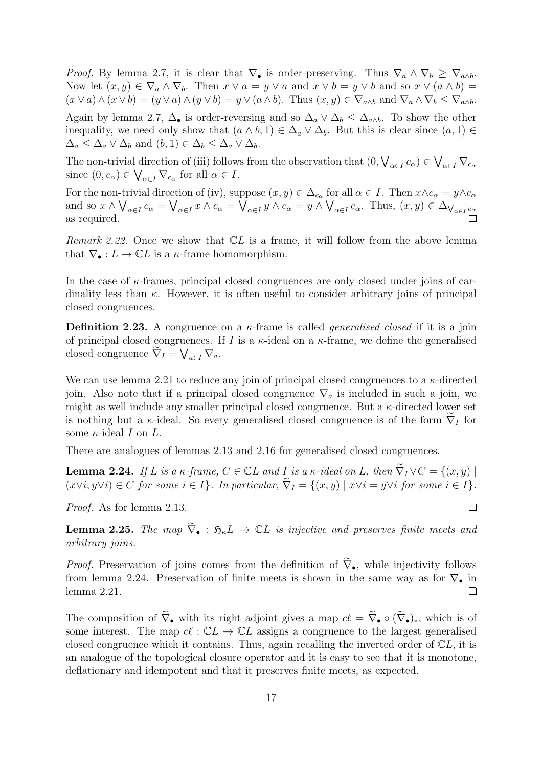*Proof.* By lemma [2.7,](#page-15-1) it is clear that  $\nabla_{\bullet}$  is order-preserving. Thus  $\nabla_a \wedge \nabla_b \geq \nabla_{a \wedge b}$ . Now let  $(x, y) \in \nabla_a \wedge \nabla_b$ . Then  $x \vee a = y \vee a$  and  $x \vee b = y \vee b$  and so  $x \vee (a \wedge b) = y$  $(x\vee a)\wedge(x\vee b)=(y\vee a)\wedge(y\vee b)=y\vee(a\wedge b)$ . Thus  $(x,y)\in\nabla_{a\wedge b}$  and  $\nabla_a\wedge\nabla_b\leq\nabla_{a\wedge b}$ . Again by lemma [2.7,](#page-15-1)  $\Delta_{\bullet}$  is order-reversing and so  $\Delta_a \vee \Delta_b \leq \Delta_{a\wedge b}$ . To show the other inequality, we need only show that  $(a \wedge b, 1) \in \Delta_a \vee \Delta_b$ . But this is clear since  $(a, 1) \in$  $\Delta_a \leq \Delta_a \vee \Delta_b$  and  $(b, 1) \in \Delta_b \leq \Delta_a \vee \Delta_b$ .

The non-trivial direction of (iii) follows from the observation that  $(0, \bigvee_{\alpha \in I} c_{\alpha}) \in \bigvee_{\alpha \in I} \nabla_{c_{\alpha}}$ since  $(0, c_{\alpha}) \in \bigvee_{\alpha \in I} \nabla_{c_{\alpha}}$  for all  $\alpha \in I$ .

For the non-trivial direction of (iv), suppose  $(x, y) \in \Delta_{c_\alpha}$  for all  $\alpha \in I$ . Then  $x \wedge c_\alpha = y \wedge c_\alpha$ and so  $x \wedge \bigvee_{\alpha \in I} c_{\alpha} = \bigvee_{\alpha \in I} x \wedge c_{\alpha} = \bigvee_{\alpha \in I} y \wedge c_{\alpha} = y \wedge \bigvee_{\alpha \in I} c_{\alpha}$ . Thus,  $(x, y) \in \Delta_{\bigvee_{\alpha \in I} c_{\alpha}}$ as required.

*Remark 2.22.* Once we show that  $CL$  is a frame, it will follow from the above lemma that  $\nabla_{\bullet}: L \to \mathbb{C}L$  is a  $\kappa$ -frame homomorphism.

In the case of  $\kappa$ -frames, principal closed congruences are only closed under joins of cardinality less than  $\kappa$ . However, it is often useful to consider arbitrary joins of principal closed congruences.

**Definition 2.23.** A congruence on a  $\kappa$ -frame is called *generalised closed* if it is a join of principal closed congruences. If I is a  $\kappa$ -ideal on a  $\kappa$ -frame, we define the generalised closed congruence  $\widetilde{\nabla}_I = \bigvee_{a \in I} \nabla_a$ .

We can use lemma [2.21](#page-19-0) to reduce any join of principal closed congruences to a  $\kappa$ -directed join. Also note that if a principal closed congruence  $\nabla_a$  is included in such a join, we might as well include any smaller principal closed congruence. But a  $\kappa$ -directed lower set is nothing but a  $\kappa$ -ideal. So every generalised closed congruence is of the form  $\nabla_I$  for some  $\kappa$ -ideal I on L.

<span id="page-20-0"></span>There are analogues of lemmas [2.13](#page-18-1) and [2.16](#page-19-1) for generalised closed congruences.

**Lemma 2.24.** If L is a  $\kappa$ -frame,  $C \in \mathbb{C}$  L and I is a  $\kappa$ -ideal on L, then  $\widetilde{\nabla}_I \vee C = \{(x, y) \mid$  $(x\vee i, y\vee i) \in C$  for some  $i \in I$ . In particular,  $\widetilde{\nabla}_I = \{(x, y) \mid x\vee i = y\vee i \text{ for some } i \in I\}.$ 

Proof. As for lemma [2.13.](#page-18-1)

**Lemma 2.25.** The map  $\tilde{\nabla}_{\bullet}$ :  $\mathfrak{H}_{\kappa}L \rightarrow \mathbb{C}L$  is injective and preserves finite meets and arbitrary joins.

*Proof.* Preservation of joins comes from the definition of  $\tilde{\nabla}_{\bullet}$ , while injectivity follows from lemma [2.24.](#page-20-0) Preservation of finite meets is shown in the same way as for  $\nabla_{\bullet}$  in lemma [2.21.](#page-19-0)  $\Box$ 

The composition of  $\tilde{\nabla}_{\bullet}$  with its right adjoint gives a map  $c\ell = \tilde{\nabla}_{\bullet} \circ (\tilde{\nabla}_{\bullet})_*$ , which is of some interest. The map  $cl : CL \to CL$  assigns a congruence to the largest generalised closed congruence which it contains. Thus, again recalling the inverted order of  $CL$ , it is an analogue of the topological closure operator and it is easy to see that it is monotone, deflationary and idempotent and that it preserves finite meets, as expected.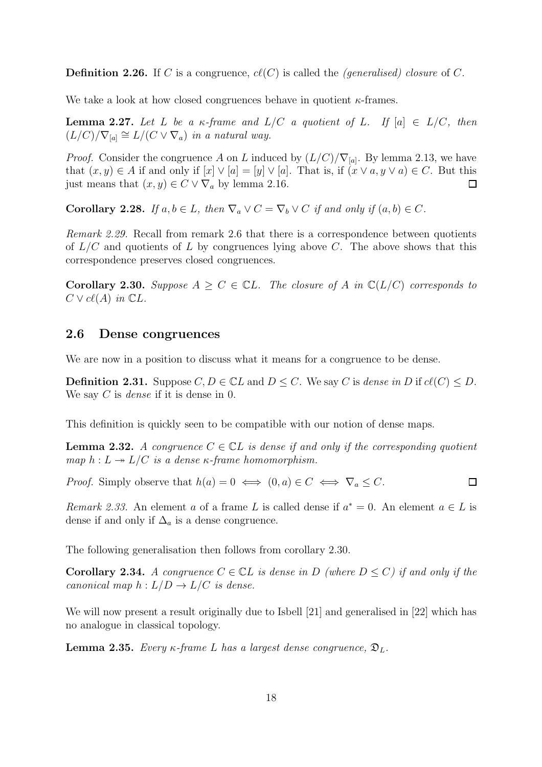**Definition 2.26.** If C is a congruence,  $cl(C)$  is called the *(generalised) closure* of C.

<span id="page-21-1"></span>We take a look at how closed congruences behave in quotient  $\kappa$ -frames.

**Lemma 2.27.** Let L be a  $\kappa$ -frame and  $L/C$  a quotient of L. If  $[a] \in L/C$ , then  $(L/C)/\nabla_{[a]} \cong L/(C \vee \nabla_a)$  in a natural way.

*Proof.* Consider the congruence A on L induced by  $(L/C)/\nabla_{[a]}$ . By lemma [2.13,](#page-18-1) we have that  $(x, y) \in A$  if and only if  $[x] \vee [a] = [y] \vee [a]$ . That is, if  $(x \vee a, y \vee a) \in C$ . But this just means that  $(x, y) \in C \vee \nabla_a$  by lemma [2.16.](#page-19-1)  $\Box$ 

<span id="page-21-3"></span>Corollary 2.28. If  $a, b \in L$ , then  $\nabla_a \vee C = \nabla_b \vee C$  if and only if  $(a, b) \in C$ .

Remark 2.29. Recall from remark [2.6](#page-15-2) that there is a correspondence between quotients of  $L/C$  and quotients of L by congruences lying above C. The above shows that this correspondence preserves closed congruences.

<span id="page-21-2"></span>**Corollary 2.30.** Suppose  $A \geq C \in \mathbb{C}$ . The closure of A in  $\mathbb{C}(L/C)$  corresponds to  $C \vee c\ell(A)$  in  $\mathbb{C}L$ .

## <span id="page-21-0"></span>2.6 Dense congruences

We are now in a position to discuss what it means for a congruence to be dense.

**Definition 2.31.** Suppose  $C, D \in \mathbb{C}$  and  $D \leq C$ . We say C is dense in D if  $cl(C) \leq D$ . We say  $C$  is *dense* if it is dense in 0.

This definition is quickly seen to be compatible with our notion of dense maps.

**Lemma 2.32.** A congruence  $C \in \mathbb{C}$  is dense if and only if the corresponding quotient map  $h: L \rightarrow L/C$  is a dense  $\kappa$ -frame homomorphism.

*Proof.* Simply observe that  $h(a) = 0 \iff (0, a) \in C \iff \nabla_a \leq C$ .  $\Box$ 

Remark 2.33. An element a of a frame L is called dense if  $a^* = 0$ . An element  $a \in L$  is dense if and only if  $\Delta_a$  is a dense congruence.

<span id="page-21-4"></span>The following generalisation then follows from corollary [2.30.](#page-21-2)

**Corollary 2.34.** A congruence  $C \in \mathbb{C}$  is dense in D (where  $D \leq C$ ) if and only if the canonical map  $h: L/D \to L/C$  is dense.

We will now present a result originally due to Isbell [\[21\]](#page-54-8) and generalised in [\[22\]](#page-54-0) which has no analogue in classical topology.

**Lemma 2.35.** Every  $\kappa$ -frame L has a largest dense congruence,  $\mathfrak{D}_L$ .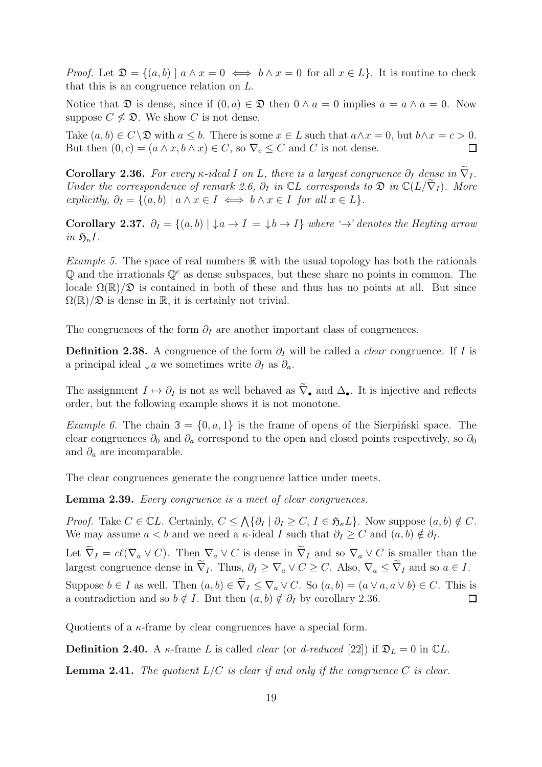*Proof.* Let  $\mathfrak{D} = \{(a, b) \mid a \wedge x = 0 \iff b \wedge x = 0 \text{ for all } x \in L\}$ . It is routine to check that this is an congruence relation on L.

Notice that  $\mathfrak D$  is dense, since if  $(0, a) \in \mathfrak D$  then  $0 \wedge a = 0$  implies  $a = a \wedge a = 0$ . Now suppose  $C \nless \mathfrak{D}$ . We show C is not dense.

Take  $(a, b) \in C \setminus \mathfrak{D}$  with  $a \leq b$ . There is some  $x \in L$  such that  $a \wedge x = 0$ , but  $b \wedge x = c > 0$ . But then  $(0, c) = (a \wedge x, b \wedge x) \in C$ , so  $\nabla_c \leq C$  and C is not dense.  $\Box$ 

<span id="page-22-3"></span>**Corollary 2.36.** For every  $\kappa$ -ideal I on L, there is a largest congruence  $\partial_I$  dense in  $\tilde{\nabla}_I$ . Under the correspondence of remark [2.6,](#page-15-2)  $\partial_I$  in  $\mathbb{C}L$  corresponds to  $\mathfrak{D}$  in  $\mathbb{C}(L/\tilde{\nabla}_I)$ . More explicitly,  $\partial_I = \{(a, b) \mid a \wedge x \in I \iff b \wedge x \in I \text{ for all } x \in L\}.$ 

<span id="page-22-4"></span>Corollary 2.37.  $\partial_I = \{(a, b) | \downarrow a \rightarrow I = \downarrow b \rightarrow I\}$  where  $\rightarrow$  denotes the Heyting arrow in  $\mathfrak{H}_{\kappa}I$ .

<span id="page-22-2"></span>*Example 5.* The space of real numbers  $\mathbb{R}$  with the usual topology has both the rationals  $\mathbb{Q}$  and the irrationals  $\mathbb{Q}^c$  as dense subspaces, but these share no points in common. The locale  $\Omega(\mathbb{R})/\mathfrak{D}$  is contained in both of these and thus has no points at all. But since  $\Omega(\mathbb{R})/\mathfrak{D}$  is dense in  $\mathbb{R}$ , it is certainly not trivial.

The congruences of the form  $\partial_I$  are another important class of congruences.

**Definition 2.38.** A congruence of the form  $\partial_I$  will be called a *clear* congruence. If I is a principal ideal  $\downarrow a$  we sometimes write  $\partial_I$  as  $\partial_a$ .

The assignment  $I \mapsto \partial_I$  is not as well behaved as  $\tilde{\nabla}_{\bullet}$  and  $\Delta_{\bullet}$ . It is injective and reflects order, but the following example shows it is not monotone.

*Example 6.* The chain  $\mathcal{F} = \{0, a, 1\}$  is the frame of opens of the Sierpinski space. The clear congruences  $\partial_0$  and  $\partial_a$  correspond to the open and closed points respectively, so  $\partial_0$ and  $\partial_a$  are incomparable.

<span id="page-22-0"></span>The clear congruences generate the congruence lattice under meets.

Lemma 2.39. Every congruence is a meet of clear congruences.

*Proof.* Take  $C \in \mathbb{C}L$ . Certainly,  $C \leq \bigwedge \{ \partial_I \mid \partial_I \geq C, I \in \mathfrak{H}_{\kappa}L \}$ . Now suppose  $(a, b) \notin C$ . We may assume  $a < b$  and we need a  $\kappa$ -ideal I such that  $\partial_I \geq C$  and  $(a, b) \notin \partial_I$ .

Let  $\widetilde{\nabla}_I = cl(\nabla_a \vee C)$ . Then  $\nabla_a \vee C$  is dense in  $\widetilde{\nabla}_I$  and so  $\nabla_a \vee C$  is smaller than the largest congruence dense in  $\tilde{\nabla}_I$ . Thus,  $\partial_I \geq \nabla_a \vee C \geq C$ . Also,  $\nabla_a \leq \tilde{\nabla}_I$  and so  $a \in I$ .

Suppose  $b \in I$  as well. Then  $(a, b) \in \tilde{\nabla}_I \leq \nabla_a \vee C$ . So  $(a, b) = (a \vee a, a \vee b) \in C$ . This is a contradiction and so  $b \notin I$ . But then  $(a, b) \notin \partial_I$  by corollary 2.36. a contradiction and so  $b \notin I$ . But then  $(a, b) \notin \partial_I$  by corollary [2.36.](#page-22-3)

Quotients of a  $\kappa$ -frame by clear congruences have a special form.

<span id="page-22-1"></span>**Definition 2.40.** A  $\kappa$ -frame L is called *clear* (or *d-reduced* [\[22\]](#page-54-0)) if  $\mathfrak{D}_L = 0$  in CL.

**Lemma 2.41.** The quotient  $L/C$  is clear if and only if the congruence C is clear.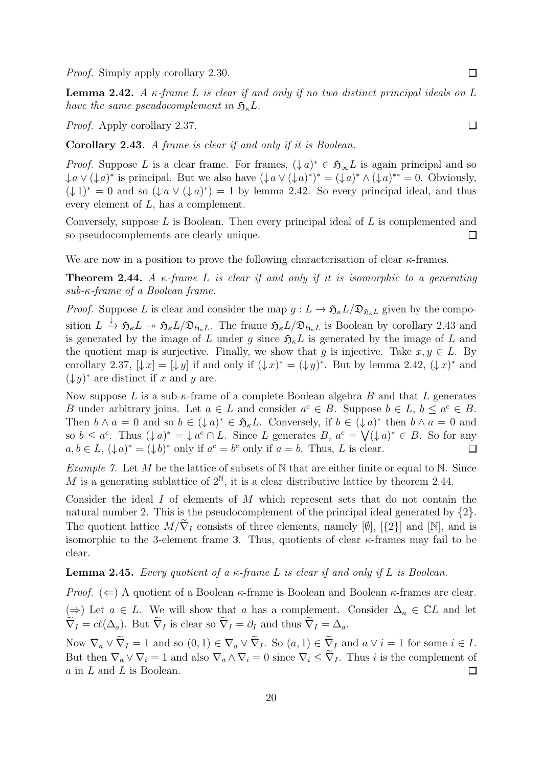<span id="page-23-2"></span>Proof. Simply apply corollary [2.30.](#page-21-2)

**Lemma 2.42.** A  $\kappa$ -frame L is clear if and only if no two distinct principal ideals on L have the same pseudocomplement in  $\mathfrak{H}_{\kappa}L$ .

<span id="page-23-0"></span>Proof. Apply corollary [2.37.](#page-22-4)

Corollary 2.43. A frame is clear if and only if it is Boolean.

*Proof.* Suppose L is a clear frame. For frames,  $(\downarrow a)^* \in \mathfrak{H}_{\infty}L$  is again principal and so  $\downarrow a \vee (\downarrow a)^*$  is principal. But we also have  $(\downarrow a \vee (\downarrow a)^*)^* = (\downarrow a)^* \wedge (\downarrow a)^{**} = 0$ . Obviously,  $(\downarrow 1)^* = 0$  and so  $(\downarrow a \vee (\downarrow a)^*) = 1$  by lemma [2.42.](#page-23-2) So every principal ideal, and thus every element of L, has a complement.

Conversely, suppose L is Boolean. Then every principal ideal of L is complemented and so pseudocomplements are clearly unique.  $\Box$ 

We are now in a position to prove the following characterisation of clear  $\kappa$ -frames.

**Theorem 2.44.** A  $\kappa$ -frame L is clear if and only if it is isomorphic to a generating sub-κ-frame of a Boolean frame.

*Proof.* Suppose L is clear and consider the map  $g: L \to \mathfrak{H}_{\kappa} L/\mathfrak{D}_{\mathfrak{H}_{\kappa} L}$  given by the composition  $L \xrightarrow{\downarrow} \mathfrak{H}_{\kappa}L \to \mathfrak{H}_{\kappa}L/\mathfrak{D}_{\mathfrak{H}_{\kappa}L}$ . The frame  $\mathfrak{H}_{\kappa}L/\mathfrak{D}_{\mathfrak{H}_{\kappa}L}$  is Boolean by corollary [2.43](#page-23-0) and is generated by the image of L under q since  $\mathfrak{H}_{\kappa}L$  is generated by the image of L and the quotient map is surjective. Finally, we show that q is injective. Take  $x, y \in L$ . By corollary [2.37,](#page-22-4)  $[\downarrow x] = [\downarrow y]$  if and only if  $(\downarrow x)^* = (\downarrow y)^*$ . But by lemma [2.42,](#page-23-2)  $(\downarrow x)^*$  and  $(\downarrow y)^*$  are distinct if x and y are.

Now suppose L is a sub- $\kappa$ -frame of a complete Boolean algebra B and that L generates B under arbitrary joins. Let  $a \in L$  and consider  $a^c \in B$ . Suppose  $b \in L$ ,  $b \le a^c \in B$ . Then  $b \wedge a = 0$  and so  $b \in (\downarrow a)^* \in \mathfrak{H}_{\kappa}L$ . Conversely, if  $b \in (\downarrow a)^*$  then  $b \wedge a = 0$  and so  $b \leq a^c$ . Thus  $(\downarrow a)^* = \downarrow a^c \cap L$ . Since L generates  $B, a^c = \bigvee (\downarrow a)^* \in B$ . So for any  $a, b \in L$ ,  $(\downarrow \! a)^* = (\downarrow \! b)^*$  only if  $a^c = b^c$  only if  $a = b$ . Thus, L is clear.  $\Box$ 

*Example 7.* Let  $M$  be the lattice of subsets of  $N$  that are either finite or equal to  $N$ . Since M is a generating sublattice of  $2^{\mathbb{N}}$ , it is a clear distributive lattice by theorem [2.44.](#page-23-1)

Consider the ideal I of elements of M which represent sets that do not contain the natural number 2. This is the pseudocomplement of the principal ideal generated by  $\{2\}$ . The quotient lattice  $M/\tilde{\nabla}_I$  consists of three elements, namely [Ø], [{2}] and [N], and is isomorphic to the 3-element frame 3. Thus, quotients of clear  $\kappa$ -frames may fail to be clear.

#### **Lemma 2.45.** Every quotient of a  $\kappa$ -frame L is clear if and only if L is Boolean.

*Proof.* ( $\Leftarrow$ ) A quotient of a Boolean  $\kappa$ -frame is Boolean and Boolean  $\kappa$ -frames are clear. (⇒) Let  $a \in L$ . We will show that a has a complement. Consider  $\Delta_a \in \mathbb{C}L$  and let  $\widetilde{\nabla}_I = cl(\Delta_a)$ . But  $\widetilde{\nabla}_I$  is clear so  $\widetilde{\nabla}_I = \partial_I$  and thus  $\widetilde{\nabla}_I = \Delta_a$ .

Now  $\nabla_a \vee \widetilde{\nabla}_I = 1$  and so  $(0, 1) \in \nabla_a \vee \widetilde{\nabla}_I$ . So  $(a, 1) \in \widetilde{\nabla}_I$  and  $a \vee i = 1$  for some  $i \in I$ . But then  $\nabla_a \vee \nabla_i = 1$  and also  $\nabla_a \wedge \nabla_i = 0$  since  $\nabla_i \leq \tilde{\nabla}_I$ . Thus *i* is the complement of *a* in *L* and *L* is Boolean. a in L and L is Boolean.

<span id="page-23-1"></span> $\Box$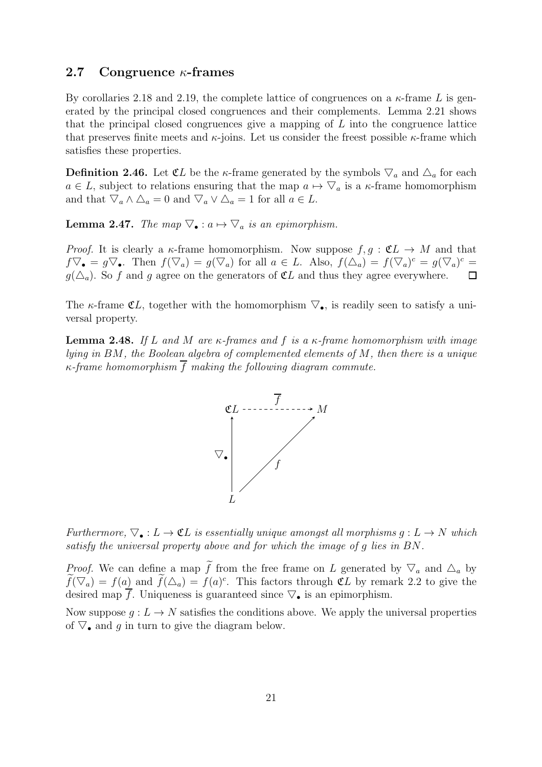#### <span id="page-24-0"></span>2.7 Congruence  $\kappa$ -frames

By corollaries [2.18](#page-19-2) and [2.19,](#page-19-3) the complete lattice of congruences on a  $\kappa$ -frame L is generated by the principal closed congruences and their complements. Lemma [2.21](#page-19-0) shows that the principal closed congruences give a mapping of L into the congruence lattice that preserves finite meets and  $\kappa$ -joins. Let us consider the freest possible  $\kappa$ -frame which satisfies these properties.

**Definition 2.46.** Let  $\mathfrak{C}L$  be the  $\kappa$ -frame generated by the symbols  $\nabla_a$  and  $\Delta_a$  for each  $a \in L$ , subject to relations ensuring that the map  $a \mapsto \nabla_a$  is a  $\kappa$ -frame homomorphism and that  $\nabla_a \wedge \Delta_a = 0$  and  $\nabla_a \vee \Delta_a = 1$  for all  $a \in L$ .

**Lemma 2.47.** The map  $\nabla_{\bullet} : a \mapsto$  $\overline{a}$ <sup>a</sup> is an epimorphism.

*Proof.* It is clearly a  $\kappa$ -frame homomorphism. Now suppose  $f, g : \mathfrak{C} \to M$  and that  $f \nabla_{\bullet} = g \nabla_{\bullet}$ . Then  $f(\nabla_a) = g(\nabla_a)$  for all  $a \in L$ . Also,  $f(\Delta_a) = f(\nabla_a)^c = g(\nabla_a)^c$ .  $q(\Delta_a)$ . So f and g agree on the generators of  $\mathfrak{C}L$  and thus they agree everywhere.

<span id="page-24-1"></span>The  $\kappa$ -frame  $\mathfrak{C}L$ , together with the homomorphism  $\triangledown_{\bullet}$ , is readily seen to satisfy a universal property.

**Lemma 2.48.** If L and M are  $\kappa$ -frames and f is a  $\kappa$ -frame homomorphism with image lying in BM, the Boolean algebra of complemented elements of M, then there is a unique  $\kappa$ -frame homomorphism  $\bar{f}$  making the following diagram commute.



Furthermore,  $\nabla_{\bullet}: L \to \mathfrak{C}L$  is essentially unique amongst all morphisms  $g: L \to N$  which satisfy the universal property above and for which the image of g lies in BN.

*Proof.* We can define a map  $\tilde{f}$  from the free frame on L generated by  $\nabla_a$  and  $\Delta_a$  by  $f(\nabla_a) = f(a)$  and  $f(\Delta_a) = f(a)^c$ . This factors through  $\mathfrak{C}L$  by remark [2.2](#page-14-2) to give the  $f(\sqrt{a}) = f(a)$  and  $f(\Delta a) = f(a)$ . This factors through  $\mathbb{C}^D$  by remarkeed since  $\mathbb{V}_{\bullet}$  is an epimorphism.

Now suppose  $q: L \to N$  satisfies the conditions above. We apply the universal properties Now suppose  $g: E \to N$  satisfies the conditions<br>of  $\nabla$ , and g in turn to give the diagram below.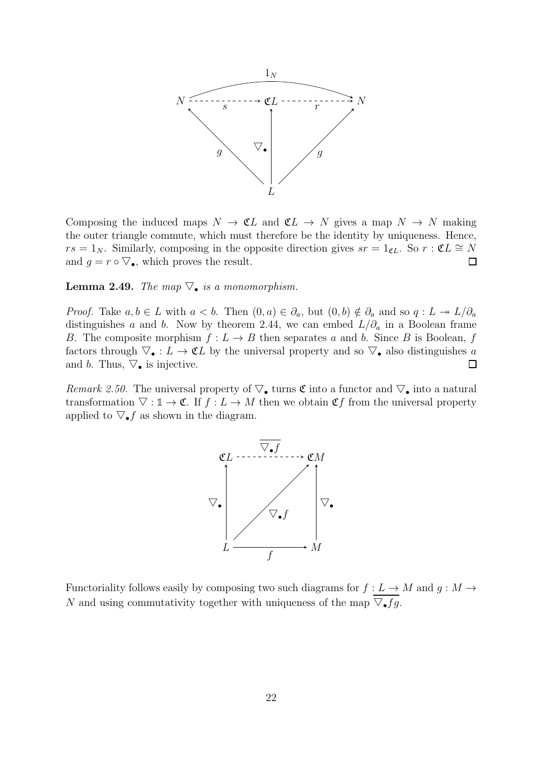

Composing the induced maps  $N \to \mathfrak{C}L$  and  $\mathfrak{C}L \to N$  gives a map  $N \to N$  making the outer triangle commute, which must therefore be the identity by uniqueness. Hence,  $rs = 1_N$ . Similarly, composing in the opposite direction gives  $sr = 1_{\mathfrak{C}L}$ . So  $r : \mathfrak{C}L \cong N$ and  $g = r \circ \nabla_{\bullet}$ , which proves the result.  $\Box$ 

<span id="page-25-0"></span>**Lemma 2.49.** The map  $\nabla_{\bullet}$  is a monomorphism.

*Proof.* Take  $a, b \in L$  with  $a < b$ . Then  $(0, a) \in \partial_a$ , but  $(0, b) \notin \partial_a$  and so  $q: L \twoheadrightarrow L/\partial_a$ distinguishes a and b. Now by theorem [2.44,](#page-23-1) we can embed  $L/\partial_a$  in a Boolean frame B. The composite morphism  $f: L \to B$  then separates a and b. Since B is Boolean, f B. The composite morphism  $f: L \to D$  then separates a and b. Since B is Boolean, f factors through  $\nabla_{\bullet}: L \to \mathfrak{C}L$  by the universal property and so  $\nabla_{\bullet}$  also distinguishes a and b. Thus,  $\nabla_{\bullet}$  is injective.  $\Box$ 

Remark 2.50. The universal property of  $\nabla_{\bullet}$  turns  ${\mathfrak{C}}$  into a functor and  $\nabla_{\bullet}$  into a natural transformation  $\nabla : \mathbb{1} \to \mathfrak{C}$ . If  $f : L \to M$  then we obtain  $\mathfrak{C}f$  from the universal property applied to  $\nabla_{\bullet} f$  as shown in the diagram.



Functoriality follows easily by composing two such diagrams for  $f: L \to M$  and  $g: M \to$ N and using commutativity together with uniqueness of the map  $\nabla_{\bullet} fg$ .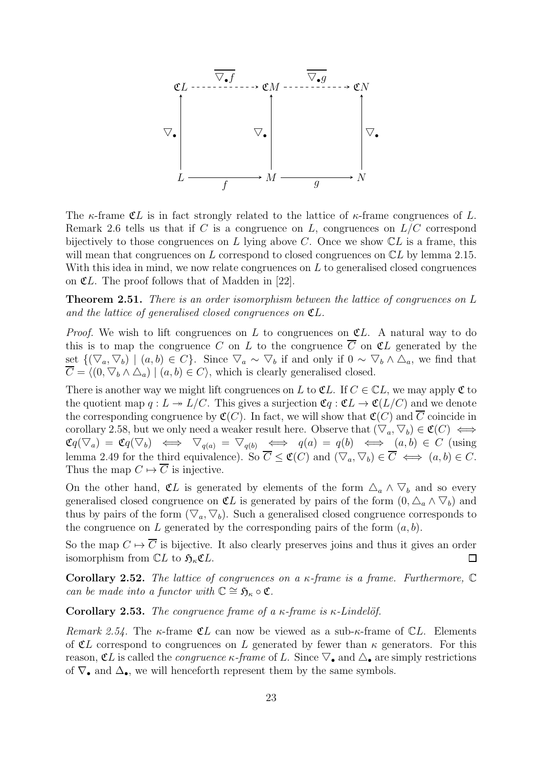

The  $\kappa$ -frame CL is in fact strongly related to the lattice of  $\kappa$ -frame congruences of L. Remark [2.6](#page-15-2) tells us that if  $C$  is a congruence on  $L$ , congruences on  $L/C$  correspond bijectively to those congruences on L lying above C. Once we show  $CL$  is a frame, this will mean that congruences on L correspond to closed congruences on  $CL$  by lemma [2.15.](#page-18-2) With this idea in mind, we now relate congruences on  $L$  to generalised closed congruences on  $CL$ . The proof follows that of Madden in [\[22\]](#page-54-0).

<span id="page-26-0"></span>**Theorem 2.51.** There is an order isomorphism between the lattice of congruences on L and the lattice of generalised closed congruences on  $\mathfrak{C}L$ .

*Proof.* We wish to lift congruences on L to congruences on  $CL$ . A natural way to do this is to map the congruence C on L to the congruence  $\overline{C}$  on  $\mathfrak{C}L$  generated by the set {( 。<br>、 a,  $(\nabla_b) | (a, b) \in C$ . Since  $(\nabla_a \sim$ ノ<br>一  $_b$  if and only if 0  $\sim$  $\frac{1}{\sqrt{2}}$  $(\nabla_b) \mid (a, b) \in C$ . Since  $\nabla_a \sim \nabla_b$  if and only if  $0 \sim \nabla_b \wedge \Delta_a$ , we find that  $C = \langle (0, \nabla_b \wedge \Delta_a) \mid (a, b) \in C \rangle$ , which is clearly generalised closed.

There is another way we might lift congruences on L to  $\mathfrak{C}L$ . If  $C \in \mathbb{C}L$ , we may apply  $\mathfrak C$  to the quotient map  $q: L \twoheadrightarrow L/C$ . This gives a surjection  $\mathfrak{C}q: \mathfrak{C}L \rightarrow \mathfrak{C}(L/C)$  and we denote the corresponding congruence by  $\mathfrak{C}(C)$ . In fact, we will show that  $\mathfrak{C}(C)$  and C coincide in corollary [2.58,](#page-27-2) but we only need a weaker result here. Observe that  $(\nabla_a, \nabla_b) \in \mathfrak{C}(C) \iff$  $\mathfrak{C} q($  $\frac{1}{\sqrt{2}}$  $(a) = \mathfrak{C}q($  $(\nabla_b) \iff \nabla_{q(a)} =$  $\frac{1}{\sqrt{2}}$  $\mathfrak{C}q(\nabla_a) = \mathfrak{C}q(\nabla_b) \iff \nabla_{q(a)} = \nabla_{q(b)} \iff q(a) = q(b) \iff (a, b) \in C \text{ (using }\n\text{lemma 2.49 for the third equivalence). So } \overline{C} \leq \mathfrak{C}(C) \text{ and } (\nabla_a, \nabla_b) \in \overline{C} \iff (a, b) \in C.$  $\mathfrak{C}q(\nabla_a) = \mathfrak{C}q(\nabla_b) \iff \nabla_{q(a)} = \nabla_{q(b)} \iff q(a) = q(b) \iff (a, b) \in C \text{ (using }\n\text{lemma 2.49 for the third equivalence). So } \overline{C} \leq \mathfrak{C}(C) \text{ and } (\nabla_a, \nabla_b) \in \overline{C} \iff (a, b) \in C.$  $\mathfrak{C}q(\nabla_a) = \mathfrak{C}q(\nabla_b) \iff \nabla_{q(a)} = \nabla_{q(b)} \iff q(a) = q(b) \iff (a, b) \in C \text{ (using }\n\text{lemma 2.49 for the third equivalence). So } \overline{C} \leq \mathfrak{C}(C) \text{ and } (\nabla_a, \nabla_b) \in \overline{C} \iff (a, b) \in C.$  $\overline{\phantom{0}}$  $(b) \in C \iff (a, b) \in C.$ Thus the map  $C \mapsto \overline{C}$  is injective.

On the other hand,  $\mathfrak{C}L$  is generated by elements of the form  $\Delta_a \wedge$  $\overline{a}$  $\mathbf{b}$  and so every generalised closed congruence on  $\mathfrak{C}L$  is generated by pairs of the form  $(0, \Delta_a \wedge \nabla_b)$  and thus by pairs of the form  $(\nabla_a, \nabla_b)$ . Such a generalised closed congruence corresponds to the congruence on L generated by the corresponding pairs of the form  $(a, b)$ .

So the map  $C \mapsto \overline{C}$  is bijective. It also clearly preserves joins and thus it gives an order isomorphism from  $\mathbb{C}L$  to  $\mathfrak{H}_{\kappa} \mathfrak{C}L$ .  $\Box$ 

**Corollary 2.52.** The lattice of congruences on a  $\kappa$ -frame is a frame. Furthermore,  $\mathbb{C}$ can be made into a functor with  $\mathbb{C} \cong \mathfrak{H}_{\kappa} \circ \mathfrak{C}$ .

<span id="page-26-1"></span>Corollary 2.53. The congruence frame of a  $\kappa$ -frame is  $\kappa$ -Lindelöf.

Remark 2.54. The  $\kappa$ -frame  $\mathfrak{C}L$  can now be viewed as a sub- $\kappa$ -frame of  $\mathbb{C}L$ . Elements of  $CL$  correspond to congruences on L generated by fewer than  $\kappa$  generators. For this **EVALUATE:** COTE SPOND TO CONGLUENCES ON *L* generated by lewer than *κ* generators. For this reason, **C**L is called the *congruence*  $\kappa$ -*frame* of *L*. Since  $\nabla$  and  $\Delta$  are simply restrict of  $\nabla_{\bullet}$  and  $\Delta_{\bullet}$ , we will henceforth represent them by the same symbols.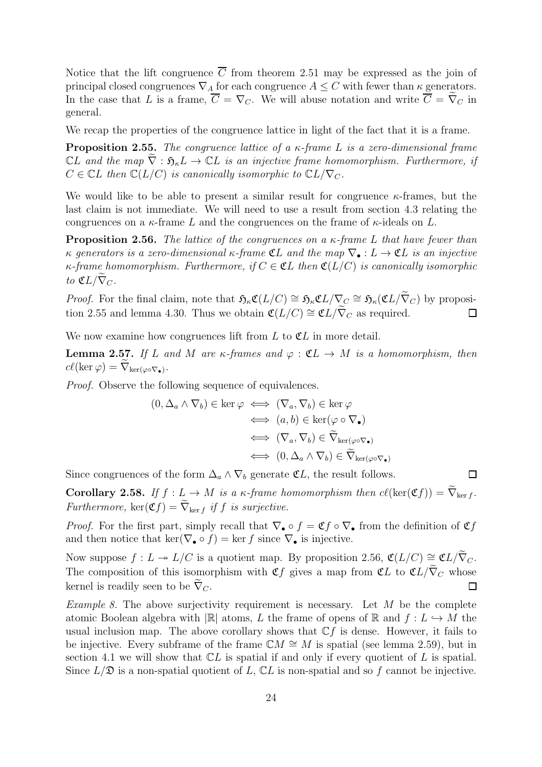Notice that the lift congruence  $\overline{C}$  from theorem [2.51](#page-26-0) may be expressed as the join of principal closed congruences  $\nabla_A$  for each congruence  $A \leq C$  with fewer than  $\kappa$  generators. In the case that L is a frame,  $\overline{C} = \nabla_C$ . We will abuse notation and write  $\overline{C} = \widetilde{\nabla}_C$  in general.

We recap the properties of the congruence lattice in light of the fact that it is a frame.

**Proposition 2.55.** The congruence lattice of a  $\kappa$ -frame L is a zero-dimensional frame  $CL$  and the map  $\nabla : \mathfrak{H}_k L \to \mathbb{C}L$  is an injective frame homomorphism. Furthermore, if  $C \in \mathbb{C}$ L then  $\mathbb{C}(L/C)$  is canonically isomorphic to  $\mathbb{C}L/\nabla_C$ .

We would like to be able to present a similar result for congruence  $\kappa$ -frames, but the last claim is not immediate. We will need to use a result from section [4.3](#page-49-0) relating the congruences on a  $\kappa$ -frame L and the congruences on the frame of  $\kappa$ -ideals on L.

**Proposition 2.56.** The lattice of the congruences on a  $\kappa$ -frame L that have fewer than κ generators is a zero-dimensional  $\kappa$ -frame  $\mathfrak{C}L$  and the map  $\nabla_{\bullet}: L \to \mathfrak{C}L$  is an injective  $\kappa$ -frame homomorphism. Furthermore, if  $C \in \mathfrak{C}L$  then  $\mathfrak{C}(L/C)$  is canonically isomorphic to  $\mathfrak{C}L/\overline{\nabla}_C$ .

*Proof.* For the final claim, note that  $\mathfrak{H}_{\kappa} \mathfrak{C}(L/C) \cong \mathfrak{H}_{\kappa} \mathfrak{C}(L/\nabla_{\mathcal{C}} \cong \mathfrak{H}_{\kappa}(\mathfrak{C}L/\nabla_{\mathcal{C}})$  by proposi-tion [2.55](#page-27-3) and lemma [4.30.](#page-49-1) Thus we obtain  $\mathfrak{C}(L/C) \cong \mathfrak{C}(L/\widetilde{\nabla}_C)$  as required.  $\Box$ 

<span id="page-27-1"></span>We now examine how congruences lift from  $L$  to  $\mathfrak{C}L$  in more detail.

**Lemma 2.57.** If L and M are  $\kappa$ -frames and  $\varphi : \mathfrak{C}L \to M$  is a homomorphism, then  $cl(\ker \varphi) = \nabla_{\ker(\varphi \circ \nabla_{\bullet})}.$ 

Proof. Observe the following sequence of equivalences.

$$
(0, \Delta_a \wedge \nabla_b) \in \ker \varphi \iff (\nabla_a, \nabla_b) \in \ker \varphi
$$
  

$$
\iff (a, b) \in \ker (\varphi \circ \nabla_{\bullet})
$$
  

$$
\iff (\nabla_a, \nabla_b) \in \widetilde{\nabla}_{\ker(\varphi \circ \nabla_{\bullet})}
$$
  

$$
\iff (0, \Delta_a \wedge \nabla_b) \in \widetilde{\nabla}_{\ker(\varphi \circ \nabla_{\bullet})}
$$

<span id="page-27-2"></span>Since congruences of the form  $\Delta_a \wedge \nabla_b$  generate  $\mathfrak{C}L$ , the result follows.

**Corollary 2.58.** If  $f : L \to M$  is a  $\kappa$ -frame homomorphism then  $cl(\ker(\mathfrak{C}f)) = \widetilde{\nabla}_{\ker f}$ . Furthermore,  $\ker(\mathfrak{C}f) = \widetilde{\nabla}_{\ker f}$  if f is surjective.

<span id="page-27-3"></span><span id="page-27-0"></span> $\Box$ 

*Proof.* For the first part, simply recall that  $\nabla_{\bullet} \circ f = \mathfrak{C} f \circ \nabla_{\bullet}$  from the definition of  $\mathfrak{C} f$ and then notice that ker( $\nabla_{\bullet} \circ f$ ) = ker f since  $\nabla_{\bullet}$  is injective.

Now suppose  $f: L \twoheadrightarrow L/C$  is a quotient map. By proposition [2.56,](#page-27-0)  $\mathfrak{C}(L/C) \cong \mathfrak{C}(L/\widetilde{\nabla}_C)$ . The composition of this isomorphism with  $\mathfrak{C}f$  gives a map from  $\mathfrak{C}L$  to  $\mathfrak{C}L/\widetilde{\nabla}_C$  whose kernel is readily seen to be  $\nabla_C$ .  $\Box$ 

*Example 8.* The above surjectivity requirement is necessary. Let  $M$  be the complete atomic Boolean algebra with  $\mathbb{R}$  atoms, L the frame of opens of R and  $f: L \hookrightarrow M$  the usual inclusion map. The above corollary shows that  $\mathbb{C}f$  is dense. However, it fails to be injective. Every subframe of the frame  $\mathbb{C}M \cong M$  is spatial (see lemma [2.59\)](#page-28-2), but in section [4.1](#page-44-1) we will show that  $CL$  is spatial if and only if every quotient of L is spatial. Since  $L/\mathfrak{D}$  is a non-spatial quotient of L,  $\mathbb{C}L$  is non-spatial and so f cannot be injective.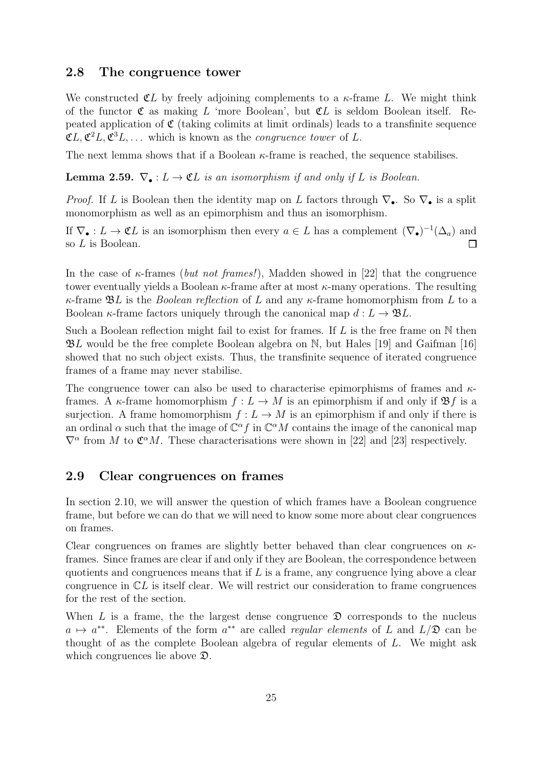#### <span id="page-28-0"></span>2.8 The congruence tower

We constructed  $CL$  by freely adjoining complements to a  $\kappa$ -frame L. We might think of the functor  $\mathfrak C$  as making L 'more Boolean', but  $\mathfrak C$ L is seldom Boolean itself. Repeated application of  $\mathfrak C$  (taking colimits at limit ordinals) leads to a transfinite sequence  $\mathfrak{C}L, \mathfrak{C}^2L, \mathfrak{C}^3L, \ldots$  which is known as the *congruence tower* of L.

<span id="page-28-2"></span>The next lemma shows that if a Boolean  $\kappa$ -frame is reached, the sequence stabilises.

**Lemma 2.59.**  $\nabla_{\bullet}: L \to \mathfrak{C}L$  is an isomorphism if and only if L is Boolean.

*Proof.* If L is Boolean then the identity map on L factors through  $\nabla_{\bullet}$ . So  $\nabla_{\bullet}$  is a split monomorphism as well as an epimorphism and thus an isomorphism.

If  $\nabla_{\bullet}: L \to \mathfrak{C}L$  is an isomorphism then every  $a \in L$  has a complement  $(\nabla_{\bullet})^{-1}(\Delta_a)$  and so  $L$  is Boolean.  $\Box$ 

In the case of  $\kappa$ -frames (but not frames!), Madden showed in [\[22\]](#page-54-0) that the congruence tower eventually yields a Boolean  $\kappa$ -frame after at most  $\kappa$ -many operations. The resulting  $\kappa$ -frame  $\mathfrak{B}L$  is the *Boolean reflection* of L and any  $\kappa$ -frame homomorphism from L to a Boolean  $\kappa$ -frame factors uniquely through the canonical map  $d: L \to \mathfrak{B}L$ .

Such a Boolean reflection might fail to exist for frames. If  $L$  is the free frame on  $N$  then  $\mathfrak{B}L$  would be the free complete Boolean algebra on N, but Hales [\[19\]](#page-54-9) and Gaifman [\[16\]](#page-53-13) showed that no such object exists. Thus, the transfinite sequence of iterated congruence frames of a frame may never stabilise.

The congruence tower can also be used to characterise epimorphisms of frames and  $\kappa$ frames. A  $\kappa$ -frame homomorphism  $f: L \to M$  is an epimorphism if and only if  $\mathfrak{B} f$  is a surjection. A frame homomorphism  $f: L \to M$  is an epimorphism if and only if there is an ordinal  $\alpha$  such that the image of  $\mathbb{C}^{\alpha} f$  in  $\mathbb{C}^{\alpha} M$  contains the image of the canonical map  $\nabla^{\alpha}$  from M to  $\mathfrak{C}^{\alpha}M$ . These characterisations were shown in [\[22\]](#page-54-0) and [\[23\]](#page-54-10) respectively.

## <span id="page-28-1"></span>2.9 Clear congruences on frames

In section [2.10,](#page-29-0) we will answer the question of which frames have a Boolean congruence frame, but before we can do that we will need to know some more about clear congruences on frames.

Clear congruences on frames are slightly better behaved than clear congruences on  $\kappa$ frames. Since frames are clear if and only if they are Boolean, the correspondence between quotients and congruences means that if  $L$  is a frame, any congruence lying above a clear congruence in  $\mathbb{C}L$  is itself clear. We will restrict our consideration to frame congruences for the rest of the section.

When  $L$  is a frame, the the largest dense congruence  $\mathfrak D$  corresponds to the nucleus  $a \mapsto a^{**}$ . Elements of the form  $a^{**}$  are called *regular elements* of L and  $L/\mathfrak{D}$  can be thought of as the complete Boolean algebra of regular elements of L. We might ask which congruences lie above  $\mathfrak{D}$ .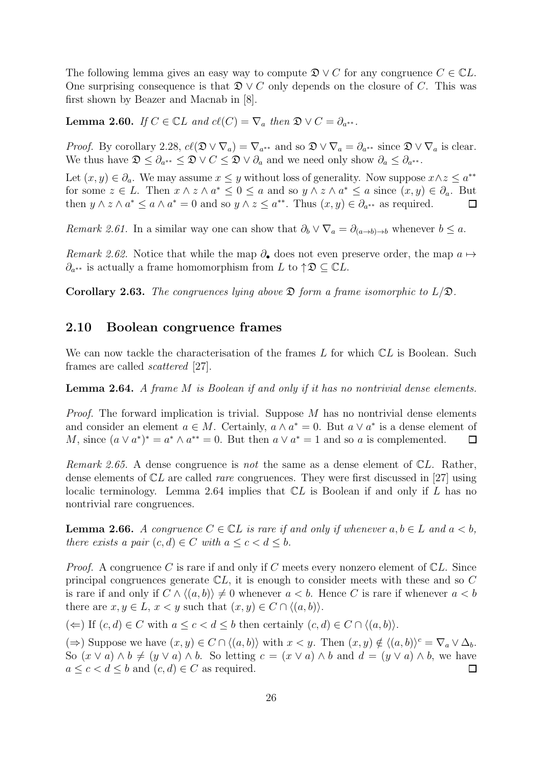The following lemma gives an easy way to compute  $\mathfrak{D} \vee C$  for any congruence  $C \in \mathbb{C}L$ . One surprising consequence is that  $\mathfrak{D} \vee C$  only depends on the closure of C. This was first shown by Beazer and Macnab in [\[8\]](#page-53-14).

<span id="page-29-3"></span>**Lemma 2.60.** If  $C \in \mathbb{C}$  and  $cl(C) = \nabla_a$  then  $\mathfrak{D} \vee C = \partial_{a^{**}}$ .

*Proof.* By corollary [2.28,](#page-21-3)  $cl(\mathfrak{D} \vee \nabla_a) = \nabla_{a^{**}}$  and so  $\mathfrak{D} \vee \nabla_a = \partial_{a^{**}}$  since  $\mathfrak{D} \vee \nabla_a$  is clear. We thus have  $\mathfrak{D} \leq \partial_{a^{**}} \leq \mathfrak{D} \vee C \leq \mathfrak{D} \vee \partial_a$  and we need only show  $\partial_a \leq \partial_{a^{**}}$ .

Let  $(x, y) \in \partial_a$ . We may assume  $x \leq y$  without loss of generality. Now suppose  $x \wedge z \leq a^{**}$ for some  $z \in L$ . Then  $x \wedge z \wedge a^* \leq 0 \leq a$  and so  $y \wedge z \wedge a^* \leq a$  since  $(x, y) \in \partial_a$ . But then  $y \wedge z \wedge a^* \leq a \wedge a^* = 0$  and so  $y \wedge z \leq a^{**}$ . Thus  $(x, y) \in \partial_{a^{**}}$  as required.  $\Box$ 

Remark 2.61. In a similar way one can show that  $\partial_b \vee \nabla_a = \partial_{(a\rightarrow b)\rightarrow b}$  whenever  $b \leq a$ .

Remark 2.62. Notice that while the map  $\partial_{\bullet}$  does not even preserve order, the map  $a \mapsto$  $\partial_{a^{**}}$  is actually a frame homomorphism from L to  $\uparrow \mathfrak{D} \subseteq \mathbb{C}L$ .

<span id="page-29-0"></span>**Corollary 2.63.** The congruences lying above  $\mathfrak D$  form a frame isomorphic to  $L/\mathfrak D$ .

#### 2.10 Boolean congruence frames

<span id="page-29-2"></span>We can now tackle the characterisation of the frames  $L$  for which  $\mathbb{C}L$  is Boolean. Such frames are called scattered [\[27\]](#page-54-1).

Lemma 2.64. A frame M is Boolean if and only if it has no nontrivial dense elements.

*Proof.* The forward implication is trivial. Suppose  $M$  has no nontrivial dense elements and consider an element  $a \in M$ . Certainly,  $a \wedge a^* = 0$ . But  $a \vee a^*$  is a dense element of M, since  $(a \vee a^*)^* = a^* \wedge a^{**} = 0$ . But then  $a \vee a^* = 1$  and so a is complemented.  $\Box$ 

Remark 2.65. A dense congruence is not the same as a dense element of  $CL$ . Rather, dense elements of  $CL$  are called *rare* congruences. They were first discussed in [\[27\]](#page-54-1) using localic terminology. Lemma [2.64](#page-29-2) implies that  $CL$  is Boolean if and only if  $L$  has no nontrivial rare congruences.

<span id="page-29-1"></span>**Lemma 2.66.** A congruence  $C \in \mathbb{C}$  is rare if and only if whenever  $a, b \in L$  and  $a < b$ , there exists a pair  $(c, d) \in C$  with  $a \leq c < d \leq b$ .

*Proof.* A congruence C is rare if and only if C meets every nonzero element of  $\mathbb{C}L$ . Since principal congruences generate  $\mathbb{C}L$ , it is enough to consider meets with these and so C is rare if and only if  $C \wedge \langle (a, b) \rangle \neq 0$  whenever  $a < b$ . Hence C is rare if whenever  $a < b$ there are  $x, y \in L$ ,  $x < y$  such that  $(x, y) \in C \cap \langle (a, b) \rangle$ .

(←) If  $(c, d) \in C$  with  $a \leq c < d \leq b$  then certainly  $(c, d) \in C \cap \langle (a, b) \rangle$ .

( $\Rightarrow$ ) Suppose we have  $(x, y) \in C \cap \langle (a, b) \rangle$  with  $x < y$ . Then  $(x, y) \notin \langle (a, b) \rangle^c = \nabla_a \vee \Delta_b$ . So  $(x \vee a) \wedge b \neq (y \vee a) \wedge b$ . So letting  $c = (x \vee a) \wedge b$  and  $d = (y \vee a) \wedge b$ , we have  $a \leq c < d \leq b$  and  $(c, d) \in C$  as required.  $\Box$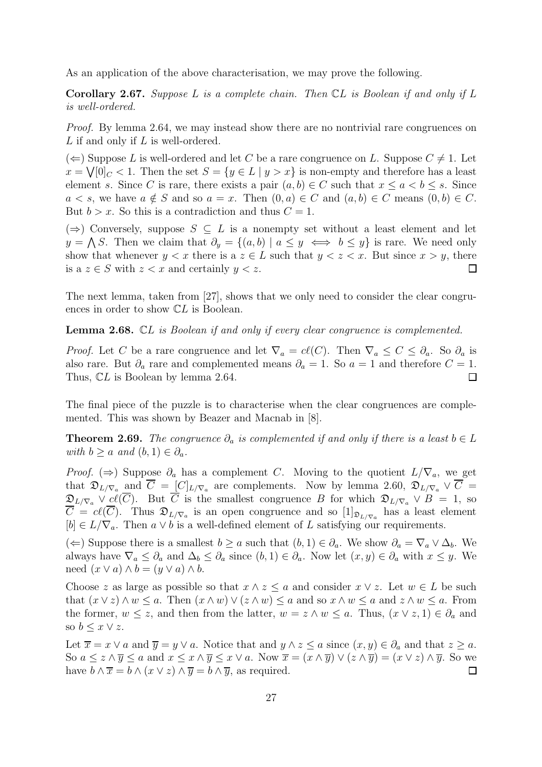As an application of the above characterisation, we may prove the following.

**Corollary 2.67.** Suppose L is a complete chain. Then  $CL$  is Boolean if and only if L is well-ordered.

Proof. By lemma [2.64,](#page-29-2) we may instead show there are no nontrivial rare congruences on L if and only if L is well-ordered.

 $(\Leftarrow)$  Suppose L is well-ordered and let C be a rare congruence on L. Suppose  $C \neq 1$ . Let  $x = \sqrt{0/c} < 1$ . Then the set  $S = \{y \in L \mid y > x\}$  is non-empty and therefore has a least element s. Since C is rare, there exists a pair  $(a, b) \in C$  such that  $x \le a \le b \le s$ . Since  $a < s$ , we have  $a \notin S$  and so  $a = x$ . Then  $(0, a) \in C$  and  $(a, b) \in C$  means  $(0, b) \in C$ . But  $b > x$ . So this is a contradiction and thus  $C = 1$ .

(⇒) Conversely, suppose  $S \subseteq L$  is a nonempty set without a least element and let  $y = \bigwedge S$ . Then we claim that  $\partial_y = \{(a, b) \mid a \leq y \iff b \leq y\}$  is rare. We need only show that whenever  $y < x$  there is a  $z \in L$  such that  $y < z < x$ . But since  $x > y$ , there is a  $z \in S$  with  $z < x$  and certainly  $y < z$ .  $\Box$ 

The next lemma, taken from [\[27\]](#page-54-1), shows that we only need to consider the clear congruences in order to show CL is Boolean.

Lemma 2.68. CL is Boolean if and only if every clear congruence is complemented.

*Proof.* Let C be a rare congruence and let  $\nabla_a = c\ell(C)$ . Then  $\nabla_a \leq C \leq \partial_a$ . So  $\partial_a$  is also rare. But  $\partial_a$  rare and complemented means  $\partial_a = 1$ . So  $a = 1$  and therefore  $C = 1$ . Thus,  $CL$  is Boolean by lemma [2.64.](#page-29-2)  $\Box$ 

The final piece of the puzzle is to characterise when the clear congruences are complemented. This was shown by Beazer and Macnab in [\[8\]](#page-53-14).

**Theorem 2.69.** The congruence  $\partial_a$  is complemented if and only if there is a least  $b \in L$ with  $b \ge a$  and  $(b, 1) \in \partial_a$ .

*Proof.* (⇒) Suppose  $\partial_a$  has a complement C. Moving to the quotient  $L/\nabla_a$ , we get that  $\mathfrak{D}_{L/\nabla_a}$  and  $C = [C]_{L/\nabla_a}$  are complements. Now by lemma [2.60,](#page-29-3)  $\mathfrak{D}_{L/\nabla_a} \vee C =$  $\mathfrak{D}_{L/\nabla_a} \vee cl(C)$ . But C is the smallest congruence B for which  $\mathfrak{D}_{L/\nabla_a} \vee B = 1$ , so  $C = cl(C)$ . Thus  $\mathfrak{D}_{L/\nabla_a}$  is an open congruence and so  $[1]_{\mathfrak{D}_{L/\nabla_a}}$  has a least element  $[b] \in L/\nabla_a$ . Then  $a \vee b$  is a well-defined element of L satisfying our requirements.

(←) Suppose there is a smallest  $b \ge a$  such that  $(b, 1) \in \partial_a$ . We show  $\partial_a = \nabla_a \vee \Delta_b$ . We always have  $\nabla_a \leq \partial_a$  and  $\Delta_b \leq \partial_a$  since  $(b, 1) \in \partial_a$ . Now let  $(x, y) \in \partial_a$  with  $x \leq y$ . We need  $(x \vee a) \wedge b = (y \vee a) \wedge b$ .

Choose z as large as possible so that  $x \wedge z \leq a$  and consider  $x \vee z$ . Let  $w \in L$  be such that  $(x \vee z) \wedge w \leq a$ . Then  $(x \wedge w) \vee (z \wedge w) \leq a$  and so  $x \wedge w \leq a$  and  $z \wedge w \leq a$ . From the former,  $w \leq z$ , and then from the latter,  $w = z \wedge w \leq a$ . Thus,  $(x \vee z, 1) \in \partial_a$  and so  $b \leq x \vee z$ .

Let  $\overline{x} = x \vee a$  and  $\overline{y} = y \vee a$ . Notice that and  $y \wedge z \le a$  since  $(x, y) \in \partial_a$  and that  $z \ge a$ . So  $a \leq z \wedge \overline{y} \leq a$  and  $x \leq x \wedge \overline{y} \leq x \vee a$ . Now  $\overline{x} = (x \wedge \overline{y}) \vee (z \wedge \overline{y}) = (x \vee z) \wedge \overline{y}$ . So we have  $b \wedge \overline{x} = b \wedge (x \vee z) \wedge \overline{y} = b \wedge \overline{y}$ , as required.  $\Box$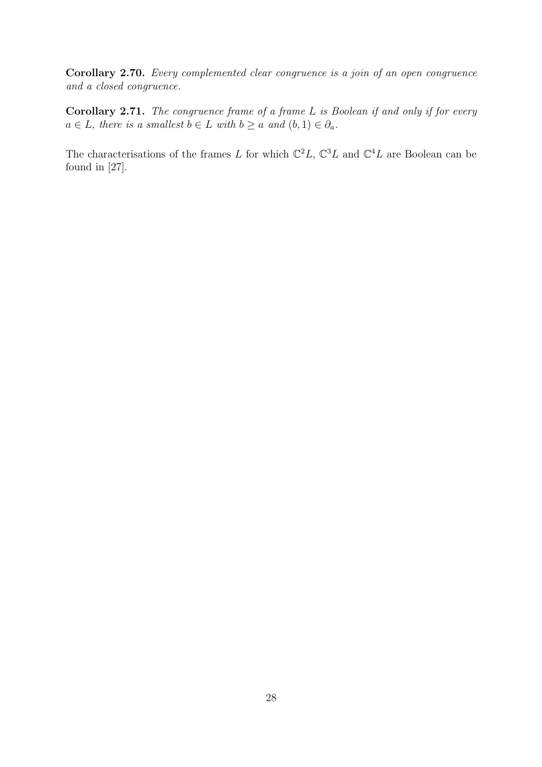Corollary 2.70. Every complemented clear congruence is a join of an open congruence and a closed congruence.

Corollary 2.71. The congruence frame of a frame L is Boolean if and only if for every  $a \in L$ , there is a smallest  $b \in L$  with  $b \ge a$  and  $(b, 1) \in \partial_a$ .

The characterisations of the frames L for which  $\mathbb{C}^2 L$ ,  $\mathbb{C}^3 L$  and  $\mathbb{C}^4 L$  are Boolean can be found in [\[27\]](#page-54-1).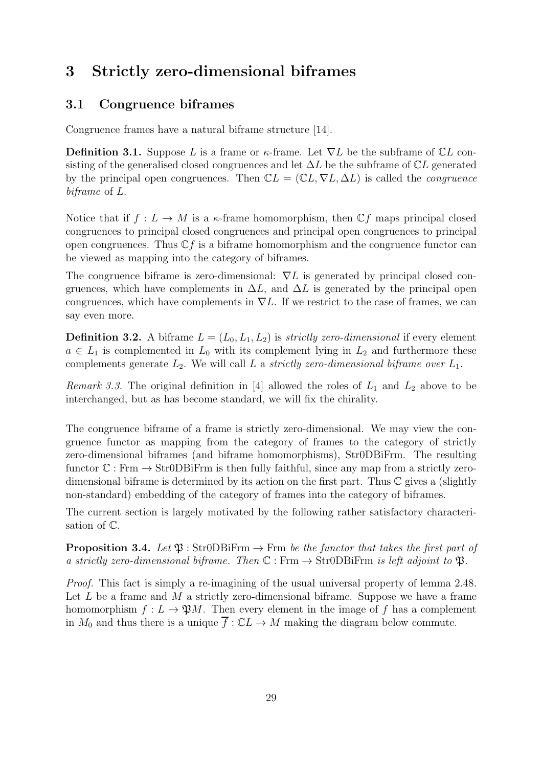# <span id="page-32-1"></span><span id="page-32-0"></span>3 Strictly zero-dimensional biframes

## 3.1 Congruence biframes

Congruence frames have a natural biframe structure [\[14\]](#page-53-2).

**Definition 3.1.** Suppose L is a frame or  $\kappa$ -frame. Let  $\nabla L$  be the subframe of  $\mathbb{C}L$  consisting of the generalised closed congruences and let  $\Delta L$  be the subframe of  $\mathbb{C}L$  generated by the principal open congruences. Then  $\mathbb{C}L = (\mathbb{C}L, \nabla L, \Delta L)$  is called the *congruence* biframe of L.

Notice that if  $f: L \to M$  is a  $\kappa$ -frame homomorphism, then  $\mathbb{C} f$  maps principal closed congruences to principal closed congruences and principal open congruences to principal open congruences. Thus  $\mathbb{C} f$  is a biframe homomorphism and the congruence functor can be viewed as mapping into the category of biframes.

The congruence biframe is zero-dimensional:  $\nabla L$  is generated by principal closed congruences, which have complements in  $\Delta L$ , and  $\Delta L$  is generated by the principal open congruences, which have complements in  $\nabla L$ . If we restrict to the case of frames, we can say even more.

**Definition 3.2.** A biframe  $L = (L_0, L_1, L_2)$  is *strictly zero-dimensional* if every element  $a \in L_1$  is complemented in  $L_0$  with its complement lying in  $L_2$  and furthermore these complements generate  $L_2$ . We will call L a strictly zero-dimensional biframe over  $L_1$ .

*Remark 3.3.* The original definition in [\[4\]](#page-53-3) allowed the roles of  $L_1$  and  $L_2$  above to be interchanged, but as has become standard, we will fix the chirality.

The congruence biframe of a frame is strictly zero-dimensional. We may view the congruence functor as mapping from the category of frames to the category of strictly zero-dimensional biframes (and biframe homomorphisms), Str0DBiFrm. The resulting functor  $\mathbb{C} : \text{Frm} \to \text{Str0DBiFrm}$  is then fully faithful, since any map from a strictly zerodimensional biframe is determined by its action on the first part. Thus  $\mathbb C$  gives a (slightly non-standard) embedding of the category of frames into the category of biframes.

<span id="page-32-2"></span>The current section is largely motivated by the following rather satisfactory characterisation of C.

**Proposition 3.4.** Let  $\mathfrak{P}$  : Str0DBiFrm  $\rightarrow$  Frm be the functor that takes the first part of a strictly zero-dimensional biframe. Then  $\mathbb{C} : \text{Frm} \to \text{Str} 0DBi \text{Frm}$  is left adjoint to  $\mathfrak{P}$ .

Proof. This fact is simply a re-imagining of the usual universal property of lemma [2.48.](#page-24-1) Let  $L$  be a frame and  $M$  a strictly zero-dimensional biframe. Suppose we have a frame homomorphism  $f: L \to \mathfrak{P}M$ . Then every element in the image of f has a complement in  $M_0$  and thus there is a unique  $\overline{f} : \mathbb{C}L \to M$  making the diagram below commute.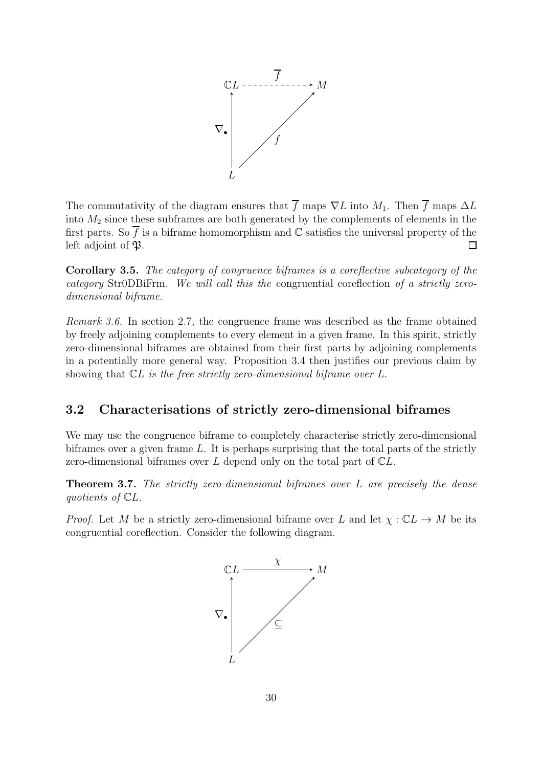

The commutativity of the diagram ensures that  $\overline{f}$  maps  $\nabla L$  into  $M_1$ . Then  $\overline{f}$  maps  $\Delta L$ into  $M_2$  since these subframes are both generated by the complements of elements in the first parts. So  $\overline{f}$  is a biframe homomorphism and  $\mathbb C$  satisfies the universal property of the left adjoint of  $\mathfrak{B}$ .  $\Box$ 

Corollary 3.5. The category of congruence biframes is a coreflective subcategory of the category Str0DBiFrm. We will call this the congruential coreflection of a strictly zerodimensional biframe.

Remark 3.6. In section [2.7,](#page-24-0) the congruence frame was described as the frame obtained by freely adjoining complements to every element in a given frame. In this spirit, strictly zero-dimensional biframes are obtained from their first parts by adjoining complements in a potentially more general way. Proposition [3.4](#page-32-2) then justifies our previous claim by showing that  $CL$  is the free strictly zero-dimensional biframe over  $L$ .

## <span id="page-33-0"></span>3.2 Characterisations of strictly zero-dimensional biframes

We may use the congruence biframe to completely characterise strictly zero-dimensional biframes over a given frame  $L$ . It is perhaps surprising that the total parts of the strictly zero-dimensional biframes over  $L$  depend only on the total part of  $\mathbb{C}L$ .

**Theorem 3.7.** The strictly zero-dimensional biframes over L are precisely the dense quotients of CL.

*Proof.* Let M be a strictly zero-dimensional biframe over L and let  $\chi : \mathbb{C}L \to M$  be its congruential coreflection. Consider the following diagram.

<span id="page-33-1"></span>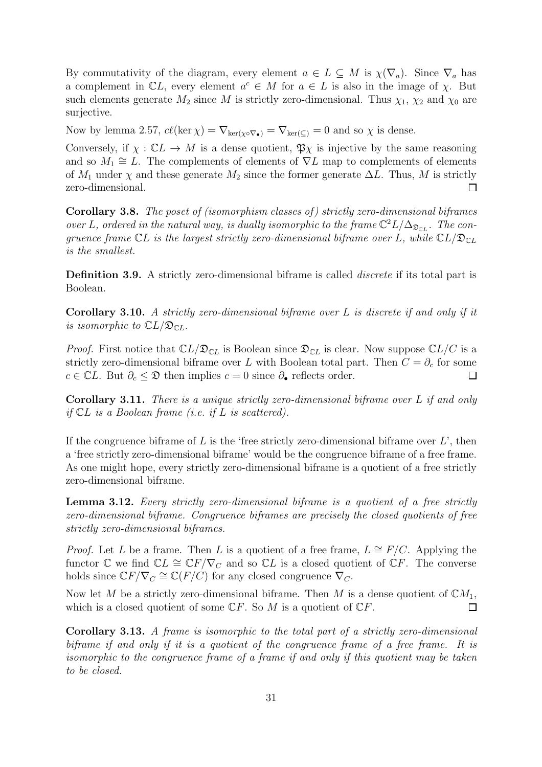By commutativity of the diagram, every element  $a \in L \subseteq M$  is  $\chi(\nabla_a)$ . Since  $\nabla_a$  has a complement in  $\mathbb{C}L$ , every element  $a^c \in M$  for  $a \in L$  is also in the image of  $\chi$ . But such elements generate  $M_2$  since M is strictly zero-dimensional. Thus  $\chi_1$ ,  $\chi_2$  and  $\chi_0$  are surjective.

Now by lemma [2.57,](#page-27-1)  $c\ell(\ker \chi) = \nabla_{\ker(\chi \circ \nabla_{\bullet})} = \nabla_{\ker(\zeta)} = 0$  and so  $\chi$  is dense.

Conversely, if  $\chi : \mathbb{C}^L \to M$  is a dense quotient,  $\mathfrak{P}_\chi$  is injective by the same reasoning and so  $M_1 \cong L$ . The complements of elements of  $\nabla L$  map to complements of elements of  $M_1$  under  $\chi$  and these generate  $M_2$  since the former generate  $\Delta L$ . Thus, M is strictly zero-dimensional.  $\Box$ 

Corollary 3.8. The poset of (isomorphism classes of) strictly zero-dimensional biframes over L, ordered in the natural way, is dually isomorphic to the frame  $\mathbb{C}^2 L/\Delta_{\mathfrak{D}_{CL}}$ . The congruence frame  $CL$  is the largest strictly zero-dimensional biframe over L, while  $CL/\mathfrak{D}_{CL}$ is the smallest.

Definition 3.9. A strictly zero-dimensional biframe is called *discrete* if its total part is Boolean.

<span id="page-34-0"></span>**Corollary 3.10.** A strictly zero-dimensional biframe over L is discrete if and only if it is isomorphic to  $\mathbb{C}L/\mathfrak{D}_{\mathbb{C}L}$ .

*Proof.* First notice that  $\mathbb{C}L/\mathfrak{D}_{\mathbb{C}L}$  is Boolean since  $\mathfrak{D}_{\mathbb{C}L}$  is clear. Now suppose  $\mathbb{C}L/C$  is a strictly zero-dimensional biframe over L with Boolean total part. Then  $C = \partial_c$  for some  $c \in \mathbb{C}L$ . But  $\partial_c \leq \mathfrak{D}$  then implies  $c = 0$  since  $\partial_{\bullet}$  reflects order.  $\Box$ 

<span id="page-34-1"></span>Corollary 3.11. There is a unique strictly zero-dimensional biframe over L if and only if  $CL$  is a Boolean frame (i.e. if  $L$  is scattered).

If the congruence biframe of L is the 'free strictly zero-dimensional biframe over  $L'$ , then a 'free strictly zero-dimensional biframe' would be the congruence biframe of a free frame. As one might hope, every strictly zero-dimensional biframe is a quotient of a free strictly zero-dimensional biframe.

Lemma 3.12. Every strictly zero-dimensional biframe is a quotient of a free strictly zero-dimensional biframe. Congruence biframes are precisely the closed quotients of free strictly zero-dimensional biframes.

*Proof.* Let L be a frame. Then L is a quotient of a free frame,  $L \cong F/C$ . Applying the functor C we find  $\mathbb{C}L \cong \mathbb{C}F/\nabla_C$  and so  $\mathbb{C}L$  is a closed quotient of  $\mathbb{C}F$ . The converse holds since  $\mathbb{C}F/\nabla_C \cong \mathbb{C}(F/C)$  for any closed congruence  $\overline{\nabla}_C$ .

Now let M be a strictly zero-dimensional biframe. Then M is a dense quotient of  $\mathbb{C}M_1$ , which is a closed quotient of some  $\mathbb{C}F$ . So M is a quotient of  $\mathbb{C}F$ .  $\Box$ 

Corollary 3.13. A frame is isomorphic to the total part of a strictly zero-dimensional biframe if and only if it is a quotient of the congruence frame of a free frame. It is isomorphic to the congruence frame of a frame if and only if this quotient may be taken to be closed.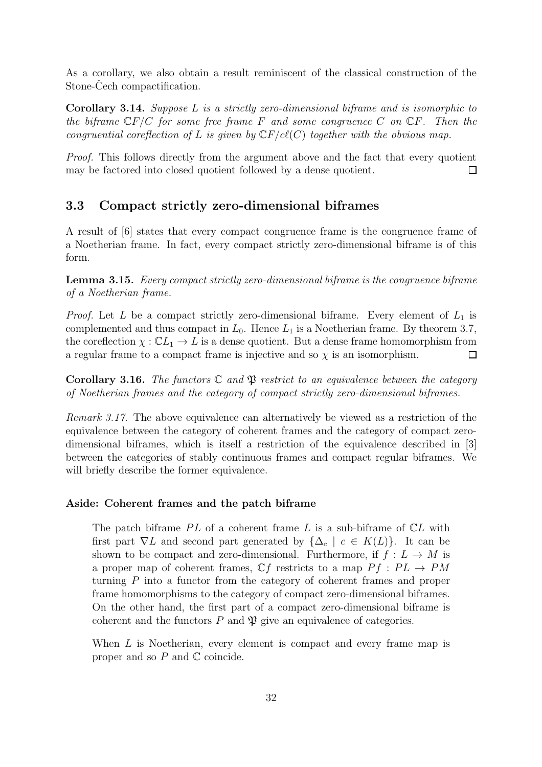As a corollary, we also obtain a result reminiscent of the classical construction of the Stone-Cech compactification.

Corollary 3.14. Suppose L is a strictly zero-dimensional biframe and is isomorphic to the biframe  $\mathbb{C}F/C$  for some free frame F and some congruence C on  $\mathbb{C}F$ . Then the congruential coreflection of L is given by  $CF/c\ell(C)$  together with the obvious map.

Proof. This follows directly from the argument above and the fact that every quotient may be factored into closed quotient followed by a dense quotient.  $\Box$ 

#### <span id="page-35-0"></span>3.3 Compact strictly zero-dimensional biframes

<span id="page-35-1"></span>A result of [\[6\]](#page-53-15) states that every compact congruence frame is the congruence frame of a Noetherian frame. In fact, every compact strictly zero-dimensional biframe is of this form.

Lemma 3.15. Every compact strictly zero-dimensional biframe is the congruence biframe of a Noetherian frame.

*Proof.* Let L be a compact strictly zero-dimensional biframe. Every element of  $L_1$  is complemented and thus compact in  $L_0$ . Hence  $L_1$  is a Noetherian frame. By theorem [3.7,](#page-33-1) the coreflection  $\chi : \mathbb{C}L_1 \to L$  is a dense quotient. But a dense frame homomorphism from a regular frame to a compact frame is injective and so  $\chi$  is an isomorphism.  $\Box$ 

**Corollary 3.16.** The functors  $\mathbb C$  and  $\mathfrak P$  restrict to an equivalence between the category of Noetherian frames and the category of compact strictly zero-dimensional biframes.

Remark 3.17. The above equivalence can alternatively be viewed as a restriction of the equivalence between the category of coherent frames and the category of compact zerodimensional biframes, which is itself a restriction of the equivalence described in [\[3\]](#page-53-16) between the categories of stably continuous frames and compact regular biframes. We will briefly describe the former equivalence.

#### Aside: Coherent frames and the patch biframe

The patch biframe  $PL$  of a coherent frame L is a sub-biframe of  $CL$  with first part  $\nabla L$  and second part generated by  $\{\Delta_c \mid c \in K(L)\}\$ . It can be shown to be compact and zero-dimensional. Furthermore, if  $f: L \to M$  is a proper map of coherent frames,  $\mathbb{C} f$  restricts to a map  $P f : PL \rightarrow PM$ turning P into a functor from the category of coherent frames and proper frame homomorphisms to the category of compact zero-dimensional biframes. On the other hand, the first part of a compact zero-dimensional biframe is coherent and the functors  $P$  and  $\mathfrak P$  give an equivalence of categories.

When  $L$  is Noetherian, every element is compact and every frame map is proper and so  $P$  and  $\mathbb C$  coincide.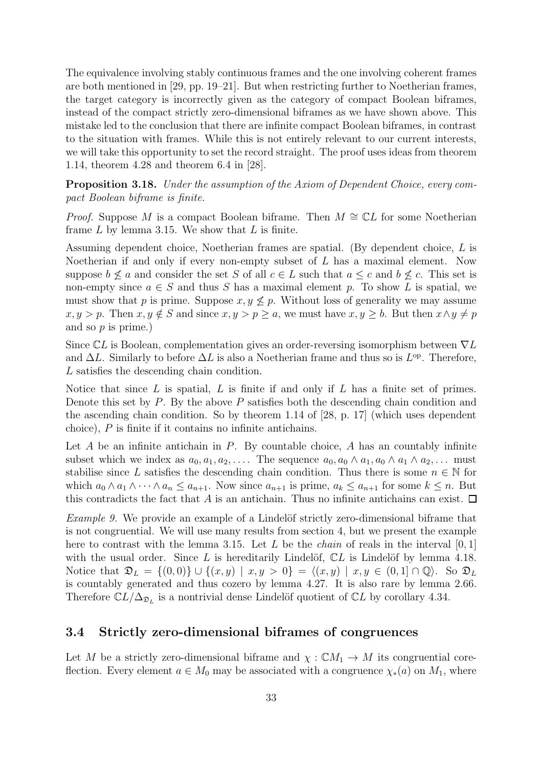The equivalence involving stably continuous frames and the one involving coherent frames are both mentioned in [\[29,](#page-54-2) pp. 19–21]. But when restricting further to Noetherian frames, the target category is incorrectly given as the category of compact Boolean biframes, instead of the compact strictly zero-dimensional biframes as we have shown above. This mistake led to the conclusion that there are infinite compact Boolean biframes, in contrast to the situation with frames. While this is not entirely relevant to our current interests, we will take this opportunity to set the record straight. The proof uses ideas from theorem 1.14, theorem 4.28 and theorem 6.4 in [\[28\]](#page-54-3).

<span id="page-36-2"></span>Proposition 3.18. Under the assumption of the Axiom of Dependent Choice, every compact Boolean biframe is finite.

*Proof.* Suppose M is a compact Boolean biframe. Then  $M \cong \mathbb{C}L$  for some Noetherian frame  $L$  by lemma [3.15.](#page-35-1) We show that  $L$  is finite.

Assuming dependent choice, Noetherian frames are spatial. (By dependent choice, L is Noetherian if and only if every non-empty subset of L has a maximal element. Now suppose  $b \nleq a$  and consider the set S of all  $c \in L$  such that  $a \leq c$  and  $b \nleq c$ . This set is non-empty since  $a \in S$  and thus S has a maximal element p. To show L is spatial, we must show that p is prime. Suppose  $x, y \nleq p$ . Without loss of generality we may assume  $x, y > p$ . Then  $x, y \notin S$  and since  $x, y > p \ge a$ , we must have  $x, y \ge b$ . But then  $x \wedge y \ne p$ and so  $p$  is prime.)

Since  $\mathbb{C}L$  is Boolean, complementation gives an order-reversing isomorphism between  $\nabla L$ and  $\Delta L$ . Similarly to before  $\Delta L$  is also a Noetherian frame and thus so is  $L^{op}$ . Therefore, L satisfies the descending chain condition.

Notice that since  $L$  is spatial,  $L$  is finite if and only if  $L$  has a finite set of primes. Denote this set by P. By the above P satisfies both the descending chain condition and the ascending chain condition. So by theorem 1.14 of [\[28,](#page-54-3) p. 17] (which uses dependent choice), P is finite if it contains no infinite antichains.

Let A be an infinite antichain in P. By countable choice, A has an countably infinite subset which we index as  $a_0, a_1, a_2, \ldots$  The sequence  $a_0, a_0 \wedge a_1, a_0 \wedge a_1 \wedge a_2, \ldots$  must stabilise since L satisfies the descending chain condition. Thus there is some  $n \in \mathbb{N}$  for which  $a_0 \wedge a_1 \wedge \cdots \wedge a_n \le a_{n+1}$ . Now since  $a_{n+1}$  is prime,  $a_k \le a_{n+1}$  for some  $k \le n$ . But this contradicts the fact that A is an antichain. Thus no infinite antichains can exist.  $\Box$ 

<span id="page-36-1"></span>*Example 9.* We provide an example of a Lindelöf strictly zero-dimensional biframe that is not congruential. We will use many results from section [4,](#page-44-0) but we present the example here to contrast with the lemma [3.15.](#page-35-1) Let L be the *chain* of reals in the interval  $[0, 1]$ with the usual order. Since  $L$  is hereditarily Lindelöf,  $CL$  is Lindelöf by lemma [4.18.](#page-47-0) Notice that  $\mathfrak{D}_L = \{(0,0)\} \cup \{(x,y) \mid x,y>0\} = \langle (x,y) \mid x,y \in (0,1] \cap \mathbb{Q} \rangle$ . So  $\mathfrak{D}_L$ is countably generated and thus cozero by lemma [4.27.](#page-49-2) It is also rare by lemma [2.66.](#page-29-1) Therefore  $\mathbb{C}L/\Delta_{\mathfrak{D}_L}$  is a nontrivial dense Lindelöf quotient of  $\mathbb{C}L$  by corollary [4.34.](#page-51-0)

#### <span id="page-36-0"></span>3.4 Strictly zero-dimensional biframes of congruences

Let M be a strictly zero-dimensional biframe and  $\chi : \mathbb{C}M_1 \to M$  its congruential coreflection. Every element  $a \in M_0$  may be associated with a congruence  $\chi_*(a)$  on  $M_1$ , where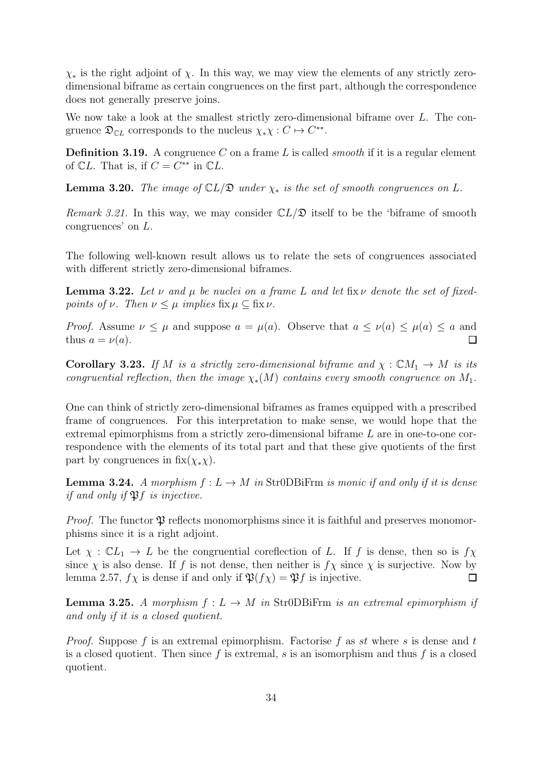$\chi_*$  is the right adjoint of  $\chi$ . In this way, we may view the elements of any strictly zerodimensional biframe as certain congruences on the first part, although the correspondence does not generally preserve joins.

We now take a look at the smallest strictly zero-dimensional biframe over L. The congruence  $\mathfrak{D}_{\mathbb{C}L}$  corresponds to the nucleus  $\chi_*\chi: C \mapsto C^{**}$ .

**Definition 3.19.** A congruence C on a frame L is called *smooth* if it is a regular element of  $\mathbb{C}L$ . That is, if  $C = C^{**}$  in  $\mathbb{C}L$ .

<span id="page-37-1"></span>**Lemma 3.20.** The image of  $CL/\mathfrak{D}$  under  $\chi_*$  is the set of smooth congruences on L.

Remark 3.21. In this way, we may consider  $CL/\mathfrak{D}$  itself to be the 'biframe of smooth congruences' on L.

The following well-known result allows us to relate the sets of congruences associated with different strictly zero-dimensional biframes.

**Lemma 3.22.** Let  $\nu$  and  $\mu$  be nuclei on a frame L and let fix  $\nu$  denote the set of fixedpoints of  $\nu$ . Then  $\nu \leq \mu$  implies fix  $\mu \subseteq$  fix  $\nu$ .

*Proof.* Assume  $\nu \leq \mu$  and suppose  $a = \mu(a)$ . Observe that  $a \leq \nu(a) \leq \mu(a) \leq a$  and thus  $a = \nu(a)$ . П

<span id="page-37-2"></span>**Corollary 3.23.** If M is a strictly zero-dimensional biframe and  $\chi : CM_1 \rightarrow M$  is its congruential reflection, then the image  $\chi_*(M)$  contains every smooth congruence on  $M_1$ .

One can think of strictly zero-dimensional biframes as frames equipped with a prescribed frame of congruences. For this interpretation to make sense, we would hope that the extremal epimorphisms from a strictly zero-dimensional biframe L are in one-to-one correspondence with the elements of its total part and that these give quotients of the first part by congruences in  $fix(\chi_*\chi)$ .

<span id="page-37-0"></span>**Lemma 3.24.** A morphism  $f: L \to M$  in Str0DBiFrm is monic if and only if it is dense if and only if  $\mathfrak{P}f$  is injective.

*Proof.* The functor  $\mathfrak P$  reflects monomorphisms since it is faithful and preserves monomorphisms since it is a right adjoint.

Let  $\chi : \mathbb{C}L_1 \to L$  be the congruential coreflection of L. If f is dense, then so is  $f\chi$ since  $\chi$  is also dense. If f is not dense, then neither is  $f\chi$  since  $\chi$  is surjective. Now by lemma [2.57,](#page-27-1)  $f\chi$  is dense if and only if  $\mathfrak{P}(f\chi) = \mathfrak{P}f$  is injective.  $\Box$ 

**Lemma 3.25.** A morphism  $f: L \to M$  in Str0DBiFrm is an extremal epimorphism if and only if it is a closed quotient.

*Proof.* Suppose f is an extremal epimorphism. Factorise f as st where s is dense and t is a closed quotient. Then since  $f$  is extremal,  $s$  is an isomorphism and thus  $f$  is a closed quotient.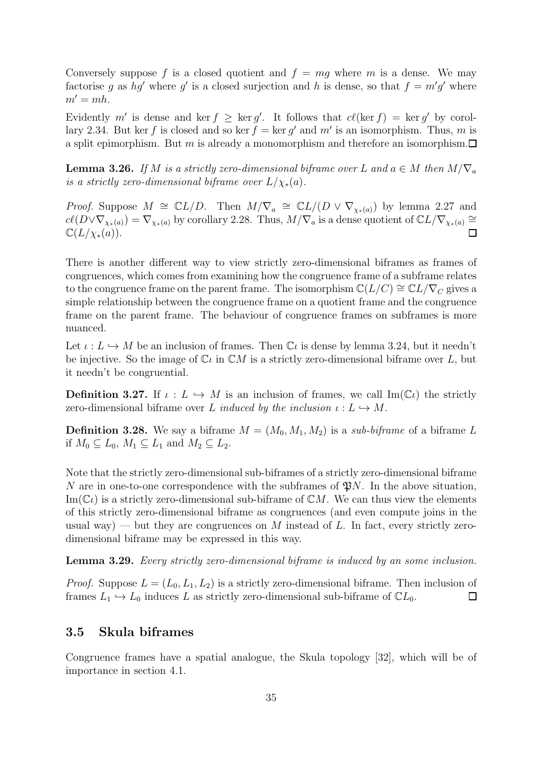Conversely suppose f is a closed quotient and  $f = mq$  where m is a dense. We may factorise g as hg' where g' is a closed surjection and h is dense, so that  $f = m'g'$  where  $m' = mh$ .

Evidently m' is dense and ker  $f \geq \ker g'$ . It follows that  $c\ell(\ker f) = \ker g'$  by corol-lary [2.34.](#page-21-4) But ker f is closed and so ker  $f = \ker g'$  and m' is an isomorphism. Thus, m is a split epimorphism. But m is already a monomorphism and therefore an isomorphism.  $\Box$ 

<span id="page-38-1"></span>**Lemma 3.26.** If M is a strictly zero-dimensional biframe over L and  $a \in M$  then  $M/\nabla_a$ is a strictly zero-dimensional biframe over  $L/\chi_*(a)$ .

*Proof.* Suppose  $M \cong \mathbb{C}L/D$ . Then  $M/\nabla_a \cong \mathbb{C}L/(D \vee \nabla_{\chi_*(a)})$  by lemma [2.27](#page-21-1) and  $c\ell(D\vee\nabla_{\chi_*(a)})=\nabla_{\chi_*(a)}$  by corollary [2.28.](#page-21-3) Thus,  $M/\nabla_a$  is a dense quotient of  $\mathbb{C}L/\nabla_{\chi_*(a)}\cong$  $\mathbb{C}(L/\chi_*(a)).$  $\Box$ 

There is another different way to view strictly zero-dimensional biframes as frames of congruences, which comes from examining how the congruence frame of a subframe relates to the congruence frame on the parent frame. The isomorphism  $\mathbb{C}(L/C) \cong \mathbb{C}L/\nabla_C$  gives a simple relationship between the congruence frame on a quotient frame and the congruence frame on the parent frame. The behaviour of congruence frames on subframes is more nuanced.

Let  $\iota: L \hookrightarrow M$  be an inclusion of frames. Then  $\mathbb{C}\iota$  is dense by lemma [3.24,](#page-37-0) but it needn't be injective. So the image of  $\mathbb{C}\iota$  in  $\mathbb{C}M$  is a strictly zero-dimensional biframe over L, but it needn't be congruential.

**Definition 3.27.** If  $\iota: L \hookrightarrow M$  is an inclusion of frames, we call  $\text{Im}(\mathbb{C}\iota)$  the strictly zero-dimensional biframe over L induced by the inclusion  $\iota: L \hookrightarrow M$ .

**Definition 3.28.** We say a biframe  $M = (M_0, M_1, M_2)$  is a sub-biframe of a biframe L if  $M_0 \subseteq L_0$ ,  $M_1 \subseteq L_1$  and  $M_2 \subseteq L_2$ .

Note that the strictly zero-dimensional sub-biframes of a strictly zero-dimensional biframe N are in one-to-one correspondence with the subframes of  $\mathfrak{P}N$ . In the above situation,  $\text{Im}(\mathbb{C}\ell)$  is a strictly zero-dimensional sub-biframe of  $\mathbb{C}M$ . We can thus view the elements of this strictly zero-dimensional biframe as congruences (and even compute joins in the usual way) — but they are congruences on M instead of L. In fact, every strictly zerodimensional biframe may be expressed in this way.

Lemma 3.29. Every strictly zero-dimensional biframe is induced by an some inclusion.

*Proof.* Suppose  $L = (L_0, L_1, L_2)$  is a strictly zero-dimensional biframe. Then inclusion of frames  $L_1 \hookrightarrow L_0$  induces L as strictly zero-dimensional sub-biframe of  $\mathbb{C}L_0$ .  $\Box$ 

#### <span id="page-38-0"></span>3.5 Skula biframes

Congruence frames have a spatial analogue, the Skula topology [\[32\]](#page-54-11), which will be of importance in section [4.1.](#page-44-1)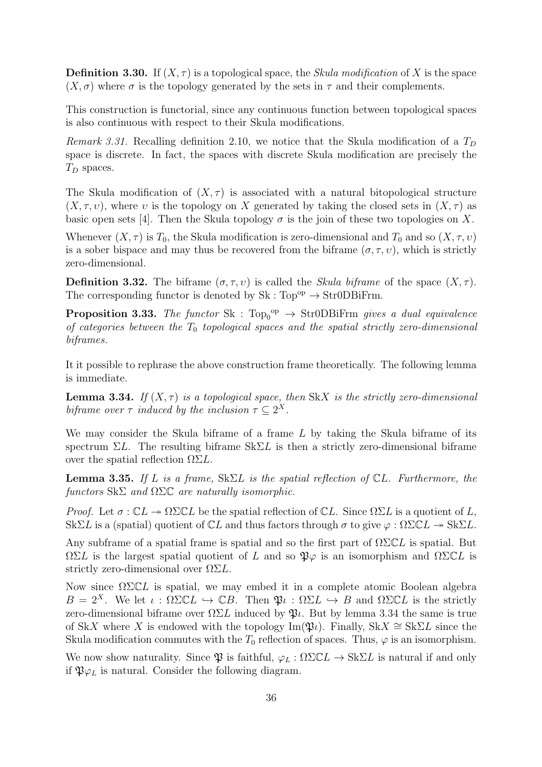**Definition 3.30.** If  $(X, \tau)$  is a topological space, the *Skula modification* of X is the space  $(X, \sigma)$  where  $\sigma$  is the topology generated by the sets in  $\tau$  and their complements.

This construction is functorial, since any continuous function between topological spaces is also continuous with respect to their Skula modifications.

Remark 3.31. Recalling definition [2.10,](#page-17-0) we notice that the Skula modification of a  $T_D$ space is discrete. In fact, the spaces with discrete Skula modification are precisely the  $T_D$  spaces.

The Skula modification of  $(X, \tau)$  is associated with a natural bitopological structure  $(X, \tau, v)$ , where v is the topology on X generated by taking the closed sets in  $(X, \tau)$  as basic open sets [\[4\]](#page-53-3). Then the Skula topology  $\sigma$  is the join of these two topologies on X.

Whenever  $(X, \tau)$  is  $T_0$ , the Skula modification is zero-dimensional and  $T_0$  and so  $(X, \tau, \nu)$ is a sober bispace and may thus be recovered from the biframe  $(\sigma, \tau, v)$ , which is strictly zero-dimensional.

**Definition 3.32.** The biframe  $(\sigma, \tau, v)$  is called the *Skula biframe* of the space  $(X, \tau)$ . The corresponding functor is denoted by  $Sk : Top^{op} \to Str0DBiFrm$ .

**Proposition 3.33.** The functor  $Sk : Top_0^{\text{op}} \to Str0DBiFrm$  gives a dual equivalence of categories between the  $T_0$  topological spaces and the spatial strictly zero-dimensional biframes.

<span id="page-39-1"></span>It it possible to rephrase the above construction frame theoretically. The following lemma is immediate.

**Lemma 3.34.** If  $(X, \tau)$  is a topological space, then SkX is the strictly zero-dimensional biframe over  $\tau$  induced by the inclusion  $\tau \subseteq 2^X$ .

We may consider the Skula biframe of a frame  $L$  by taking the Skula biframe of its spectrum  $\Sigma L$ . The resulting biframe  $Sk\Sigma L$  is then a strictly zero-dimensional biframe over the spatial reflection  $\Omega \Sigma L$ .

<span id="page-39-0"></span>**Lemma 3.35.** If L is a frame,  $Sk\Sigma L$  is the spatial reflection of  $CL$ . Furthermore, the functors  $\text{Sk}\Sigma$  and  $\Omega\Sigma\mathbb{C}$  are naturally isomorphic.

*Proof.* Let  $\sigma : \mathbb{C}L \to \Omega \Sigma \mathbb{C}L$  be the spatial reflection of  $\mathbb{C}L$ . Since  $\Omega \Sigma L$  is a quotient of L, SkΣL is a (spatial) quotient of  $\mathbb{C}L$  and thus factors through  $\sigma$  to give  $\varphi : \Omega \Sigma \mathbb{C}L \to \text{Sk}\Sigma L$ .

Any subframe of a spatial frame is spatial and so the first part of  $\Omega \Sigma CL$  is spatial. But  $\Omega \Sigma L$  is the largest spatial quotient of L and so  $\mathfrak{P} \varphi$  is an isomorphism and  $\Omega \Sigma \mathbb{C} L$  is strictly zero-dimensional over  $\Omega \Sigma L$ .

Now since  $\Omega \Sigma \mathbb{C}L$  is spatial, we may embed it in a complete atomic Boolean algebra  $B = 2^X$ . We let  $\iota : \Omega \Sigma \mathbb{C}L \hookrightarrow \mathbb{C}B$ . Then  $\mathfrak{P}_i : \Omega \Sigma L \hookrightarrow B$  and  $\Omega \Sigma \mathbb{C}L$  is the strictly zero-dimensional biframe over  $\Omega \Sigma L$  induced by  $\mathfrak{P}_l$ . But by lemma [3.34](#page-39-1) the same is true of SkX where X is endowed with the topology Im( $\mathfrak{P}_l$ ). Finally, Sk $X \cong Sk\Sigma L$  since the Skula modification commutes with the  $T_0$  reflection of spaces. Thus,  $\varphi$  is an isomorphism.

We now show naturality. Since  $\mathfrak P$  is faithful,  $\varphi_L : \Omega \Sigma \mathbb C L \to \mathbb S k \Sigma L$  is natural if and only if  $\mathfrak{P}\varphi_L$  is natural. Consider the following diagram.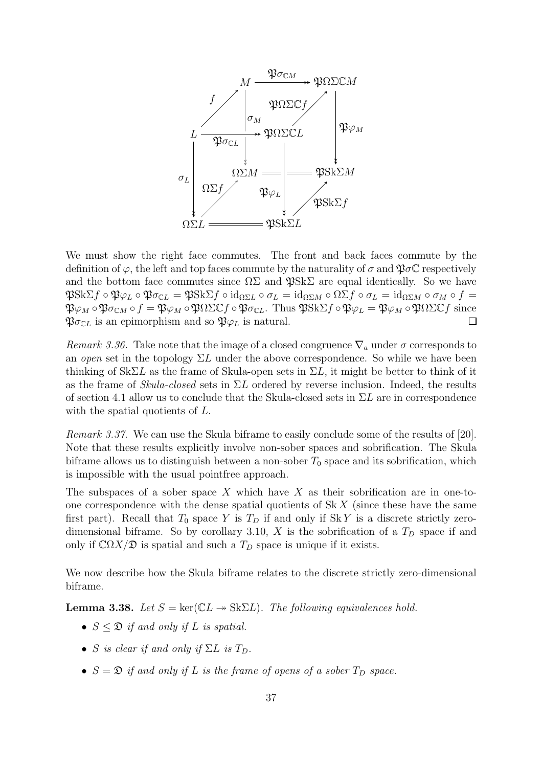

We must show the right face commutes. The front and back faces commute by the definition of  $\varphi$ , the left and top faces commute by the naturality of  $\sigma$  and  $\mathfrak{P}\sigma\mathbb{C}$  respectively and the bottom face commutes since  $\Omega\Sigma$  and  $\mathfrak{P}Sk\Sigma$  are equal identically. So we have  $\mathfrak{P}Sk\Sigma f \circ \mathfrak{P}\varphi_L \circ \mathfrak{P}\sigma_{\mathbb{C}L} = \mathfrak{P}Sk\Sigma f \circ id_{\Omega\Sigma L} \circ \sigma_L = id_{\Omega\Sigma M} \circ \Omega\Sigma f \circ \sigma_L = id_{\Omega\Sigma M} \circ \sigma_M \circ f =$  $\mathfrak{P}_{\varphi_M} \circ \mathfrak{P}_{\sigma_{CM}} \circ f = \mathfrak{P}_{\varphi_M} \circ \mathfrak{P}_{\Omega} \Sigma \mathbb{C} f \circ \mathfrak{P}_{\sigma_{CL}}$ . Thus  $\mathfrak{P}Sk\Sigma f \circ \mathfrak{P}_{\varphi_L} = \mathfrak{P}_{\varphi_M} \circ \mathfrak{P}_{\Omega} \Sigma \mathbb{C} f$  since  $\mathfrak{P}\sigma_{\mathbb{C}L}$  is an epimorphism and so  $\mathfrak{P}\varphi_L$  is natural.  $\Box$ 

Remark 3.36. Take note that the image of a closed congruence  $\nabla_a$  under  $\sigma$  corresponds to an open set in the topology  $\Sigma L$  under the above correspondence. So while we have been thinking of  $Sk\Sigma L$  as the frame of Skula-open sets in  $\Sigma L$ , it might be better to think of it as the frame of Skula-closed sets in  $\Sigma L$  ordered by reverse inclusion. Indeed, the results of section [4.1](#page-44-1) allow us to conclude that the Skula-closed sets in  $\Sigma L$  are in correspondence with the spatial quotients of L.

Remark 3.37. We can use the Skula biframe to easily conclude some of the results of [\[20\]](#page-54-12). Note that these results explicitly involve non-sober spaces and sobrification. The Skula biframe allows us to distinguish between a non-sober  $T_0$  space and its sobrification, which is impossible with the usual pointfree approach.

The subspaces of a sober space X which have X as their sobrification are in one-toone correspondence with the dense spatial quotients of  $\mathcal{S}k X$  (since these have the same first part). Recall that  $T_0$  space Y is  $T_D$  if and only if SkY is a discrete strictly zero-dimensional biframe. So by corollary [3.10,](#page-34-0) X is the sobrification of a  $T<sub>D</sub>$  space if and only if  $\mathbb{C}\Omega X/\mathfrak{D}$  is spatial and such a  $T_D$  space is unique if it exists.

<span id="page-40-0"></span>We now describe how the Skula biframe relates to the discrete strictly zero-dimensional biframe.

**Lemma 3.38.** Let  $S = \text{ker}(\mathbb{C}L \rightarrow \text{Sk}\Sigma L)$ . The following equivalences hold.

- $S \leq \mathfrak{D}$  if and only if L is spatial.
- S is clear if and only if  $\Sigma L$  is  $T_D$ .
- $S = \mathfrak{D}$  if and only if L is the frame of opens of a sober  $T_D$  space.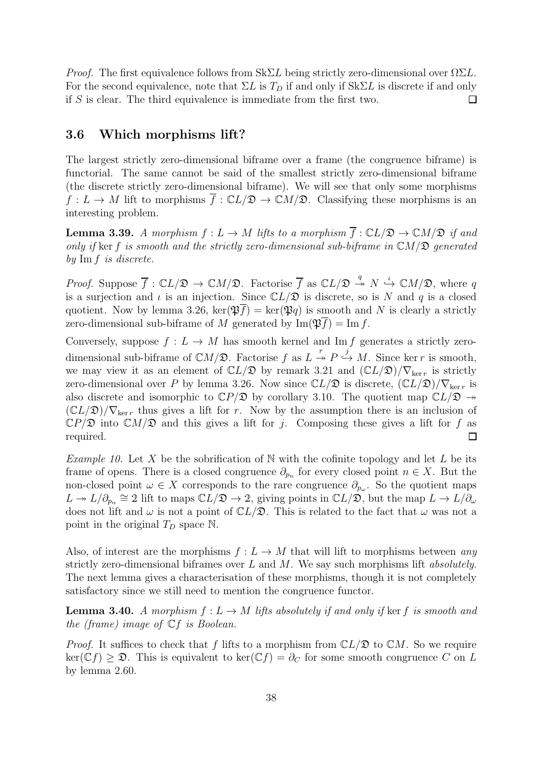*Proof.* The first equivalence follows from  $Sk\Sigma L$  being strictly zero-dimensional over  $\Omega \Sigma L$ . For the second equivalence, note that  $\Sigma L$  is  $T_D$  if and only if  $Sk\Sigma L$  is discrete if and only if S is clear. The third equivalence is immediate from the first two.  $\Box$ 

### <span id="page-41-0"></span>3.6 Which morphisms lift?

The largest strictly zero-dimensional biframe over a frame (the congruence biframe) is functorial. The same cannot be said of the smallest strictly zero-dimensional biframe (the discrete strictly zero-dimensional biframe). We will see that only some morphisms  $f: L \to M$  lift to morphisms  $\overline{f}: \mathbb{C}L/\mathfrak{D} \to \mathbb{C}M/\mathfrak{D}$ . Classifying these morphisms is an interesting problem.

**Lemma 3.39.** A morphism  $f: L \to M$  lifts to a morphism  $\overline{f}: CL/\mathfrak{D} \to CM/\mathfrak{D}$  if and only if ker f is smooth and the strictly zero-dimensional sub-biframe in  $CM/\mathfrak{D}$  generated by Im f is discrete.

*Proof.* Suppose  $\overline{f}: \mathbb{C}L/\mathfrak{D} \to \mathbb{C}M/\mathfrak{D}$ . Factorise  $\overline{f}$  as  $\mathbb{C}L/\mathfrak{D} \stackrel{q}{\to} N \stackrel{\iota}{\hookrightarrow} \mathbb{C}M/\mathfrak{D}$ , where q is a surjection and  $\iota$  is an injection. Since  $\mathbb{C}L/\mathfrak{D}$  is discrete, so is N and q is a closed quotient. Now by lemma [3.26,](#page-38-1)  $\ker(\mathfrak{P}(\mathfrak{F})) = \ker(\mathfrak{P}(\mathfrak{P})$  is smooth and N is clearly a strictly zero-dimensional sub-biframe of M generated by  $\text{Im}(\mathfrak{P} \overline{f}) = \text{Im } f$ .

Conversely, suppose  $f: L \to M$  has smooth kernel and Im f generates a strictly zerodimensional sub-biframe of  $\mathbb{C}M/\mathfrak{D}$ . Factorise f as  $L \stackrel{r}{\rightarrow} P \stackrel{j}{\hookrightarrow} M$ . Since ker r is smooth, we may view it as an element of  $\mathbb{C}L/\mathfrak{D}$  by remark [3.21](#page-37-1) and  $(\mathbb{C}L/\mathfrak{D})/\nabla_{\ker r}$  is strictly zero-dimensional over P by lemma [3.26.](#page-38-1) Now since  $\mathbb{C}L/\mathfrak{D}$  is discrete,  $(\mathbb{C}L/\mathfrak{D})/\nabla_{\ker r}$  is also discrete and isomorphic to  $\mathbb{C}P/\mathfrak{D}$  by corollary [3.10.](#page-34-0) The quotient map  $\mathbb{C}L/\mathfrak{D} \to$  $(\mathbb{C}L/\mathfrak{D})/\nabla_{\ker r}$  thus gives a lift for r. Now by the assumption there is an inclusion of  $\mathbb{C}P/\mathfrak{D}$  into  $\mathbb{C}M/\mathfrak{D}$  and this gives a lift for j. Composing these gives a lift for f as required.  $\Box$ 

<span id="page-41-1"></span>*Example 10.* Let X be the sobrification of N with the cofinite topology and let L be its frame of opens. There is a closed congruence  $\partial_{p_n}$  for every closed point  $n \in X$ . But the non-closed point  $\omega \in X$  corresponds to the rare congruence  $\partial_{p_{\omega}}$ . So the quotient maps  $L \twoheadrightarrow L/\partial_{p_n} \cong 2$  lift to maps  $\mathbb{C}L/\mathfrak{D} \to 2$ , giving points in  $\mathbb{C}L/\mathfrak{D}$ , but the map  $L \to L/\partial_{\omega}$ does not lift and  $\omega$  is not a point of  $\mathbb{C}L/\mathfrak{D}$ . This is related to the fact that  $\omega$  was not a point in the original  $T_D$  space N.

Also, of interest are the morphisms  $f: L \to M$  that will lift to morphisms between any strictly zero-dimensional biframes over  $L$  and  $M$ . We say such morphisms lift *absolutely*. The next lemma gives a characterisation of these morphisms, though it is not completely satisfactory since we still need to mention the congruence functor.

**Lemma 3.40.** A morphism  $f: L \to M$  lifts absolutely if and only if ker f is smooth and the (frame) image of  $\mathbb{C}$ f is Boolean.

*Proof.* It suffices to check that f lifts to a morphism from  $CL/\mathfrak{D}$  to  $CM$ . So we require  $\ker(\mathbb{C}f) \geq \mathfrak{D}$ . This is equivalent to  $\ker(\mathbb{C}f) = \partial_C$  for some smooth congruence C on L by lemma [2.60.](#page-29-3)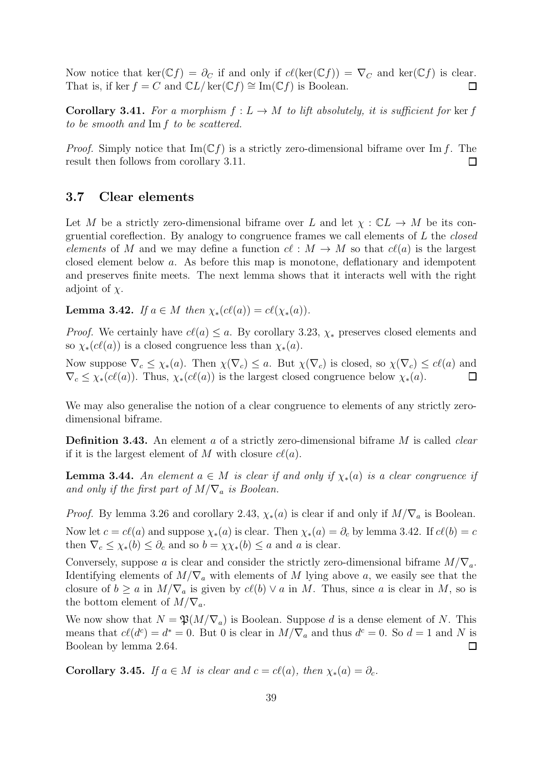Now notice that ker( $\mathbb{C}f$ ) =  $\partial_C$  if and only if  $cl(\ker(\mathbb{C}f)) = \nabla_C$  and ker( $\mathbb{C}f$ ) is clear. That is, if ker  $f = C$  and  $\mathbb{C}L/\ker(\mathbb{C}f) \cong \text{Im}(\mathbb{C}f)$  is Boolean.  $\Box$ 

Corollary 3.41. For a morphism  $f: L \to M$  to lift absolutely, it is sufficient for ker f to be smooth and Im f to be scattered.

*Proof.* Simply notice that  $\text{Im}(\mathbb{C}f)$  is a strictly zero-dimensional biframe over Im f. The result then follows from corollary [3.11.](#page-34-1)  $\Box$ 

#### <span id="page-42-0"></span>3.7 Clear elements

Let M be a strictly zero-dimensional biframe over L and let  $\chi : \mathbb{C}^L \to M$  be its congruential coreflection. By analogy to congruence frames we call elements of  $L$  the *closed* elements of M and we may define a function  $c\ell : M \to M$  so that  $c\ell(a)$  is the largest closed element below a. As before this map is monotone, deflationary and idempotent and preserves finite meets. The next lemma shows that it interacts well with the right adjoint of  $\chi$ .

<span id="page-42-1"></span>**Lemma 3.42.** If  $a \in M$  then  $\chi_*(c\ell(a)) = c\ell(\chi_*(a)).$ 

*Proof.* We certainly have  $c\ell(a) \leq a$ . By corollary [3.23,](#page-37-2)  $\chi_*$  preserves closed elements and so  $\chi_*(c\ell(a))$  is a closed congruence less than  $\chi_*(a)$ .

Now suppose  $\nabla_c \leq \chi_*(a)$ . Then  $\chi(\nabla_c) \leq a$ . But  $\chi(\nabla_c)$  is closed, so  $\chi(\nabla_c) \leq c\ell(a)$  and  $\nabla_c \leq \chi_*(c\ell(a))$ . Thus,  $\chi_*(c\ell(a))$  is the largest closed congruence below  $\chi_*(a)$ .  $\Box$ 

We may also generalise the notion of a clear congruence to elements of any strictly zerodimensional biframe.

**Definition 3.43.** An element a of a strictly zero-dimensional biframe  $M$  is called *clear* if it is the largest element of M with closure  $c\ell(a)$ .

<span id="page-42-2"></span>**Lemma 3.44.** An element  $a \in M$  is clear if and only if  $\chi_*(a)$  is a clear congruence if and only if the first part of  $M/\nabla_a$  is Boolean.

*Proof.* By lemma [3.26](#page-38-1) and corollary [2.43,](#page-23-0)  $\chi_*(a)$  is clear if and only if  $M/\nabla_a$  is Boolean. Now let  $c = c\ell(a)$  and suppose  $\chi_*(a)$  is clear. Then  $\chi_*(a) = \partial_c$  by lemma [3.42.](#page-42-1) If  $c\ell(b) = c$ then  $\nabla_c \leq \chi_*(b) \leq \partial_c$  and so  $b = \chi \chi_*(b) \leq a$  and a is clear.

Conversely, suppose a is clear and consider the strictly zero-dimensional biframe  $M/\nabla_a$ . Identifying elements of  $M/\nabla_a$  with elements of M lying above a, we easily see that the closure of  $b \ge a$  in  $M/\nabla_a$  is given by  $c\ell(b) \vee a$  in M. Thus, since a is clear in M, so is the bottom element of  $M/\nabla_a$ .

We now show that  $N = \mathfrak{P}(M/\nabla_a)$  is Boolean. Suppose d is a dense element of N. This means that  $c\ell(d^c) = d^* = 0$ . But 0 is clear in  $M/\nabla_a$  and thus  $d^c = 0$ . So  $d = 1$  and N is Boolean by lemma [2.64.](#page-29-2)  $\Box$ 

<span id="page-42-3"></span>**Corollary 3.45.** If  $a \in M$  is clear and  $c = c\ell(a)$ , then  $\chi_*(a) = \partial_c$ .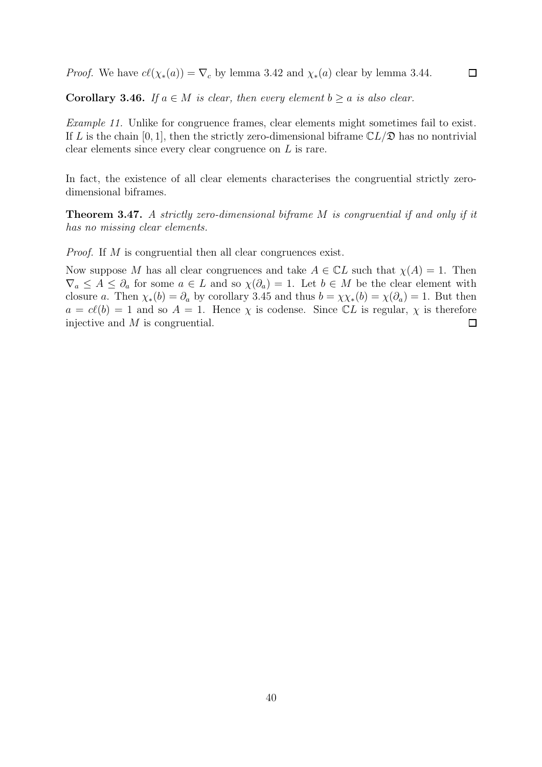*Proof.* We have  $c\ell(\chi_*(a)) = \nabla_c$  by lemma [3.42](#page-42-1) and  $\chi_*(a)$  clear by lemma [3.44.](#page-42-2)

Corollary 3.46. If  $a \in M$  is clear, then every element  $b \ge a$  is also clear.

Example 11. Unlike for congruence frames, clear elements might sometimes fail to exist. If L is the chain [0, 1], then the strictly zero-dimensional biframe  $\mathbb{C}L/\mathfrak{D}$  has no nontrivial clear elements since every clear congruence on L is rare.

 $\Box$ 

<span id="page-43-0"></span>In fact, the existence of all clear elements characterises the congruential strictly zerodimensional biframes.

Theorem 3.47. A strictly zero-dimensional biframe M is congruential if and only if it has no missing clear elements.

Proof. If M is congruential then all clear congruences exist.

Now suppose M has all clear congruences and take  $A \in \mathbb{C}L$  such that  $\chi(A) = 1$ . Then  $\nabla_a \leq A \leq \partial_a$  for some  $a \in L$  and so  $\chi(\partial_a) = 1$ . Let  $b \in M$  be the clear element with closure a. Then  $\chi_*(b) = \partial_a$  by corollary [3.45](#page-42-3) and thus  $b = \chi \chi_*(b) = \chi(\partial_a) = 1$ . But then  $a = c\ell(b) = 1$  and so  $A = 1$ . Hence  $\chi$  is codense. Since  $\mathbb{C}L$  is regular,  $\chi$  is therefore injective and M is congruential.  $\Box$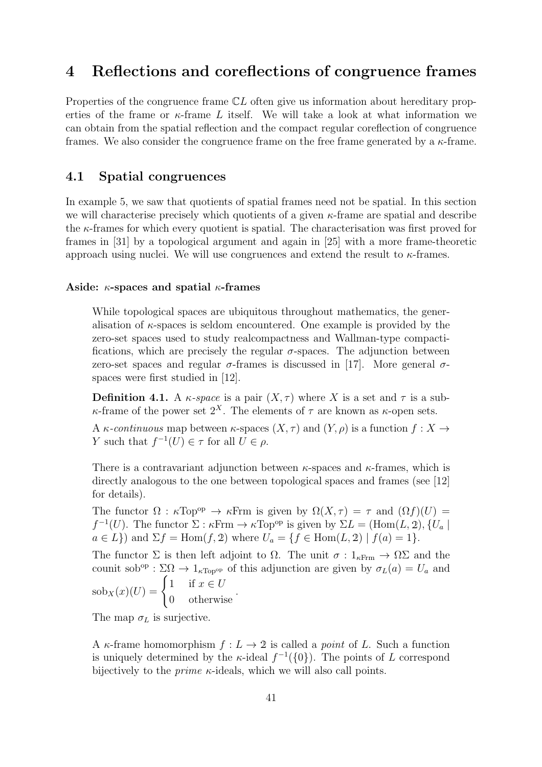# <span id="page-44-0"></span>4 Reflections and coreflections of congruence frames

Properties of the congruence frame  $CL$  often give us information about hereditary properties of the frame or  $\kappa$ -frame L itself. We will take a look at what information we can obtain from the spatial reflection and the compact regular coreflection of congruence frames. We also consider the congruence frame on the free frame generated by a  $\kappa$ -frame.

### <span id="page-44-1"></span>4.1 Spatial congruences

In example [5,](#page-22-2) we saw that quotients of spatial frames need not be spatial. In this section we will characterise precisely which quotients of a given  $\kappa$ -frame are spatial and describe the  $\kappa$ -frames for which every quotient is spatial. The characterisation was first proved for frames in [\[31\]](#page-54-13) by a topological argument and again in [\[25\]](#page-54-14) with a more frame-theoretic approach using nuclei. We will use congruences and extend the result to  $\kappa$ -frames.

#### Aside:  $\kappa$ -spaces and spatial  $\kappa$ -frames

While topological spaces are ubiquitous throughout mathematics, the generalisation of  $\kappa$ -spaces is seldom encountered. One example is provided by the zero-set spaces used to study realcompactness and Wallman-type compactifications, which are precisely the regular  $\sigma$ -spaces. The adjunction between zero-set spaces and regular  $\sigma$ -frames is discussed in [\[17\]](#page-53-17). More general  $\sigma$ spaces were first studied in [\[12\]](#page-53-4).

**Definition 4.1.** A  $\kappa$ -space is a pair  $(X, \tau)$  where X is a set and  $\tau$  is a sub- $\kappa$ -frame of the power set  $2^X$ . The elements of  $\tau$  are known as  $\kappa$ -open sets.

A  $\kappa$ -continuous map between  $\kappa$ -spaces  $(X, \tau)$  and  $(Y, \rho)$  is a function  $f : X \to Y$ Y such that  $f^{-1}(U) \in \tau$  for all  $U \in \rho$ .

There is a contravariant adjunction between  $\kappa$ -spaces and  $\kappa$ -frames, which is directly analogous to the one between topological spaces and frames (see [\[12\]](#page-53-4) for details).

The functor  $\Omega$ :  $\kappa$ Top<sup>op</sup>  $\to \kappa$ Frm is given by  $\Omega(X, \tau) = \tau$  and  $(\Omega f)(U) =$  $f^{-1}(U)$ . The functor  $\Sigma : \kappa$ Frm  $\to \kappa$ Top<sup>op</sup> is given by  $\Sigma L = (Hom(L, 2), \{U_a\})$  $a \in L$ ) and  $\Sigma f = \text{Hom}(f, 2)$  where  $U_a = \{f \in \text{Hom}(L, 2) \mid f(a) = 1\}.$ 

The functor  $\Sigma$  is then left adjoint to  $\Omega$ . The unit  $\sigma: 1_{\kappa \text{Frm}} \to \Omega \Sigma$  and the counit sob<sup>op</sup>:  $\Sigma\Omega \to 1_{\kappa\text{Top}^{\text{op}}}$  of this adjunction are given by  $\sigma_L(a) = U_a$  and  $sob_X(x)(U) = \begin{cases} 1 & \text{if } x \in U \\ 0 & \text{if } y \in U \end{cases}$ 0 otherwise .

The map  $\sigma_L$  is surjective.

A  $\kappa$ -frame homomorphism  $f: L \to 2$  is called a *point* of L. Such a function is uniquely determined by the  $\kappa$ -ideal  $f^{-1}(\{0\})$ . The points of L correspond bijectively to the *prime*  $\kappa$ -ideals, which we will also call points.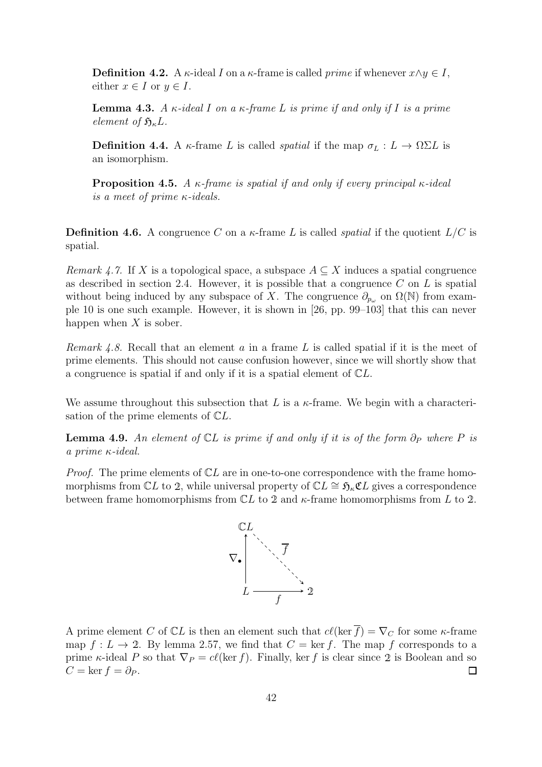**Definition 4.2.** A  $\kappa$ -ideal I on a  $\kappa$ -frame is called *prime* if whenever  $x \wedge y \in I$ , either  $x \in I$  or  $y \in I$ .

**Lemma 4.3.** A  $\kappa$ -ideal I on a  $\kappa$ -frame L is prime if and only if I is a prime element of  $\mathfrak{H}_{\kappa}L$ .

**Definition 4.4.** A  $\kappa$ -frame L is called *spatial* if the map  $\sigma_L : L \to \Omega \Sigma L$  is an isomorphism.

<span id="page-45-0"></span>**Proposition 4.5.** A  $\kappa$ -frame is spatial if and only if every principal  $\kappa$ -ideal is a meet of prime κ-ideals.

**Definition 4.6.** A congruence C on a  $\kappa$ -frame L is called *spatial* if the quotient  $L/C$  is spatial.

*Remark 4.7.* If X is a topological space, a subspace  $A \subseteq X$  induces a spatial congruence as described in section [2.4.](#page-16-1) However, it is possible that a congruence  $C$  on  $L$  is spatial without being induced by any subspace of X. The congruence  $\partial_{p_\omega}$  on  $\Omega(\mathbb{N})$  from example [10](#page-41-1) is one such example. However, it is shown in [\[26,](#page-54-4) pp. 99–103] that this can never happen when  $X$  is sober.

*Remark 4.8.* Recall that an element a in a frame L is called spatial if it is the meet of prime elements. This should not cause confusion however, since we will shortly show that a congruence is spatial if and only if it is a spatial element of CL.

We assume throughout this subsection that L is a  $\kappa$ -frame. We begin with a characterisation of the prime elements of CL.

**Lemma 4.9.** An element of  $\mathbb{C}L$  is prime if and only if it is of the form  $\partial_P$  where P is a prime κ-ideal.

*Proof.* The prime elements of  $\mathbb{C}L$  are in one-to-one correspondence with the frame homomorphisms from  $\mathbb{C}L$  to 2, while universal property of  $\mathbb{C}L \cong \mathfrak{H}_{\kappa} \mathfrak{C}L$  gives a correspondence between frame homomorphisms from  $\mathbb{C}L$  to 2 and  $\kappa$ -frame homomorphisms from L to 2.



<span id="page-45-1"></span>A prime element C of  $\mathbb{C}L$  is then an element such that  $c\ell(\ker \overline{f}) = \nabla_C$  for some  $\kappa$ -frame map  $f: L \to 2$ . By lemma [2.57,](#page-27-1) we find that  $C = \text{ker } f$ . The map f corresponds to a prime  $\kappa$ -ideal P so that  $\nabla P = c\ell(\ker f)$ . Finally, ker f is clear since 2 is Boolean and so  $C = \ker f = \partial_P$ .  $\Box$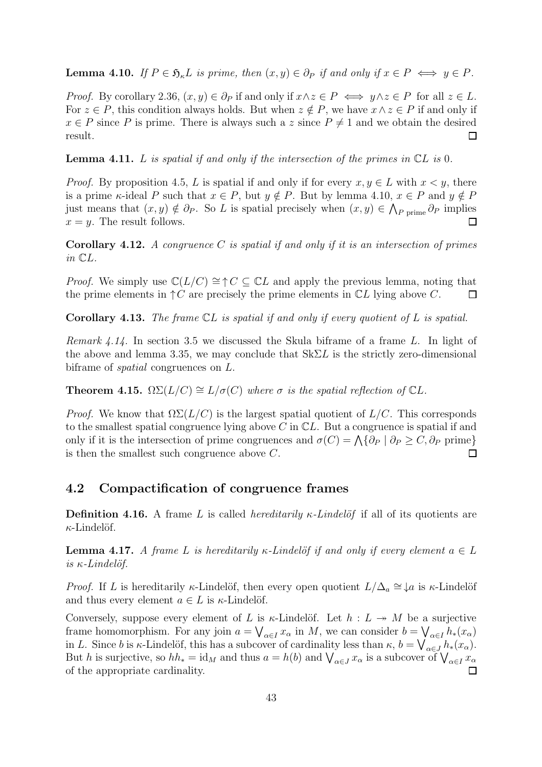**Lemma 4.10.** If  $P \in \mathfrak{H}_{\kappa}L$  is prime, then  $(x, y) \in \partial_P$  if and only if  $x \in P \iff y \in P$ .

*Proof.* By corollary [2.36,](#page-22-3)  $(x, y) \in \partial_P$  if and only if  $x \wedge z \in P \iff y \wedge z \in P$  for all  $z \in L$ . For  $z \in P$ , this condition always holds. But when  $z \notin P$ , we have  $x \wedge z \in P$  if and only if  $x \in P$  since P is prime. There is always such a z since  $P \neq 1$  and we obtain the desired result.  $\Box$ 

**Lemma 4.11.** L is spatial if and only if the intersection of the primes in  $CL$  is 0.

*Proof.* By proposition [4.5,](#page-45-0) L is spatial if and only if for every  $x, y \in L$  with  $x < y$ , there is a prime  $\kappa$ -ideal P such that  $x \in P$ , but  $y \notin P$ . But by lemma [4.10,](#page-45-1)  $x \in P$  and  $y \notin P$ just means that  $(x, y) \notin \partial_P$ . So L is spatial precisely when  $(x, y) \in \bigwedge_{P \text{ prime}} \partial_P$  implies  $x = y$ . The result follows.  $\Box$ 

**Corollary 4.12.** A congruence C is spatial if and only if it is an intersection of primes in CL.

*Proof.* We simply use  $\mathbb{C}(L/C) \cong \uparrow C \subseteq \mathbb{C}L$  and apply the previous lemma, noting that the prime elements in  $\uparrow C$  are precisely the prime elements in  $\mathbb{C}L$  lying above C.  $\Box$ 

**Corollary 4.13.** The frame  $CL$  is spatial if and only if every quotient of  $L$  is spatial.

Remark 4.14. In section [3.5](#page-38-0) we discussed the Skula biframe of a frame L. In light of the above and lemma [3.35,](#page-39-0) we may conclude that  $Sk\Sigma L$  is the strictly zero-dimensional biframe of spatial congruences on L.

**Theorem 4.15.**  $\Omega\Sigma(L/C) \cong L/\sigma(C)$  where  $\sigma$  is the spatial reflection of  $\mathbb{C}L$ .

*Proof.* We know that  $\Omega \Sigma (L/C)$  is the largest spatial quotient of  $L/C$ . This corresponds to the smallest spatial congruence lying above  $C$  in  $\mathbb{C}L$ . But a congruence is spatial if and only if it is the intersection of prime congruences and  $\sigma(C) = \bigwedge \{ \partial_P \mid \partial_P \geq C, \partial_P \text{ prime} \}$ is then the smallest such congruence above C.  $\Box$ 

#### <span id="page-46-0"></span>4.2 Compactification of congruence frames

**Definition 4.16.** A frame L is called *hereditarily κ-Lindelof* if all of its quotients are  $\kappa$ -Lindelöf.

**Lemma 4.17.** A frame L is hereditarily  $\kappa$ -Lindelöf if and only if every element  $a \in L$ is  $κ$ -Lindelöf.

*Proof.* If L is hereditarily  $\kappa$ -Lindelöf, then every open quotient  $L/\Delta_a \cong \downarrow a$  is  $\kappa$ -Lindelöf and thus every element  $a \in L$  is  $\kappa$ -Lindelöf.

Conversely, suppose every element of L is  $\kappa$ -Lindelöf. Let  $h : L \rightarrow M$  be a surjective frame homomorphism. For any join  $a = \bigvee_{\alpha \in I} x_{\alpha}$  in M, we can consider  $b = \bigvee_{\alpha \in I} h_*(x_{\alpha})$ in L. Since b is  $\kappa$ -Lindelöf, this has a subcover of cardinality less than  $\kappa$ ,  $b = \bigvee_{\alpha \in J} b_*(x_\alpha)$ . But h is surjective, so  $hh_* = id_M$  and thus  $a = h(b)$  and  $\bigvee_{\alpha \in J} x_\alpha$  is a subcover of  $\bigvee_{\alpha \in I} x_\alpha$ of the appropriate cardinality.  $\Box$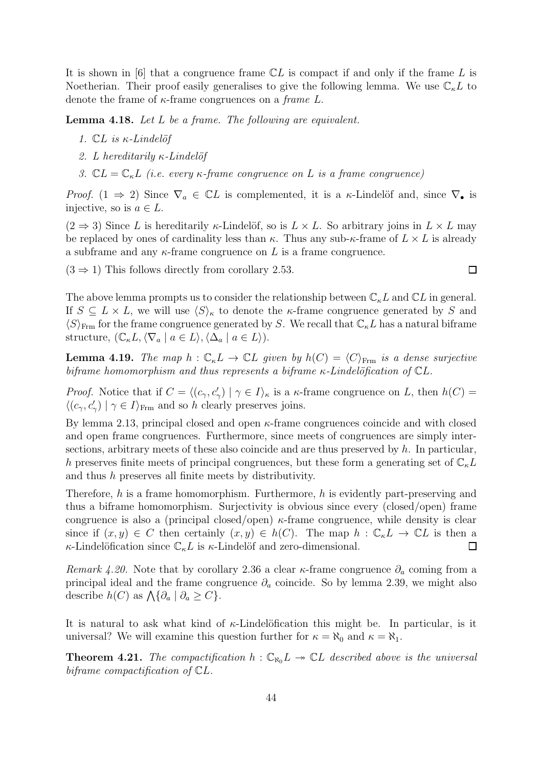It is shown in [\[6\]](#page-53-15) that a congruence frame  $CL$  is compact if and only if the frame L is Noetherian. Their proof easily generalises to give the following lemma. We use  $\mathbb{C}_{\kappa}L$  to denote the frame of  $\kappa$ -frame congruences on a *frame L*.

Lemma 4.18. Let L be a frame. The following are equivalent.

- <span id="page-47-0"></span>1.  $CL$  is  $\kappa$ -Lindelöf
- 2. L hereditarily  $\kappa$ -Lindelöf
- 3.  $CL = \mathbb{C}_{\kappa}L$  (i.e. every  $\kappa$ -frame congruence on L is a frame congruence)

*Proof.*  $(1 \Rightarrow 2)$  Since  $\nabla_a \in \mathbb{C}L$  is complemented, it is a  $\kappa$ -Lindelöf and, since  $\nabla_a$  is injective, so is  $a \in L$ .

 $(2 \Rightarrow 3)$  Since L is hereditarily  $\kappa$ -Lindelöf, so is  $L \times L$ . So arbitrary joins in  $L \times L$  may be replaced by ones of cardinality less than  $\kappa$ . Thus any sub- $\kappa$ -frame of  $L \times L$  is already a subframe and any  $\kappa$ -frame congruence on L is a frame congruence.

 $(3 \Rightarrow 1)$  This follows directly from corollary [2.53.](#page-26-1)

The above lemma prompts us to consider the relationship between  $\mathbb{C}_{\kappa}L$  and  $\mathbb{C}L$  in general. If  $S \subseteq L \times L$ , we will use  $\langle S \rangle_{\kappa}$  to denote the *κ*-frame congruence generated by S and  $\langle S \rangle_{\text{Frm}}$  for the frame congruence generated by S. We recall that  $\mathbb{C}_{\kappa}L$  has a natural biframe structure,  $(\mathbb{C}_{\kappa}L, \langle \nabla_a | a \in L \rangle, \langle \Delta_a | a \in L \rangle).$ 

**Lemma 4.19.** The map  $h : \mathbb{C}_{\kappa}L \to \mathbb{C}L$  given by  $h(C) = \langle C \rangle_{\text{Frm}}$  is a dense surjective biframe homomorphism and thus represents a biframe  $\kappa$ -Lindelöfication of  $\mathbb{C}L$ .

*Proof.* Notice that if  $C = \langle (c_{\gamma}, c'_{\gamma}) \mid \gamma \in I \rangle_{\kappa}$  is a  $\kappa$ -frame congruence on L, then  $h(C)$  =  $\langle (c_{\gamma}, c'_{\gamma}) \mid \gamma \in I \rangle_{\text{Frm}}$  and so h clearly preserves joins.

By lemma [2.13,](#page-18-1) principal closed and open  $\kappa$ -frame congruences coincide and with closed and open frame congruences. Furthermore, since meets of congruences are simply intersections, arbitrary meets of these also coincide and are thus preserved by  $h$ . In particular, h preserves finite meets of principal congruences, but these form a generating set of  $\mathbb{C}_{\kappa}L$ and thus h preserves all finite meets by distributivity.

Therefore,  $h$  is a frame homomorphism. Furthermore,  $h$  is evidently part-preserving and thus a biframe homomorphism. Surjectivity is obvious since every (closed/open) frame congruence is also a (principal closed/open)  $\kappa$ -frame congruence, while density is clear since if  $(x, y) \in C$  then certainly  $(x, y) \in h(C)$ . The map  $h : \mathbb{C}_{\kappa} L \to \mathbb{C} L$  is then a κ-Lindelö<br/>fication since  $\mathbb{C}_\kappa L$  is κ-Lindelöf and zero-dimensional.  $\Box$ 

Remark 4.20. Note that by corollary [2.36](#page-22-3) a clear  $\kappa$ -frame congruence  $\partial_a$  coming from a principal ideal and the frame congruence  $\partial_a$  coincide. So by lemma [2.39,](#page-22-0) we might also describe  $h(C)$  as  $\bigwedge \{ \partial_a \mid \partial_a \geq C \}.$ 

It is natural to ask what kind of  $\kappa$ -Lindelöfication this might be. In particular, is it universal? We will examine this question further for  $\kappa = \aleph_0$  and  $\kappa = \aleph_1$ .

**Theorem 4.21.** The compactification  $h : \mathbb{C}_{\aleph_0}L \rightarrow \mathbb{C}L$  described above is the universal biframe compactification of CL.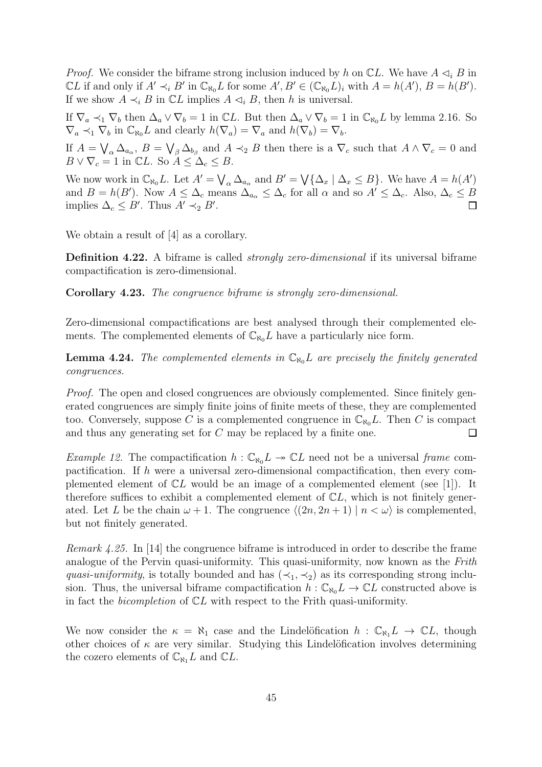*Proof.* We consider the biframe strong inclusion induced by h on  $\mathbb{C}L$ . We have  $A \triangleleft_i B$  in  $\mathbb{C}L$  if and only if  $A' \prec_i B'$  in  $\mathbb{C}_{\aleph_0}L$  for some  $A', B' \in (\mathbb{C}_{\aleph_0}L)_i$  with  $A = h(A'), B = h(B').$ If we show  $A \prec_i B$  in  $\mathbb{C}L$  implies  $A \lhd_i B$ , then h is universal.

If  $\nabla_a \prec_1 \nabla_b$  then  $\Delta_a \vee \nabla_b = 1$  in  $\mathbb{C}L$ . But then  $\Delta_a \vee \nabla_b = 1$  in  $\mathbb{C}_{\aleph_0}L$  by lemma [2.16.](#page-19-1) So  $\nabla_a \prec_1 \nabla_b$  in  $\mathbb{C}_{\aleph_0}L$  and clearly  $h(\nabla_a) = \nabla_a$  and  $h(\nabla_b) = \nabla_b$ .

If  $A = \bigvee_{\alpha} \Delta_{a_{\alpha}}, B = \bigvee_{\beta} \Delta_{b_{\beta}}$  and  $A \prec_2 B$  then there is a  $\nabla_c$  such that  $A \wedge \nabla_c = 0$  and  $B \vee \nabla_c = 1$  in  $\mathbb{C}L$ . So  $\tilde{A} \leq \Delta_c \leq B$ .

We now work in  $\mathbb{C}_{\aleph_0}L$ . Let  $A' = \bigvee_{\alpha} \Delta_{a_{\alpha}}$  and  $B' = \bigvee {\{\Delta_x \mid \Delta_x \leq B\}}$ . We have  $A = h(A')$ and  $B = h(B')$ . Now  $A \leq \Delta_c$  means  $\Delta_{a_\alpha} \leq \Delta_c$  for all  $\alpha$  and so  $A' \leq \Delta_c$ . Also,  $\Delta_c \leq B$ implies  $\Delta_c \leq B'$ . Thus  $A' \prec_2 B'$ .  $\Box$ 

We obtain a result of [\[4\]](#page-53-3) as a corollary.

Definition 4.22. A biframe is called *strongly zero-dimensional* if its universal biframe compactification is zero-dimensional.

Corollary 4.23. The congruence biframe is strongly zero-dimensional.

<span id="page-48-0"></span>Zero-dimensional compactifications are best analysed through their complemented elements. The complemented elements of  $\mathbb{C}_{\aleph_0}L$  have a particularly nice form.

**Lemma 4.24.** The complemented elements in  $\mathbb{C}_{\aleph_0}L$  are precisely the finitely generated congruences.

Proof. The open and closed congruences are obviously complemented. Since finitely generated congruences are simply finite joins of finite meets of these, they are complemented too. Conversely, suppose C is a complemented congruence in  $\mathbb{C}_{\aleph_0}L$ . Then C is compact and thus any generating set for C may be replaced by a finite one.  $\Box$ 

*Example 12.* The compactification  $h : \mathbb{C}_{\aleph_0} L \to \mathbb{C} L$  need not be a universal frame compactification. If h were a universal zero-dimensional compactification, then every complemented element of  $\mathbb{C}L$  would be an image of a complemented element (see [\[1\]](#page-53-10)). It therefore suffices to exhibit a complemented element of  $\mathbb{C}L$ , which is not finitely generated. Let L be the chain  $\omega + 1$ . The congruence  $\langle (2n, 2n + 1) | n \langle \omega \rangle$  is complemented, but not finitely generated.

Remark 4.25. In [\[14\]](#page-53-2) the congruence biframe is introduced in order to describe the frame analogue of the Pervin quasi-uniformity. This quasi-uniformity, now known as the Frith quasi-uniformity, is totally bounded and has  $(\prec_1, \prec_2)$  as its corresponding strong inclusion. Thus, the universal biframe compactification  $h : \mathbb{C}_{\aleph_0} L \to \mathbb{C} L$  constructed above is in fact the *bicompletion* of  $CL$  with respect to the Frith quasi-uniformity.

<span id="page-48-1"></span>We now consider the  $\kappa = \aleph_1$  case and the Lindelöfication  $h : \mathbb{C}_{\aleph_1}L \to \mathbb{C}L$ , though other choices of  $\kappa$  are very similar. Studying this Lindelöfication involves determining the cozero elements of  $\mathbb{C}_{\aleph_1}L$  and  $\mathbb{C}L$ .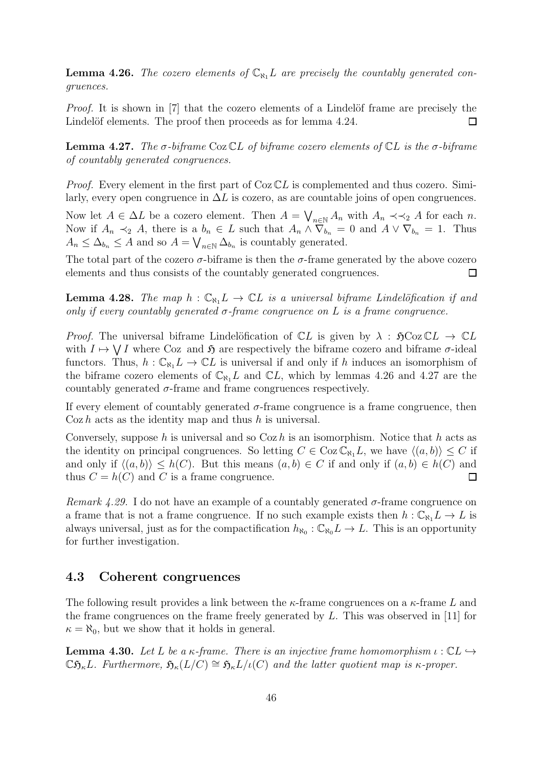**Lemma 4.26.** The cozero elements of  $\mathbb{C}_{\aleph_1}L$  are precisely the countably generated congruences.

*Proof.* It is shown in  $[7]$  that the cozero elements of a Lindelöf frame are precisely the Lindelöf elements. The proof then proceeds as for lemma [4.24.](#page-48-0)  $\Box$ 

<span id="page-49-2"></span>**Lemma 4.27.** The σ-biframe Coz  $CL$  of biframe cozero elements of  $CL$  is the σ-biframe of countably generated congruences.

*Proof.* Every element in the first part of  $\text{Coz }\mathbb{C}L$  is complemented and thus cozero. Similarly, every open congruence in  $\Delta L$  is cozero, as are countable joins of open congruences.

Now let  $A \in \Delta L$  be a cozero element. Then  $A = \bigvee_{n \in \mathbb{N}} A_n$  with  $A_n \prec A_2$  A for each n. Now if  $A_n \prec_2 A$ , there is a  $b_n \in L$  such that  $A_n \wedge \overline{\nabla}_{b_n} = 0$  and  $A \vee \nabla_{b_n} = 1$ . Thus  $A_n \leq \Delta_{b_n} \leq A$  and so  $A = \bigvee_{n \in \mathbb{N}} \Delta_{b_n}$  is countably generated.

The total part of the cozero  $\sigma$ -biframe is then the  $\sigma$ -frame generated by the above cozero elements and thus consists of the countably generated congruences.  $\Box$ 

**Lemma 4.28.** The map  $h : \mathbb{C}_{\aleph_1}L \to \mathbb{C}L$  is a universal biframe Lindelöfication if and only if every countably generated  $\sigma$ -frame congruence on L is a frame congruence.

*Proof.* The universal biframe Lindelöfication of  $CL$  is given by  $\lambda : \mathfrak{H}Coz \mathbb{C}L \to \mathbb{C}L$ with  $I \mapsto \bigvee I$  where Coz and  $\mathfrak{H}$  are respectively the biframe cozero and biframe  $\sigma$ -ideal functors. Thus,  $h: \mathbb{C}_{\aleph_1}L \to \mathbb{C}L$  is universal if and only if h induces an isomorphism of the biframe cozero elements of  $\mathbb{C}_{\aleph_1}L$  and  $\mathbb{C}L$ , which by lemmas [4.26](#page-48-1) and [4.27](#page-49-2) are the countably generated  $\sigma$ -frame and frame congruences respectively.

If every element of countably generated  $\sigma$ -frame congruence is a frame congruence, then  $\cos h$  acts as the identity map and thus h is universal.

Conversely, suppose h is universal and so  $Coz h$  is an isomorphism. Notice that h acts as the identity on principal congruences. So letting  $C \in \text{Coz } \mathbb{C}_{\aleph_1} L$ , we have  $\langle (a, b) \rangle \leq C$  if and only if  $\langle (a, b) \rangle \leq h(C)$ . But this means  $(a, b) \in C$  if and only if  $(a, b) \in h(C)$  and  $\Box$ thus  $C = h(C)$  and C is a frame congruence.

Remark 4.29. I do not have an example of a countably generated  $\sigma$ -frame congruence on a frame that is not a frame congruence. If no such example exists then  $h : \mathbb{C}_{\aleph_1} L \to L$  is always universal, just as for the compactification  $h_{\aleph_0}: \mathbb{C}_{\aleph_0} L \to L$ . This is an opportunity for further investigation.

#### <span id="page-49-0"></span>4.3 Coherent congruences

The following result provides a link between the  $\kappa$ -frame congruences on a  $\kappa$ -frame L and the frame congruences on the frame freely generated by  $L$ . This was observed in [\[11\]](#page-53-5) for  $\kappa = \aleph_0$ , but we show that it holds in general.

<span id="page-49-1"></span>**Lemma 4.30.** Let L be a  $\kappa$ -frame. There is an injective frame homomorphism  $\iota : \mathbb{C} \mathbb{L} \hookrightarrow$  $\mathbb{C}\mathfrak{H}_{\kappa}L$ . Furthermore,  $\mathfrak{H}_{\kappa}(L/C) \cong \mathfrak{H}_{\kappa}L/\iota(C)$  and the latter quotient map is  $\kappa$ -proper.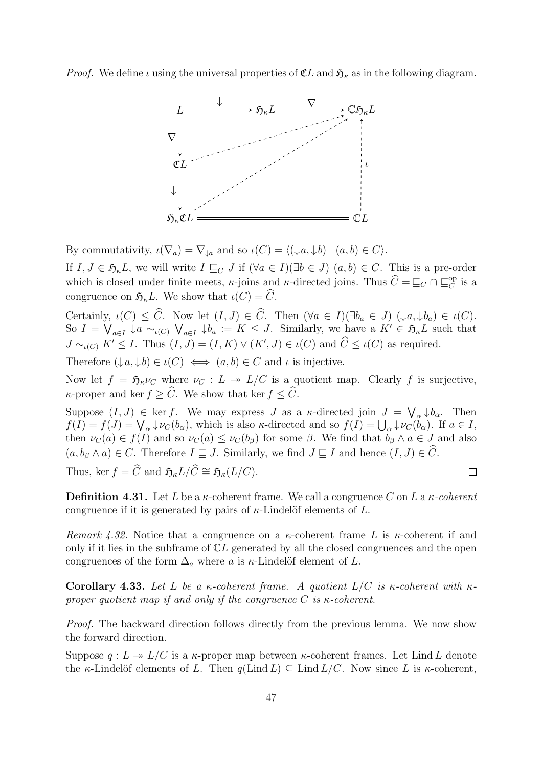*Proof.* We define  $\iota$  using the universal properties of  $\mathfrak{C}L$  and  $\mathfrak{H}_{\kappa}$  as in the following diagram.



By commutativity,  $\iota(\nabla_a) = \nabla_{\downarrow a}$  and so  $\iota(C) = \langle (\downarrow a, \downarrow b) \mid (a, b) \in C \rangle$ .

If  $I, J \in \mathfrak{H}_{\kappa}L$ , we will write  $I \sqsubseteq_C J$  if  $(\forall a \in I)(\exists b \in J)$   $(a, b) \in C$ . This is a pre-order which is closed under finite meets,  $\kappa$ -joins and  $\kappa$ -directed joins. Thus  $\widehat{C} = \sqsubseteq_C \cap \sqsubseteq_C^{\text{op}}$  is a congruence on  $\mathfrak{H}_{\kappa}L$ . We show that  $\iota(C) = \widehat{C}$ .

Certainly,  $\iota(C) \leq \widehat{C}$ . Now let  $(I, J) \in \widehat{C}$ . Then  $(\forall a \in I)(\exists b_a \in J)$   $(\downarrow a, \downarrow b_a) \in \iota(C)$ . So  $I = \bigvee_{a \in I} \downarrow a \sim_{\iota(C)} \bigvee_{a \in I} \downarrow b_a := K \leq J$ . Similarly, we have a  $K' \in \mathfrak{H}_{\kappa}L$  such that  $J \sim_{\iota(C)} K' \leq I$ . Thus  $(I, J) = (I, K) \vee (K', J) \in \iota(C)$  and  $\hat{C} \leq \iota(C)$  as required.

Therefore  $(\downarrow a, \downarrow b) \in \iota(C) \iff (a, b) \in C$  and  $\iota$  is injective.

Now let  $f = \mathfrak{H}_{\kappa} \nu_C$  where  $\nu_C : L \twoheadrightarrow L/C$  is a quotient map. Clearly f is surjective,  $\kappa$ -proper and ker  $f > \widehat{C}$ . We show that ker  $f < \widehat{C}$ .

Suppose  $(I, J) \in \text{ker } f$ . We may express J as a  $\kappa$ -directed join  $J = \bigvee_{\alpha} \downarrow b_{\alpha}$ . Then  $f(I) = f(J) = \bigvee_{\alpha} \downarrow \nu_C(b_{\alpha})$ , which is also  $\kappa$ -directed and so  $f(I) = \bigcup_{\alpha} \downarrow \nu_C(\bar{b}_{\alpha})$ . If  $a \in I$ , then  $\nu_C(a) \in f(I)$  and so  $\nu_C(a) \leq \nu_C(b_\beta)$  for some  $\beta$ . We find that  $b_\beta \wedge a \in J$  and also  $(a, b_{\beta} \wedge a) \in C$ . Therefore  $I \sqsubseteq J$ . Similarly, we find  $J \sqsubseteq I$  and hence  $(I, J) \in C$ .

Thus, ker  $f = \widehat{C}$  and  $\mathfrak{H}_{\kappa}L/\widehat{C} \cong \mathfrak{H}_{\kappa}(L/C)$ .

**Definition 4.31.** Let L be a  $\kappa$ -coherent frame. We call a congruence C on L a  $\kappa$ -coherent congruence if it is generated by pairs of  $\kappa$ -Lindelöf elements of L.

Remark 4.32. Notice that a congruence on a  $\kappa$ -coherent frame L is  $\kappa$ -coherent if and only if it lies in the subframe of  $CL$  generated by all the closed congruences and the open congruences of the form  $\Delta_a$  where a is  $\kappa$ -Lindelöf element of L.

<span id="page-50-0"></span>Corollary 4.33. Let L be a  $\kappa$ -coherent frame. A quotient  $L/C$  is  $\kappa$ -coherent with  $\kappa$ proper quotient map if and only if the congruence C is  $\kappa$ -coherent.

Proof. The backward direction follows directly from the previous lemma. We now show the forward direction.

Suppose  $q: L \twoheadrightarrow L/C$  is a  $\kappa$ -proper map between  $\kappa$ -coherent frames. Let Lind L denote the  $\kappa$ -Lindelöf elements of L. Then  $q(\text{Lind } L) \subseteq \text{Lind } L/C$ . Now since L is  $\kappa$ -coherent,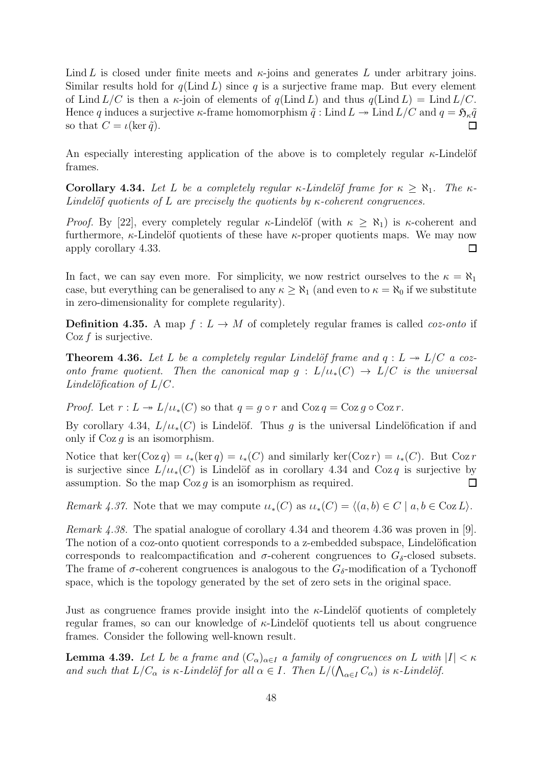Lind L is closed under finite meets and  $\kappa$ -joins and generates L under arbitrary joins. Similar results hold for  $q(\text{Lind } L)$  since q is a surjective frame map. But every element of Lind  $L/C$  is then a  $\kappa$ -join of elements of  $q(\text{Lind } L)$  and thus  $q(\text{Lind } L) = \text{Lind } L/C$ . Hence q induces a surjective  $\kappa$ -frame homomorphism  $\tilde{q}$  : Lind  $L \to L$  lind  $L/C$  and  $q = \mathfrak{H}_{\kappa} \tilde{q}$ so that  $C = \iota(\ker \tilde{q})$ .  $\Box$ 

<span id="page-51-0"></span>An especially interesting application of the above is to completely regular  $\kappa$ -Lindelöf frames.

Corollary 4.34. Let L be a completely regular  $\kappa$ -Lindelöf frame for  $\kappa \geq \aleph_1$ . The  $\kappa$ -Lindelöf quotients of L are precisely the quotients by  $\kappa$ -coherent congruences.

*Proof.* By [\[22\]](#page-54-0), every completely regular  $\kappa$ -Lindelöf (with  $\kappa \geq \aleph_1$ ) is  $\kappa$ -coherent and furthermore,  $\kappa$ -Lindelöf quotients of these have  $\kappa$ -proper quotients maps. We may now apply corollary [4.33.](#page-50-0)  $\Box$ 

In fact, we can say even more. For simplicity, we now restrict ourselves to the  $\kappa = \aleph_1$ case, but everything can be generalised to any  $\kappa \geq \aleph_1$  (and even to  $\kappa = \aleph_0$  if we substitute in zero-dimensionality for complete regularity).

**Definition 4.35.** A map  $f: L \to M$  of completely regular frames is called *coz-onto* if  $\cos f$  is surjective.

<span id="page-51-1"></span>**Theorem 4.36.** Let L be a completely regular Lindelöf frame and  $q: L \rightarrow L/C$  a cozonto frame quotient. Then the canonical map  $g: L/u_*(C) \to L/C$  is the universal Lindelöfication of  $L/C$ .

*Proof.* Let  $r: L \twoheadrightarrow L/u_*(C)$  so that  $q = g \circ r$  and  $Coz q = Coz g \circ Coz r$ .

By corollary [4.34,](#page-51-0)  $L/u_*(C)$  is Lindelöf. Thus q is the universal Lindelöfication if and only if  $\cos q$  is an isomorphism.

Notice that ker(Coz q) =  $\iota_*(\ker q) = \iota_*(C)$  and similarly ker(Coz r) =  $\iota_*(C)$ . But Coz r is surjective since  $L/\mu_*(C)$  is Lindelöf as in corollary [4.34](#page-51-0) and Coz q is surjective by assumption. So the map  $\cos g$  is an isomorphism as required.  $\Box$ 

Remark 4.37. Note that we may compute  $u_*(C)$  as  $u_*(C) = \langle (a, b) \in C \mid a, b \in C_0Z \}$ .

Remark 4.38. The spatial analogue of corollary [4.34](#page-51-0) and theorem [4.36](#page-51-1) was proven in [\[9\]](#page-53-6). The notion of a coz-onto quotient corresponds to a z-embedded subspace, Lindelöfication corresponds to realcompactification and  $\sigma$ -coherent congruences to  $G_{\delta}$ -closed subsets. The frame of  $\sigma$ -coherent congruences is analogous to the  $G_{\delta}$ -modification of a Tychonoff space, which is the topology generated by the set of zero sets in the original space.

Just as congruence frames provide insight into the  $\kappa$ -Lindelöf quotients of completely regular frames, so can our knowledge of  $\kappa$ -Lindelöf quotients tell us about congruence frames. Consider the following well-known result.

**Lemma 4.39.** Let L be a frame and  $(C_{\alpha})_{\alpha \in I}$  a family of congruences on L with  $|I| < \kappa$ and such that  $L/C_{\alpha}$  is  $\kappa$ -Lindelöf for all  $\alpha \in I$ . Then  $L/(\bigwedge_{\alpha \in I} C_{\alpha})$  is  $\kappa$ -Lindelöf.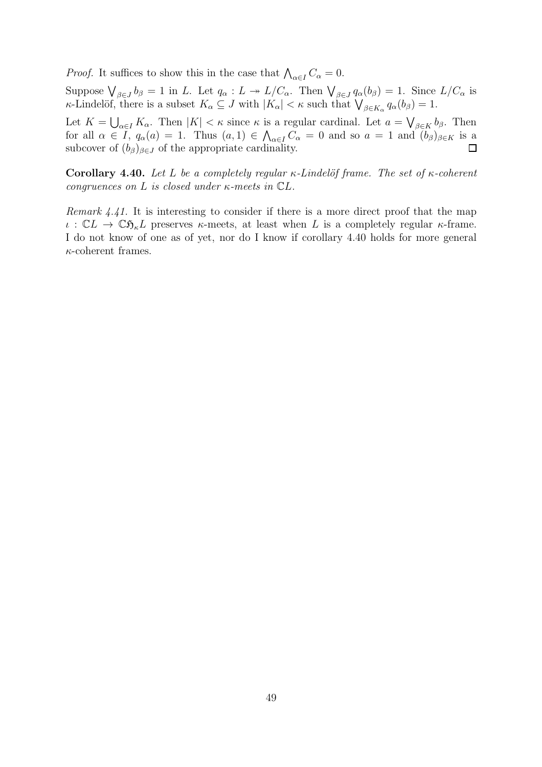*Proof.* It suffices to show this in the case that  $\bigwedge_{\alpha \in I} C_{\alpha} = 0$ .

Suppose  $\bigvee_{\beta \in J} b_{\beta} = 1$  in L. Let  $q_{\alpha}: L \to L/C_{\alpha}$ . Then  $\bigvee_{\beta \in J} q_{\alpha}(b_{\beta}) = 1$ . Since  $L/C_{\alpha}$  is *κ*-Lindelöf, there is a subset  $K_{\alpha} \subseteq J$  with  $|K_{\alpha}| < \kappa$  such that  $\bigvee_{\beta \in K_{\alpha}} q_{\alpha}(b_{\beta}) = 1$ .

Let  $K = \bigcup_{\alpha \in I} K_{\alpha}$ . Then  $|K| < \kappa$  since  $\kappa$  is a regular cardinal. Let  $a = \bigvee_{\beta \in K} b_{\beta}$ . Then for all  $\alpha \in \overline{I}$ ,  $q_{\alpha}(a) = 1$ . Thus  $(a, 1) \in \bigwedge_{\alpha \in I} C_{\alpha} = 0$  and so  $a = 1$  and  $\overline{(b_{\beta})}_{\beta \in K}$  is a subcover of  $(b_{\beta})_{\beta \in J}$  of the appropriate cardinality.  $\Box$ 

<span id="page-52-0"></span>Corollary 4.40. Let L be a completely regular  $\kappa$ -Lindelöf frame. The set of  $\kappa$ -coherent congruences on L is closed under  $\kappa$ -meets in  $\mathbb{C}L$ .

Remark 4.41. It is interesting to consider if there is a more direct proof that the map ι:  $\mathbb{C}L \to \mathbb{C} \mathfrak{H}_{\kappa}L$  preserves κ-meets, at least when L is a completely regular κ-frame. I do not know of one as of yet, nor do I know if corollary [4.40](#page-52-0) holds for more general  $\kappa$ -coherent frames.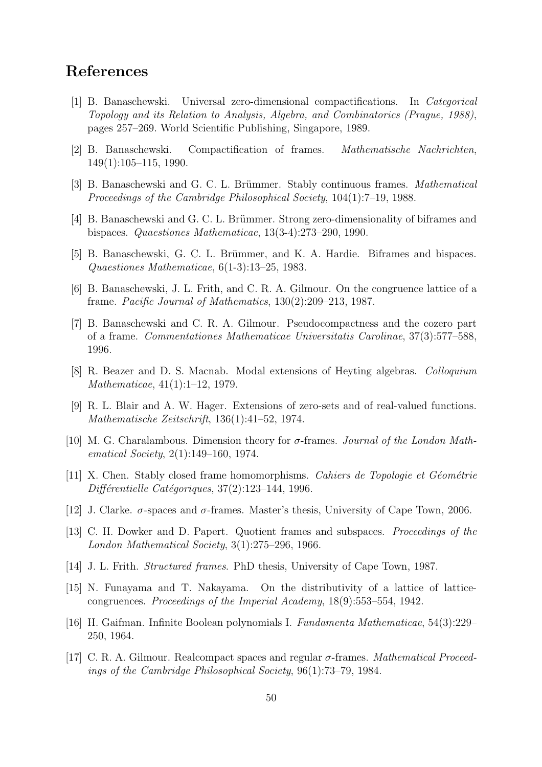# <span id="page-53-10"></span><span id="page-53-0"></span>References

- [1] B. Banaschewski. Universal zero-dimensional compactifications. In Categorical Topology and its Relation to Analysis, Algebra, and Combinatorics (Prague, 1988), pages 257–269. World Scientific Publishing, Singapore, 1989.
- <span id="page-53-16"></span><span id="page-53-9"></span>[2] B. Banaschewski. Compactification of frames. Mathematische Nachrichten, 149(1):105–115, 1990.
- <span id="page-53-3"></span>[3] B. Banaschewski and G. C. L. Brümmer. Stably continuous frames. *Mathematical* Proceedings of the Cambridge Philosophical Society, 104(1):7–19, 1988.
- <span id="page-53-7"></span>[4] B. Banaschewski and G. C. L. Brümmer. Strong zero-dimensionality of biframes and bispaces. Quaestiones Mathematicae, 13(3-4):273–290, 1990.
- <span id="page-53-15"></span>[5] B. Banaschewski, G. C. L. Brümmer, and K. A. Hardie. Biframes and bispaces. Quaestiones Mathematicae, 6(1-3):13–25, 1983.
- <span id="page-53-11"></span>[6] B. Banaschewski, J. L. Frith, and C. R. A. Gilmour. On the congruence lattice of a frame. Pacific Journal of Mathematics, 130(2):209–213, 1987.
- [7] B. Banaschewski and C. R. A. Gilmour. Pseudocompactness and the cozero part of a frame. Commentationes Mathematicae Universitatis Carolinae, 37(3):577–588, 1996.
- <span id="page-53-14"></span><span id="page-53-6"></span>[8] R. Beazer and D. S. Macnab. Modal extensions of Heyting algebras. Colloquium Mathematicae, 41(1):1–12, 1979.
- <span id="page-53-8"></span>[9] R. L. Blair and A. W. Hager. Extensions of zero-sets and of real-valued functions. Mathematische Zeitschrift, 136(1):41–52, 1974.
- [10] M. G. Charalambous. Dimension theory for  $\sigma$ -frames. Journal of the London Mathematical Society, 2(1):149–160, 1974.
- <span id="page-53-5"></span>[11] X. Chen. Stably closed frame homomorphisms. Cahiers de Topologie et Géométrie  $Différentielle Catégoriques, 37(2):123–144, 1996.$
- <span id="page-53-4"></span><span id="page-53-1"></span>[12] J. Clarke.  $\sigma$ -spaces and  $\sigma$ -frames. Master's thesis, University of Cape Town, 2006.
- [13] C. H. Dowker and D. Papert. Quotient frames and subspaces. Proceedings of the London Mathematical Society, 3(1):275–296, 1966.
- <span id="page-53-12"></span><span id="page-53-2"></span>[14] J. L. Frith. Structured frames. PhD thesis, University of Cape Town, 1987.
- [15] N. Funayama and T. Nakayama. On the distributivity of a lattice of latticecongruences. Proceedings of the Imperial Academy, 18(9):553–554, 1942.
- <span id="page-53-13"></span>[16] H. Gaifman. Infinite Boolean polynomials I. Fundamenta Mathematicae, 54(3):229– 250, 1964.
- <span id="page-53-17"></span>[17] C. R. A. Gilmour. Realcompact spaces and regular σ-frames. Mathematical Proceedings of the Cambridge Philosophical Society, 96(1):73–79, 1984.